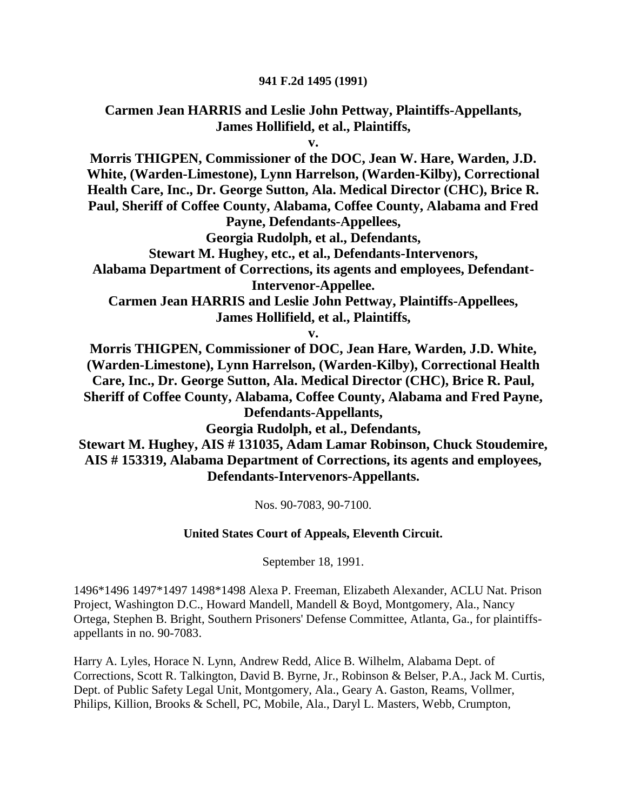### **941 F.2d 1495 (1991)**

### **Carmen Jean HARRIS and Leslie John Pettway, Plaintiffs-Appellants, James Hollifield, et al., Plaintiffs,**

**v.**

**Morris THIGPEN, Commissioner of the DOC, Jean W. Hare, Warden, J.D. White, (Warden-Limestone), Lynn Harrelson, (Warden-Kilby), Correctional Health Care, Inc., Dr. George Sutton, Ala. Medical Director (CHC), Brice R. Paul, Sheriff of Coffee County, Alabama, Coffee County, Alabama and Fred Payne, Defendants-Appellees,**

**Georgia Rudolph, et al., Defendants,**

**Stewart M. Hughey, etc., et al., Defendants-Intervenors,**

**Alabama Department of Corrections, its agents and employees, Defendant-Intervenor-Appellee.**

**Carmen Jean HARRIS and Leslie John Pettway, Plaintiffs-Appellees, James Hollifield, et al., Plaintiffs,**

**v.**

**Morris THIGPEN, Commissioner of DOC, Jean Hare, Warden, J.D. White, (Warden-Limestone), Lynn Harrelson, (Warden-Kilby), Correctional Health Care, Inc., Dr. George Sutton, Ala. Medical Director (CHC), Brice R. Paul, Sheriff of Coffee County, Alabama, Coffee County, Alabama and Fred Payne, Defendants-Appellants,**

**Georgia Rudolph, et al., Defendants,**

**Stewart M. Hughey, AIS # 131035, Adam Lamar Robinson, Chuck Stoudemire, AIS # 153319, Alabama Department of Corrections, its agents and employees, Defendants-Intervenors-Appellants.**

Nos. 90-7083, 90-7100.

### **United States Court of Appeals, Eleventh Circuit.**

September 18, 1991.

1496\*1496 1497\*1497 1498\*1498 Alexa P. Freeman, Elizabeth Alexander, ACLU Nat. Prison Project, Washington D.C., Howard Mandell, Mandell & Boyd, Montgomery, Ala., Nancy Ortega, Stephen B. Bright, Southern Prisoners' Defense Committee, Atlanta, Ga., for plaintiffsappellants in no. 90-7083.

Harry A. Lyles, Horace N. Lynn, Andrew Redd, Alice B. Wilhelm, Alabama Dept. of Corrections, Scott R. Talkington, David B. Byrne, Jr., Robinson & Belser, P.A., Jack M. Curtis, Dept. of Public Safety Legal Unit, Montgomery, Ala., Geary A. Gaston, Reams, Vollmer, Philips, Killion, Brooks & Schell, PC, Mobile, Ala., Daryl L. Masters, Webb, Crumpton,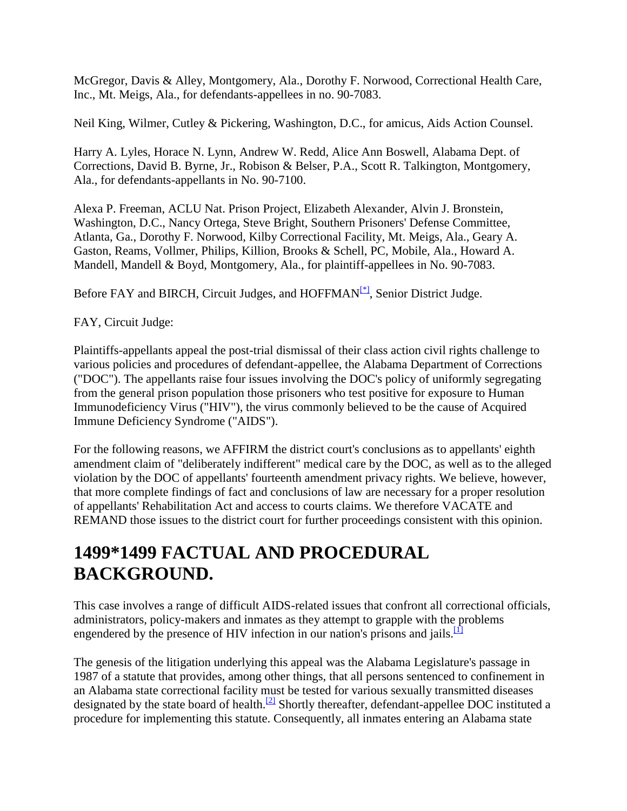McGregor, Davis & Alley, Montgomery, Ala., Dorothy F. Norwood, Correctional Health Care, Inc., Mt. Meigs, Ala., for defendants-appellees in no. 90-7083.

Neil King, Wilmer, Cutley & Pickering, Washington, D.C., for amicus, Aids Action Counsel.

Harry A. Lyles, Horace N. Lynn, Andrew W. Redd, Alice Ann Boswell, Alabama Dept. of Corrections, David B. Byrne, Jr., Robison & Belser, P.A., Scott R. Talkington, Montgomery, Ala., for defendants-appellants in No. 90-7100.

Alexa P. Freeman, ACLU Nat. Prison Project, Elizabeth Alexander, Alvin J. Bronstein, Washington, D.C., Nancy Ortega, Steve Bright, Southern Prisoners' Defense Committee, Atlanta, Ga., Dorothy F. Norwood, Kilby Correctional Facility, Mt. Meigs, Ala., Geary A. Gaston, Reams, Vollmer, Philips, Killion, Brooks & Schell, PC, Mobile, Ala., Howard A. Mandell, Mandell & Boyd, Montgomery, Ala., for plaintiff-appellees in No. 90-7083.

Before FAY and BIRCH, Circuit Judges, and HOFFMAN<sup>[\[\\*\]](http://scholar.google.co.in/scholar_case?q=harris+v.+thigpen&hl=en&as_sdt=2,5&case=6662398692491934365&scilh=0#[1])</sup>, Senior District Judge.

FAY, Circuit Judge:

Plaintiffs-appellants appeal the post-trial dismissal of their class action civil rights challenge to various policies and procedures of defendant-appellee, the Alabama Department of Corrections ("DOC"). The appellants raise four issues involving the DOC's policy of uniformly segregating from the general prison population those prisoners who test positive for exposure to Human Immunodeficiency Virus ("HIV"), the virus commonly believed to be the cause of Acquired Immune Deficiency Syndrome ("AIDS").

For the following reasons, we AFFIRM the district court's conclusions as to appellants' eighth amendment claim of "deliberately indifferent" medical care by the DOC, as well as to the alleged violation by the DOC of appellants' fourteenth amendment privacy rights. We believe, however, that more complete findings of fact and conclusions of law are necessary for a proper resolution of appellants' Rehabilitation Act and access to courts claims. We therefore VACATE and REMAND those issues to the district court for further proceedings consistent with this opinion.

## **1499\*1499 FACTUAL AND PROCEDURAL BACKGROUND.**

This case involves a range of difficult AIDS-related issues that confront all correctional officials, administrators, policy-makers and inmates as they attempt to grapple with the problems engendered by the presence of HIV infection in our nation's prisons and jails.  $\frac{11}{11}$ 

The genesis of the litigation underlying this appeal was the Alabama Legislature's passage in 1987 of a statute that provides, among other things, that all persons sentenced to confinement in an Alabama state correctional facility must be tested for various sexually transmitted diseases designated by the state board of health.<sup>[\[2\]](http://scholar.google.co.in/scholar_case?q=harris+v.+thigpen&hl=en&as_sdt=2,5&case=6662398692491934365&scilh=0#[3])</sup> Shortly thereafter, defendant-appellee DOC instituted a procedure for implementing this statute. Consequently, all inmates entering an Alabama state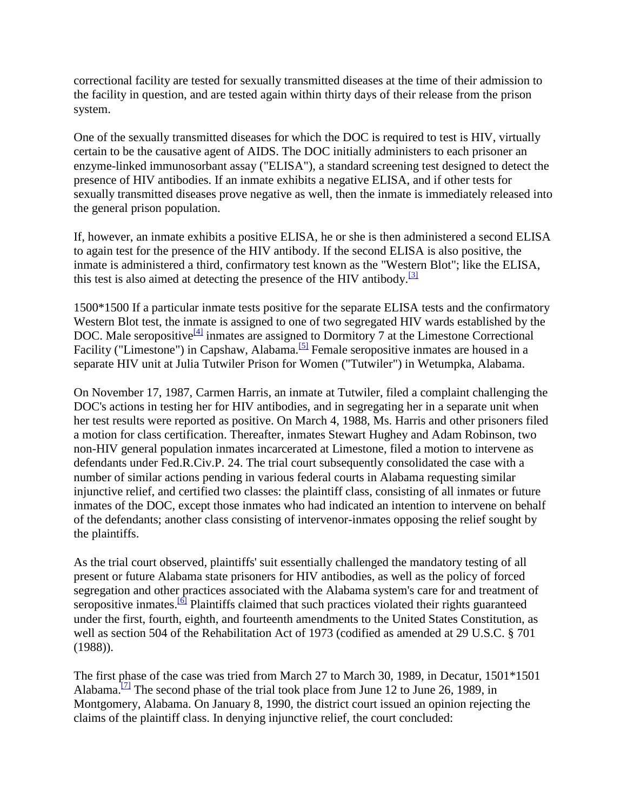correctional facility are tested for sexually transmitted diseases at the time of their admission to the facility in question, and are tested again within thirty days of their release from the prison system.

One of the sexually transmitted diseases for which the DOC is required to test is HIV, virtually certain to be the causative agent of AIDS. The DOC initially administers to each prisoner an enzyme-linked immunosorbant assay ("ELISA"), a standard screening test designed to detect the presence of HIV antibodies. If an inmate exhibits a negative ELISA, and if other tests for sexually transmitted diseases prove negative as well, then the inmate is immediately released into the general prison population.

If, however, an inmate exhibits a positive ELISA, he or she is then administered a second ELISA to again test for the presence of the HIV antibody. If the second ELISA is also positive, the inmate is administered a third, confirmatory test known as the "Western Blot"; like the ELISA, this test is also aimed at detecting the presence of the HIV antibody.<sup>[\[3\]](http://scholar.google.co.in/scholar_case?q=harris+v.+thigpen&hl=en&as_sdt=2,5&case=6662398692491934365&scilh=0#[4])</sup>

1500\*1500 If a particular inmate tests positive for the separate ELISA tests and the confirmatory Western Blot test, the inmate is assigned to one of two segregated HIV wards established by the DOC. Male seropositive<sup>[\[4\]](http://scholar.google.co.in/scholar_case?q=harris+v.+thigpen&hl=en&as_sdt=2,5&case=6662398692491934365&scilh=0#[5])</sup> inmates are assigned to Dormitory 7 at the Limestone Correctional Facility ("Limestone") in Capshaw, Alabama.<sup>[\[5\]](http://scholar.google.co.in/scholar_case?q=harris+v.+thigpen&hl=en&as_sdt=2,5&case=6662398692491934365&scilh=0#[6])</sup> Female seropositive inmates are housed in a separate HIV unit at Julia Tutwiler Prison for Women ("Tutwiler") in Wetumpka, Alabama.

On November 17, 1987, Carmen Harris, an inmate at Tutwiler, filed a complaint challenging the DOC's actions in testing her for HIV antibodies, and in segregating her in a separate unit when her test results were reported as positive. On March 4, 1988, Ms. Harris and other prisoners filed a motion for class certification. Thereafter, inmates Stewart Hughey and Adam Robinson, two non-HIV general population inmates incarcerated at Limestone, filed a motion to intervene as defendants under Fed.R.Civ.P. 24. The trial court subsequently consolidated the case with a number of similar actions pending in various federal courts in Alabama requesting similar injunctive relief, and certified two classes: the plaintiff class, consisting of all inmates or future inmates of the DOC, except those inmates who had indicated an intention to intervene on behalf of the defendants; another class consisting of intervenor-inmates opposing the relief sought by the plaintiffs.

As the trial court observed, plaintiffs' suit essentially challenged the mandatory testing of all present or future Alabama state prisoners for HIV antibodies, as well as the policy of forced segregation and other practices associated with the Alabama system's care for and treatment of seropositive inmates.<sup>[\[6\]](http://scholar.google.co.in/scholar_case?q=harris+v.+thigpen&hl=en&as_sdt=2,5&case=6662398692491934365&scilh=0#[7])</sup> Plaintiffs claimed that such practices violated their rights guaranteed under the first, fourth, eighth, and fourteenth amendments to the United States Constitution, as well as section 504 of the Rehabilitation Act of 1973 (codified as amended at 29 U.S.C. § 701 (1988)).

The first phase of the case was tried from March 27 to March 30, 1989, in Decatur, 1501\*1501 Alabama.<sup>[\[7\]](http://scholar.google.co.in/scholar_case?q=harris+v.+thigpen&hl=en&as_sdt=2,5&case=6662398692491934365&scilh=0#[8])</sup> The second phase of the trial took place from June 12 to June 26, 1989, in Montgomery, Alabama. On January 8, 1990, the district court issued an opinion rejecting the claims of the plaintiff class. In denying injunctive relief, the court concluded: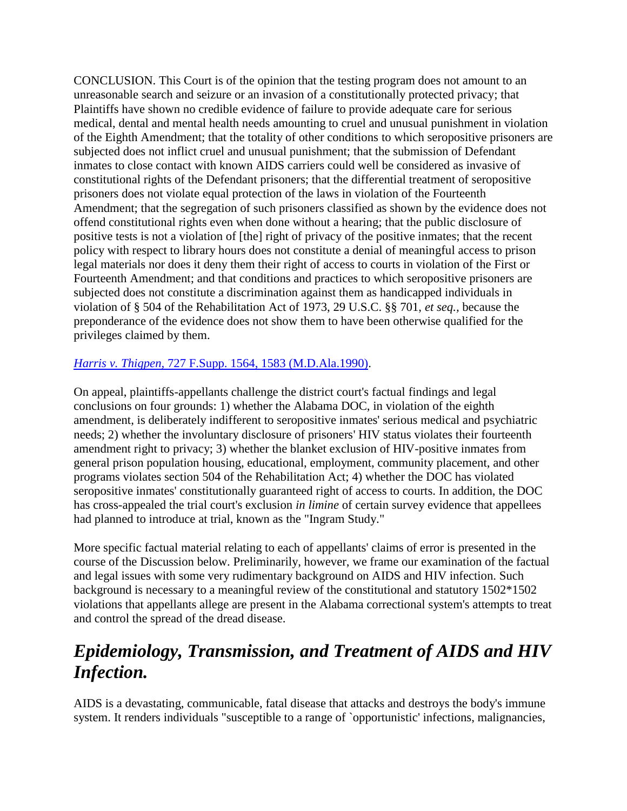CONCLUSION. This Court is of the opinion that the testing program does not amount to an unreasonable search and seizure or an invasion of a constitutionally protected privacy; that Plaintiffs have shown no credible evidence of failure to provide adequate care for serious medical, dental and mental health needs amounting to cruel and unusual punishment in violation of the Eighth Amendment; that the totality of other conditions to which seropositive prisoners are subjected does not inflict cruel and unusual punishment; that the submission of Defendant inmates to close contact with known AIDS carriers could well be considered as invasive of constitutional rights of the Defendant prisoners; that the differential treatment of seropositive prisoners does not violate equal protection of the laws in violation of the Fourteenth Amendment; that the segregation of such prisoners classified as shown by the evidence does not offend constitutional rights even when done without a hearing; that the public disclosure of positive tests is not a violation of [the] right of privacy of the positive inmates; that the recent policy with respect to library hours does not constitute a denial of meaningful access to prison legal materials nor does it deny them their right of access to courts in violation of the First or Fourteenth Amendment; and that conditions and practices to which seropositive prisoners are subjected does not constitute a discrimination against them as handicapped individuals in violation of § 504 of the Rehabilitation Act of 1973, 29 U.S.C. §§ 701, *et seq.,* because the preponderance of the evidence does not show them to have been otherwise qualified for the privileges claimed by them.

### *Harris v. Thigpen,* [727 F.Supp. 1564, 1583 \(M.D.Ala.1990\).](http://scholar.google.co.in/scholar_case?case=2551066781948846197&q=harris+v.+thigpen&hl=en&as_sdt=2,5&scilh=0)

On appeal, plaintiffs-appellants challenge the district court's factual findings and legal conclusions on four grounds: 1) whether the Alabama DOC, in violation of the eighth amendment, is deliberately indifferent to seropositive inmates' serious medical and psychiatric needs; 2) whether the involuntary disclosure of prisoners' HIV status violates their fourteenth amendment right to privacy; 3) whether the blanket exclusion of HIV-positive inmates from general prison population housing, educational, employment, community placement, and other programs violates section 504 of the Rehabilitation Act; 4) whether the DOC has violated seropositive inmates' constitutionally guaranteed right of access to courts. In addition, the DOC has cross-appealed the trial court's exclusion *in limine* of certain survey evidence that appellees had planned to introduce at trial, known as the "Ingram Study."

More specific factual material relating to each of appellants' claims of error is presented in the course of the Discussion below. Preliminarily, however, we frame our examination of the factual and legal issues with some very rudimentary background on AIDS and HIV infection. Such background is necessary to a meaningful review of the constitutional and statutory 1502\*1502 violations that appellants allege are present in the Alabama correctional system's attempts to treat and control the spread of the dread disease.

## *Epidemiology, Transmission, and Treatment of AIDS and HIV Infection.*

AIDS is a devastating, communicable, fatal disease that attacks and destroys the body's immune system. It renders individuals "susceptible to a range of `opportunistic' infections, malignancies,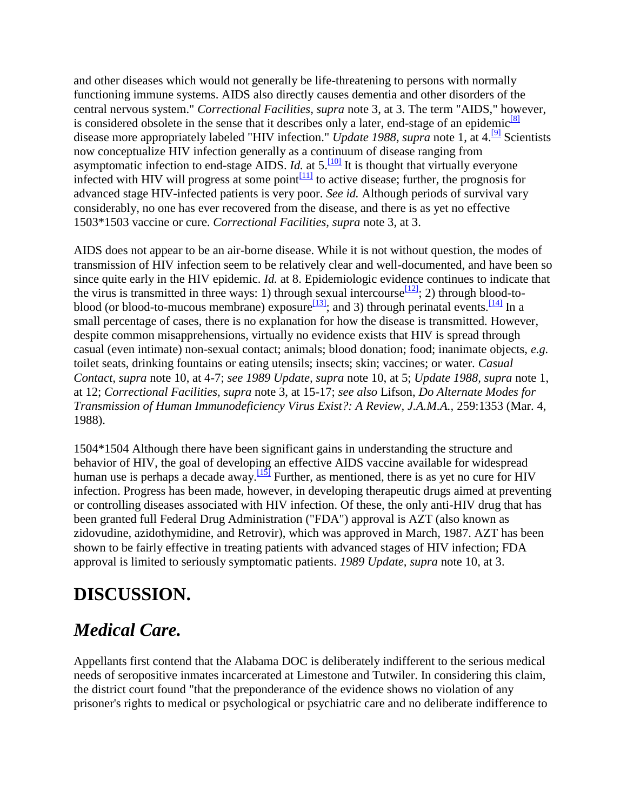and other diseases which would not generally be life-threatening to persons with normally functioning immune systems. AIDS also directly causes dementia and other disorders of the central nervous system." *Correctional Facilities, supra* note 3, at 3. The term "AIDS," however, is considered obsolete in the sense that it describes only a later, end-stage of an epidemic $\frac{8}{8}$ disease more appropriately labeled "HIV infection." *Update 1988, supra* note 1, at 4.<sup>[\[9\]](http://scholar.google.co.in/scholar_case?q=harris+v.+thigpen&hl=en&as_sdt=2,5&case=6662398692491934365&scilh=0#[10])</sup> Scientists now conceptualize HIV infection generally as a continuum of disease ranging from asymptomatic infection to end-stage AIDS. *Id.* at  $5.\overline{100}$  It is thought that virtually everyone infected with HIV will progress at some point $\frac{111}{111}$  to active disease; further, the prognosis for advanced stage HIV-infected patients is very poor. *See id.* Although periods of survival vary considerably, no one has ever recovered from the disease, and there is as yet no effective 1503\*1503 vaccine or cure. *Correctional Facilities, supra* note 3, at 3.

AIDS does not appear to be an air-borne disease. While it is not without question, the modes of transmission of HIV infection seem to be relatively clear and well-documented, and have been so since quite early in the HIV epidemic. *Id.* at 8. Epidemiologic evidence continues to indicate that the virus is transmitted in three ways: 1) through sexual intercourse  $\frac{12}{2}$ ; 2) through blood-toblood (or blood-to-mucous membrane) exposure  $\frac{113}{3}$ ; and 3) through perinatal events.  $\frac{114}{3}$  In a small percentage of cases, there is no explanation for how the disease is transmitted. However, despite common misapprehensions, virtually no evidence exists that HIV is spread through casual (even intimate) non-sexual contact; animals; blood donation; food; inanimate objects, *e.g.* toilet seats, drinking fountains or eating utensils; insects; skin; vaccines; or water. *Casual Contact, supra* note 10, at 4-7; *see 1989 Update, supra* note 10, at 5; *Update 1988, supra* note 1, at 12; *Correctional Facilities, supra* note 3, at 15-17; *see also* Lifson, *Do Alternate Modes for Transmission of Human Immunodeficiency Virus Exist?: A Review, J.A.M.A.,* 259:1353 (Mar. 4, 1988).

1504\*1504 Although there have been significant gains in understanding the structure and behavior of HIV, the goal of developing an effective AIDS vaccine available for widespread human use is perhaps a decade away.<sup>[\[15\]](http://scholar.google.co.in/scholar_case?q=harris+v.+thigpen&hl=en&as_sdt=2,5&case=6662398692491934365&scilh=0#[16])</sup> Further, as mentioned, there is as yet no cure for HIV infection. Progress has been made, however, in developing therapeutic drugs aimed at preventing or controlling diseases associated with HIV infection. Of these, the only anti-HIV drug that has been granted full Federal Drug Administration ("FDA") approval is AZT (also known as zidovudine, azidothymidine, and Retrovir), which was approved in March, 1987. AZT has been shown to be fairly effective in treating patients with advanced stages of HIV infection; FDA approval is limited to seriously symptomatic patients. *1989 Update, supra* note 10, at 3.

# **DISCUSSION.**

## *Medical Care.*

Appellants first contend that the Alabama DOC is deliberately indifferent to the serious medical needs of seropositive inmates incarcerated at Limestone and Tutwiler. In considering this claim, the district court found "that the preponderance of the evidence shows no violation of any prisoner's rights to medical or psychological or psychiatric care and no deliberate indifference to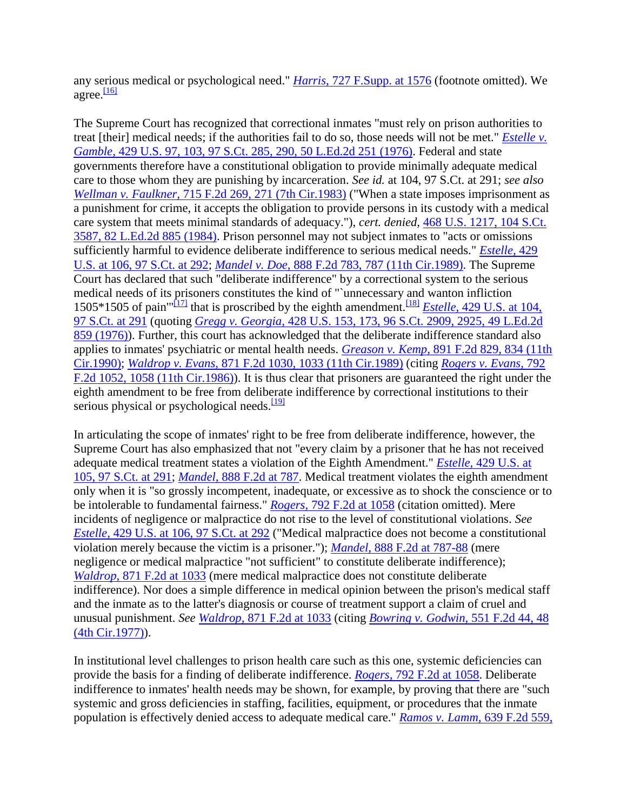any serious medical or psychological need." *Harris,* [727 F.Supp. at 1576](http://scholar.google.co.in/scholar_case?case=2551066781948846197&q=harris+v.+thigpen&hl=en&as_sdt=2,5&scilh=0) (footnote omitted). We agree. $\frac{[16]}{[16]}$  $\frac{[16]}{[16]}$  $\frac{[16]}{[16]}$ 

The Supreme Court has recognized that correctional inmates "must rely on prison authorities to treat [their] medical needs; if the authorities fail to do so, those needs will not be met." *[Estelle v.](http://scholar.google.co.in/scholar_case?case=4755107314332030951&q=harris+v.+thigpen&hl=en&as_sdt=2,5&scilh=0)  Gamble,* [429 U.S. 97, 103, 97 S.Ct. 285, 290, 50 L.Ed.2d 251 \(1976\).](http://scholar.google.co.in/scholar_case?case=4755107314332030951&q=harris+v.+thigpen&hl=en&as_sdt=2,5&scilh=0) Federal and state governments therefore have a constitutional obligation to provide minimally adequate medical care to those whom they are punishing by incarceration. *See id.* at 104, 97 S.Ct. at 291; *see also Wellman v. Faulkner,* [715 F.2d 269, 271 \(7th Cir.1983\)](http://scholar.google.co.in/scholar_case?case=16202393012632005625&q=harris+v.+thigpen&hl=en&as_sdt=2,5&scilh=0) ("When a state imposes imprisonment as a punishment for crime, it accepts the obligation to provide persons in its custody with a medical care system that meets minimal standards of adequacy."), *cert. denied,* [468 U.S. 1217, 104 S.Ct.](http://scholar.google.co.in/scholar_case?about=4839685923331839313&q=harris+v.+thigpen&hl=en&as_sdt=2,5&scilh=0)  [3587, 82 L.Ed.2d 885](http://scholar.google.co.in/scholar_case?about=4839685923331839313&q=harris+v.+thigpen&hl=en&as_sdt=2,5&scilh=0) (1984). Prison personnel may not subject inmates to "acts or omissions sufficiently harmful to evidence deliberate indifference to serious medical needs." *[Estelle,](http://scholar.google.co.in/scholar_case?case=4755107314332030951&q=harris+v.+thigpen&hl=en&as_sdt=2,5&scilh=0)* 429 [U.S. at 106, 97 S.Ct. at 292;](http://scholar.google.co.in/scholar_case?case=4755107314332030951&q=harris+v.+thigpen&hl=en&as_sdt=2,5&scilh=0) *Mandel v. Doe,* [888 F.2d 783, 787 \(11th Cir.1989\).](http://scholar.google.co.in/scholar_case?case=8419459005718927289&q=harris+v.+thigpen&hl=en&as_sdt=2,5&scilh=0) The Supreme Court has declared that such "deliberate indifference" by a correctional system to the serious medical needs of its prisoners constitutes the kind of "`unnecessary and wanton infliction 1505\*1505 of pain<sup>'"[\[17\]](http://scholar.google.co.in/scholar_case?q=harris+v.+thigpen&hl=en&as_sdt=2,5&case=6662398692491934365&scilh=0#[18])</sup> that is proscribed by the eighth amendment.<sup>[\[18\]](http://scholar.google.co.in/scholar_case?q=harris+v.+thigpen&hl=en&as_sdt=2,5&case=6662398692491934365&scilh=0#[19])</sup> *Estelle*, 429 U.S. at 104, [97 S.Ct. at 291](http://scholar.google.co.in/scholar_case?case=4755107314332030951&q=harris+v.+thigpen&hl=en&as_sdt=2,5&scilh=0) (quoting *Gregg v. Georgia,* [428 U.S. 153, 173, 96 S.Ct. 2909, 2925, 49 L.Ed.2d](http://scholar.google.co.in/scholar_case?case=15950556903605745543&q=harris+v.+thigpen&hl=en&as_sdt=2,5&scilh=0)  [859 \(1976\)\)](http://scholar.google.co.in/scholar_case?case=15950556903605745543&q=harris+v.+thigpen&hl=en&as_sdt=2,5&scilh=0). Further, this court has acknowledged that the deliberate indifference standard also applies to inmates' psychiatric or mental health needs. *Greason v. Kemp,* [891 F.2d 829, 834](http://scholar.google.co.in/scholar_case?case=13322419908107011095&q=harris+v.+thigpen&hl=en&as_sdt=2,5&scilh=0) (11th [Cir.1990\);](http://scholar.google.co.in/scholar_case?case=13322419908107011095&q=harris+v.+thigpen&hl=en&as_sdt=2,5&scilh=0) *Waldrop v. Evans,* [871 F.2d 1030, 1033 \(11th Cir.1989\)](http://scholar.google.co.in/scholar_case?case=16834062391312220036&q=harris+v.+thigpen&hl=en&as_sdt=2,5&scilh=0) (citing *[Rogers v. Evans,](http://scholar.google.co.in/scholar_case?case=3676006081058297379&q=harris+v.+thigpen&hl=en&as_sdt=2,5&scilh=0)* 792 [F.2d 1052, 1058 \(11th Cir.1986\)\)](http://scholar.google.co.in/scholar_case?case=3676006081058297379&q=harris+v.+thigpen&hl=en&as_sdt=2,5&scilh=0). It is thus clear that prisoners are guaranteed the right under the eighth amendment to be free from deliberate indifference by correctional institutions to their serious physical or psychological needs.<sup>[\[19\]](http://scholar.google.co.in/scholar_case?q=harris+v.+thigpen&hl=en&as_sdt=2,5&case=6662398692491934365&scilh=0#[20])</sup>

In articulating the scope of inmates' right to be free from deliberate indifference, however, the Supreme Court has also emphasized that not "every claim by a prisoner that he has not received adequate medical treatment states a violation of the Eighth Amendment." *Estelle,* [429 U.S. at](http://scholar.google.co.in/scholar_case?case=4755107314332030951&q=harris+v.+thigpen&hl=en&as_sdt=2,5&scilh=0)  [105, 97 S.Ct. at 291;](http://scholar.google.co.in/scholar_case?case=4755107314332030951&q=harris+v.+thigpen&hl=en&as_sdt=2,5&scilh=0) *Mandel,* [888 F.2d at 787.](http://scholar.google.co.in/scholar_case?case=8419459005718927289&q=harris+v.+thigpen&hl=en&as_sdt=2,5&scilh=0) Medical treatment violates the eighth amendment only when it is "so grossly incompetent, inadequate, or excessive as to shock the conscience or to be intolerable to fundamental fairness." *Rogers,* [792 F.2d at 1058](http://scholar.google.co.in/scholar_case?case=3676006081058297379&q=harris+v.+thigpen&hl=en&as_sdt=2,5&scilh=0) (citation omitted). Mere incidents of negligence or malpractice do not rise to the level of constitutional violations. *See Estelle,* [429 U.S. at 106, 97 S.Ct. at 292](http://scholar.google.co.in/scholar_case?case=4755107314332030951&q=harris+v.+thigpen&hl=en&as_sdt=2,5&scilh=0) ("Medical malpractice does not become a constitutional violation merely because the victim is a prisoner."); *Mandel,* [888 F.2d at 787-88](http://scholar.google.co.in/scholar_case?case=8419459005718927289&q=harris+v.+thigpen&hl=en&as_sdt=2,5&scilh=0) (mere negligence or medical malpractice "not sufficient" to constitute deliberate indifference); *Waldrop,* [871 F.2d at 1033](http://scholar.google.co.in/scholar_case?case=16834062391312220036&q=harris+v.+thigpen&hl=en&as_sdt=2,5&scilh=0) (mere medical malpractice does not constitute deliberate indifference). Nor does a simple difference in medical opinion between the prison's medical staff and the inmate as to the latter's diagnosis or course of treatment support a claim of cruel and unusual punishment. *See Waldrop,* [871 F.2d at 1033](http://scholar.google.co.in/scholar_case?case=16834062391312220036&q=harris+v.+thigpen&hl=en&as_sdt=2,5&scilh=0) (citing *[Bowring v. Godwin,](http://scholar.google.co.in/scholar_case?case=11846196401390546879&q=harris+v.+thigpen&hl=en&as_sdt=2,5&scilh=0)* 551 F.2d 44, 48 [\(4th Cir.1977\)\)](http://scholar.google.co.in/scholar_case?case=11846196401390546879&q=harris+v.+thigpen&hl=en&as_sdt=2,5&scilh=0).

In institutional level challenges to prison health care such as this one, systemic deficiencies can provide the basis for a finding of deliberate indifference. *Rogers,* [792 F.2d at 1058.](http://scholar.google.co.in/scholar_case?case=3676006081058297379&q=harris+v.+thigpen&hl=en&as_sdt=2,5&scilh=0) Deliberate indifference to inmates' health needs may be shown, for example, by proving that there are "such systemic and gross deficiencies in staffing, facilities, equipment, or procedures that the inmate population is effectively denied access to adequate medical care." *[Ramos v. Lamm,](http://scholar.google.co.in/scholar_case?case=14128247164979708365&q=harris+v.+thigpen&hl=en&as_sdt=2,5&scilh=0)* 639 F.2d 559,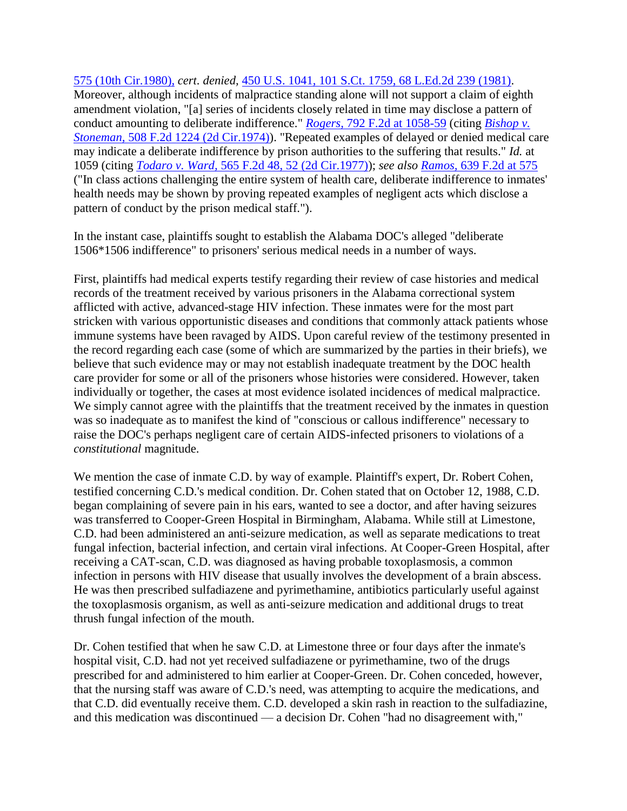575 (10th Cir.1980), *cert. denied,* [450 U.S. 1041, 101 S.Ct. 1759, 68 L.Ed.2d 239 \(1981\).](http://scholar.google.co.in/scholar_case?about=8015733227151830054&q=harris+v.+thigpen&hl=en&as_sdt=2,5&scilh=0) Moreover, although incidents of malpractice standing alone will not support a claim of eighth amendment violation, "[a] series of incidents closely related in time may disclose a pattern of conduct amounting to deliberate indifference." *Rogers,* [792 F.2d at 1058-59](http://scholar.google.co.in/scholar_case?case=3676006081058297379&q=harris+v.+thigpen&hl=en&as_sdt=2,5&scilh=0) (citing *[Bishop v.](http://scholar.google.co.in/scholar_case?case=9241834227129914502&q=harris+v.+thigpen&hl=en&as_sdt=2,5&scilh=0)  Stoneman,* [508 F.2d 1224 \(2d Cir.1974\)\)](http://scholar.google.co.in/scholar_case?case=9241834227129914502&q=harris+v.+thigpen&hl=en&as_sdt=2,5&scilh=0). "Repeated examples of delayed or denied medical care may indicate a deliberate indifference by prison authorities to the suffering that results." *Id.* at 1059 (citing *Todaro v. Ward,* [565 F.2d 48, 52 \(2d Cir.1977\)\)](http://scholar.google.co.in/scholar_case?case=15288924755506002749&q=harris+v.+thigpen&hl=en&as_sdt=2,5&scilh=0); *see also Ramos,* [639 F.2d at 575](http://scholar.google.co.in/scholar_case?case=14128247164979708365&q=harris+v.+thigpen&hl=en&as_sdt=2,5&scilh=0) ("In class actions challenging the entire system of health care, deliberate indifference to inmates' health needs may be shown by proving repeated examples of negligent acts which disclose a pattern of conduct by the prison medical staff.").

In the instant case, plaintiffs sought to establish the Alabama DOC's alleged "deliberate 1506\*1506 indifference" to prisoners' serious medical needs in a number of ways.

First, plaintiffs had medical experts testify regarding their review of case histories and medical records of the treatment received by various prisoners in the Alabama correctional system afflicted with active, advanced-stage HIV infection. These inmates were for the most part stricken with various opportunistic diseases and conditions that commonly attack patients whose immune systems have been ravaged by AIDS. Upon careful review of the testimony presented in the record regarding each case (some of which are summarized by the parties in their briefs), we believe that such evidence may or may not establish inadequate treatment by the DOC health care provider for some or all of the prisoners whose histories were considered. However, taken individually or together, the cases at most evidence isolated incidences of medical malpractice. We simply cannot agree with the plaintiffs that the treatment received by the inmates in question was so inadequate as to manifest the kind of "conscious or callous indifference" necessary to raise the DOC's perhaps negligent care of certain AIDS-infected prisoners to violations of a *constitutional* magnitude.

We mention the case of inmate C.D. by way of example. Plaintiff's expert, Dr. Robert Cohen, testified concerning C.D.'s medical condition. Dr. Cohen stated that on October 12, 1988, C.D. began complaining of severe pain in his ears, wanted to see a doctor, and after having seizures was transferred to Cooper-Green Hospital in Birmingham, Alabama. While still at Limestone, C.D. had been administered an anti-seizure medication, as well as separate medications to treat fungal infection, bacterial infection, and certain viral infections. At Cooper-Green Hospital, after receiving a CAT-scan, C.D. was diagnosed as having probable toxoplasmosis, a common infection in persons with HIV disease that usually involves the development of a brain abscess. He was then prescribed sulfadiazene and pyrimethamine, antibiotics particularly useful against the toxoplasmosis organism, as well as anti-seizure medication and additional drugs to treat thrush fungal infection of the mouth.

Dr. Cohen testified that when he saw C.D. at Limestone three or four days after the inmate's hospital visit, C.D. had not yet received sulfadiazene or pyrimethamine, two of the drugs prescribed for and administered to him earlier at Cooper-Green. Dr. Cohen conceded, however, that the nursing staff was aware of C.D.'s need, was attempting to acquire the medications, and that C.D. did eventually receive them. C.D. developed a skin rash in reaction to the sulfadiazine, and this medication was discontinued — a decision Dr. Cohen "had no disagreement with,"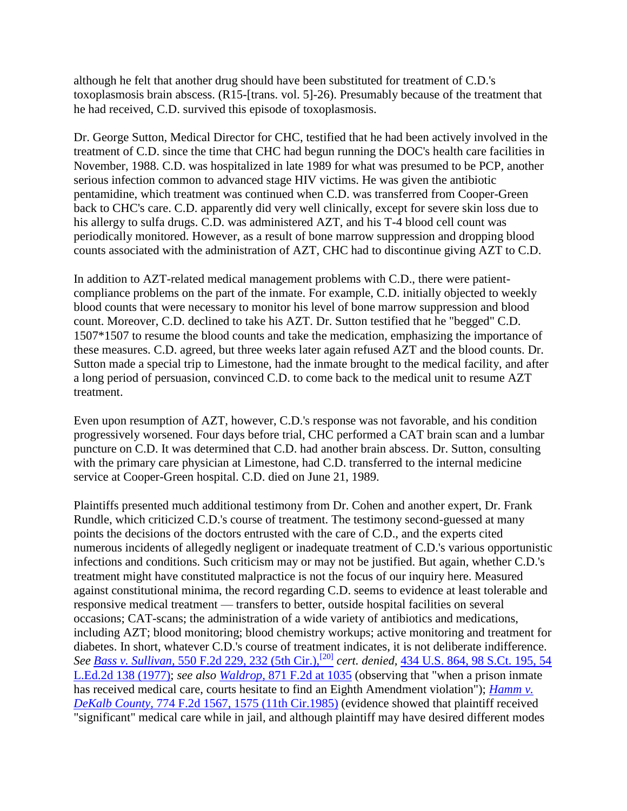although he felt that another drug should have been substituted for treatment of C.D.'s toxoplasmosis brain abscess. (R15-[trans. vol. 5]-26). Presumably because of the treatment that he had received, C.D. survived this episode of toxoplasmosis.

Dr. George Sutton, Medical Director for CHC, testified that he had been actively involved in the treatment of C.D. since the time that CHC had begun running the DOC's health care facilities in November, 1988. C.D. was hospitalized in late 1989 for what was presumed to be PCP, another serious infection common to advanced stage HIV victims. He was given the antibiotic pentamidine, which treatment was continued when C.D. was transferred from Cooper-Green back to CHC's care. C.D. apparently did very well clinically, except for severe skin loss due to his allergy to sulfa drugs. C.D. was administered AZT, and his T-4 blood cell count was periodically monitored. However, as a result of bone marrow suppression and dropping blood counts associated with the administration of AZT, CHC had to discontinue giving AZT to C.D.

In addition to AZT-related medical management problems with C.D., there were patientcompliance problems on the part of the inmate. For example, C.D. initially objected to weekly blood counts that were necessary to monitor his level of bone marrow suppression and blood count. Moreover, C.D. declined to take his AZT. Dr. Sutton testified that he "begged" C.D. 1507\*1507 to resume the blood counts and take the medication, emphasizing the importance of these measures. C.D. agreed, but three weeks later again refused AZT and the blood counts. Dr. Sutton made a special trip to Limestone, had the inmate brought to the medical facility, and after a long period of persuasion, convinced C.D. to come back to the medical unit to resume AZT treatment.

Even upon resumption of AZT, however, C.D.'s response was not favorable, and his condition progressively worsened. Four days before trial, CHC performed a CAT brain scan and a lumbar puncture on C.D. It was determined that C.D. had another brain abscess. Dr. Sutton, consulting with the primary care physician at Limestone, had C.D. transferred to the internal medicine service at Cooper-Green hospital. C.D. died on June 21, 1989.

Plaintiffs presented much additional testimony from Dr. Cohen and another expert, Dr. Frank Rundle, which criticized C.D.'s course of treatment. The testimony second-guessed at many points the decisions of the doctors entrusted with the care of C.D., and the experts cited numerous incidents of allegedly negligent or inadequate treatment of C.D.'s various opportunistic infections and conditions. Such criticism may or may not be justified. But again, whether C.D.'s treatment might have constituted malpractice is not the focus of our inquiry here. Measured against constitutional minima, the record regarding C.D. seems to evidence at least tolerable and responsive medical treatment — transfers to better, outside hospital facilities on several occasions; CAT-scans; the administration of a wide variety of antibiotics and medications, including AZT; blood monitoring; blood chemistry workups; active monitoring and treatment for diabetes. In short, whatever C.D.'s course of treatment indicates, it is not deliberate indifference. *See Bass v. Sullivan,* [550 F.2d 229, 232 \(5th Cir.\),](http://scholar.google.co.in/scholar_case?case=3030570756430141828&q=harris+v.+thigpen&hl=en&as_sdt=2,5&scilh=0)[\[20\]](http://scholar.google.co.in/scholar_case?case=3030570756430141828&q=harris+v.+thigpen&hl=en&as_sdt=2,5&scilh=0) *cert. denied,* [434 U.S. 864, 98 S.Ct. 195, 54](http://scholar.google.co.in/scholar_case?about=633172466716347523&q=harris+v.+thigpen&hl=en&as_sdt=2,5&scilh=0)  [L.Ed.2d 138 \(1977\);](http://scholar.google.co.in/scholar_case?about=633172466716347523&q=harris+v.+thigpen&hl=en&as_sdt=2,5&scilh=0) *see also Waldrop,* [871 F.2d at 1035](http://scholar.google.co.in/scholar_case?case=16834062391312220036&q=harris+v.+thigpen&hl=en&as_sdt=2,5&scilh=0) (observing that "when a prison inmate has received medical care, courts hesitate to find an Eighth Amendment violation"); *[Hamm v.](http://scholar.google.co.in/scholar_case?case=7609511886260150634&q=harris+v.+thigpen&hl=en&as_sdt=2,5&scilh=0)  DeKalb County,* [774 F.2d 1567, 1575 \(11th Cir.1985\)](http://scholar.google.co.in/scholar_case?case=7609511886260150634&q=harris+v.+thigpen&hl=en&as_sdt=2,5&scilh=0) (evidence showed that plaintiff received "significant" medical care while in jail, and although plaintiff may have desired different modes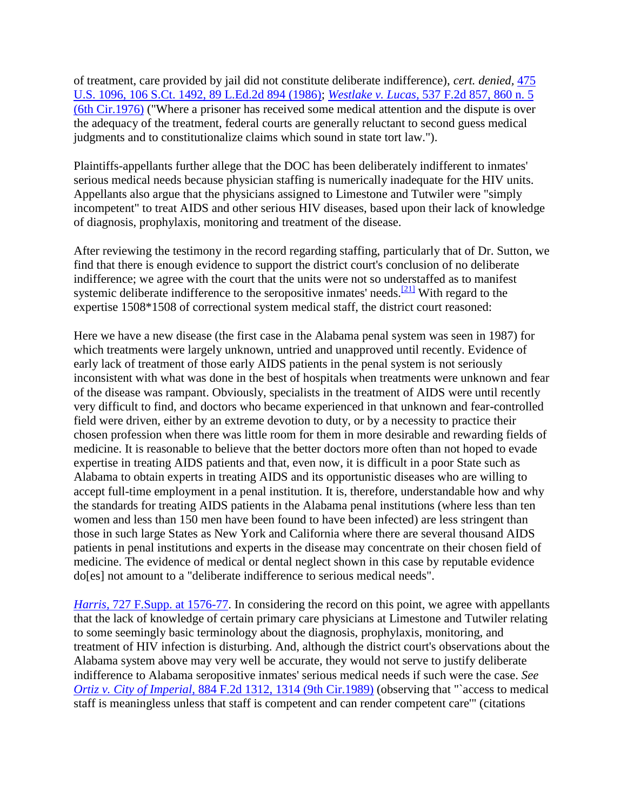of treatment, care provided by jail did not constitute deliberate indifference), *cert. denied,* [475](http://scholar.google.co.in/scholar_case?about=7322217611471642880&q=harris+v.+thigpen&hl=en&as_sdt=2,5&scilh=0)  [U.S. 1096, 106 S.Ct. 1492, 89 L.Ed.2d 894 \(1986\);](http://scholar.google.co.in/scholar_case?about=7322217611471642880&q=harris+v.+thigpen&hl=en&as_sdt=2,5&scilh=0) *Westlake v. Lucas,* [537 F.2d 857, 860 n. 5](http://scholar.google.co.in/scholar_case?case=4035775035177545028&q=harris+v.+thigpen&hl=en&as_sdt=2,5&scilh=0)  [\(6th Cir.1976\)](http://scholar.google.co.in/scholar_case?case=4035775035177545028&q=harris+v.+thigpen&hl=en&as_sdt=2,5&scilh=0) ("Where a prisoner has received some medical attention and the dispute is over the adequacy of the treatment, federal courts are generally reluctant to second guess medical judgments and to constitutionalize claims which sound in state tort law.").

Plaintiffs-appellants further allege that the DOC has been deliberately indifferent to inmates' serious medical needs because physician staffing is numerically inadequate for the HIV units. Appellants also argue that the physicians assigned to Limestone and Tutwiler were "simply incompetent" to treat AIDS and other serious HIV diseases, based upon their lack of knowledge of diagnosis, prophylaxis, monitoring and treatment of the disease.

After reviewing the testimony in the record regarding staffing, particularly that of Dr. Sutton, we find that there is enough evidence to support the district court's conclusion of no deliberate indifference; we agree with the court that the units were not so understaffed as to manifest systemic deliberate indifference to the seropositive inmates' needs.<sup>[\[21\]](http://scholar.google.co.in/scholar_case?q=harris+v.+thigpen&hl=en&as_sdt=2,5&case=6662398692491934365&scilh=0#[22])</sup> With regard to the expertise 1508\*1508 of correctional system medical staff, the district court reasoned:

Here we have a new disease (the first case in the Alabama penal system was seen in 1987) for which treatments were largely unknown, untried and unapproved until recently. Evidence of early lack of treatment of those early AIDS patients in the penal system is not seriously inconsistent with what was done in the best of hospitals when treatments were unknown and fear of the disease was rampant. Obviously, specialists in the treatment of AIDS were until recently very difficult to find, and doctors who became experienced in that unknown and fear-controlled field were driven, either by an extreme devotion to duty, or by a necessity to practice their chosen profession when there was little room for them in more desirable and rewarding fields of medicine. It is reasonable to believe that the better doctors more often than not hoped to evade expertise in treating AIDS patients and that, even now, it is difficult in a poor State such as Alabama to obtain experts in treating AIDS and its opportunistic diseases who are willing to accept full-time employment in a penal institution. It is, therefore, understandable how and why the standards for treating AIDS patients in the Alabama penal institutions (where less than ten women and less than 150 men have been found to have been infected) are less stringent than those in such large States as New York and California where there are several thousand AIDS patients in penal institutions and experts in the disease may concentrate on their chosen field of medicine. The evidence of medical or dental neglect shown in this case by reputable evidence do[es] not amount to a "deliberate indifference to serious medical needs".

*Harris,* [727 F.Supp. at 1576-77.](http://scholar.google.co.in/scholar_case?case=2551066781948846197&q=harris+v.+thigpen&hl=en&as_sdt=2,5&scilh=0) In considering the record on this point, we agree with appellants that the lack of knowledge of certain primary care physicians at Limestone and Tutwiler relating to some seemingly basic terminology about the diagnosis, prophylaxis, monitoring, and treatment of HIV infection is disturbing. And, although the district court's observations about the Alabama system above may very well be accurate, they would not serve to justify deliberate indifference to Alabama seropositive inmates' serious medical needs if such were the case. *See Ortiz v. City of Imperial,* [884 F.2d 1312, 1314 \(9th Cir.1989\)](http://scholar.google.co.in/scholar_case?case=7752379056319691820&q=harris+v.+thigpen&hl=en&as_sdt=2,5&scilh=0) (observing that "`access to medical staff is meaningless unless that staff is competent and can render competent care'" (citations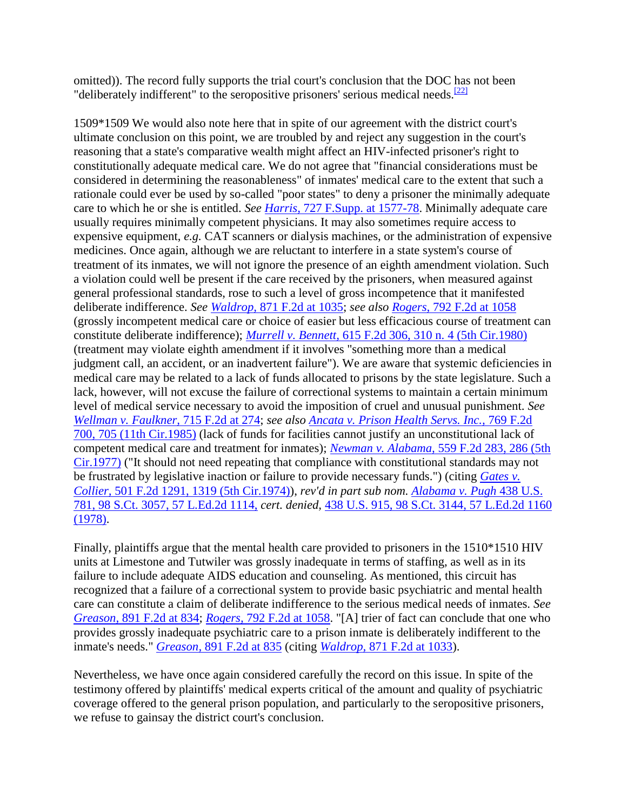omitted)). The record fully supports the trial court's conclusion that the DOC has not been "deliberately indifferent" to the seropositive prisoners' serious medical needs. $\frac{[22]}{[22]}$  $\frac{[22]}{[22]}$  $\frac{[22]}{[22]}$ 

1509\*1509 We would also note here that in spite of our agreement with the district court's ultimate conclusion on this point, we are troubled by and reject any suggestion in the court's reasoning that a state's comparative wealth might affect an HIV-infected prisoner's right to constitutionally adequate medical care. We do not agree that "financial considerations must be considered in determining the reasonableness" of inmates' medical care to the extent that such a rationale could ever be used by so-called "poor states" to deny a prisoner the minimally adequate care to which he or she is entitled. *See Harris,* [727 F.Supp. at 1577-78.](http://scholar.google.co.in/scholar_case?case=2551066781948846197&q=harris+v.+thigpen&hl=en&as_sdt=2,5&scilh=0) Minimally adequate care usually requires minimally competent physicians. It may also sometimes require access to expensive equipment, *e.g.* CAT scanners or dialysis machines, or the administration of expensive medicines. Once again, although we are reluctant to interfere in a state system's course of treatment of its inmates, we will not ignore the presence of an eighth amendment violation. Such a violation could well be present if the care received by the prisoners, when measured against general professional standards, rose to such a level of gross incompetence that it manifested deliberate indifference. *See Waldrop,* [871 F.2d at 1035;](http://scholar.google.co.in/scholar_case?case=16834062391312220036&q=harris+v.+thigpen&hl=en&as_sdt=2,5&scilh=0) *see also Rogers,* [792 F.2d at 1058](http://scholar.google.co.in/scholar_case?case=3676006081058297379&q=harris+v.+thigpen&hl=en&as_sdt=2,5&scilh=0) (grossly incompetent medical care or choice of easier but less efficacious course of treatment can constitute deliberate indifference); *Murrell v. Bennett,* [615 F.2d 306, 310 n. 4 \(5th Cir.1980\)](http://scholar.google.co.in/scholar_case?case=1916664703730950161&q=harris+v.+thigpen&hl=en&as_sdt=2,5&scilh=0) (treatment may violate eighth amendment if it involves "something more than a medical judgment call, an accident, or an inadvertent failure"). We are aware that systemic deficiencies in medical care may be related to a lack of funds allocated to prisons by the state legislature. Such a lack, however, will not excuse the failure of correctional systems to maintain a certain minimum level of medical service necessary to avoid the imposition of cruel and unusual punishment. *See [Wellman v. Faulkner,](http://scholar.google.co.in/scholar_case?case=16202393012632005625&q=harris+v.+thigpen&hl=en&as_sdt=2,5&scilh=0)* 715 F.2d at 274; *see also [Ancata v. Prison Health Servs. Inc.,](http://scholar.google.co.in/scholar_case?case=8186976087803240888&q=harris+v.+thigpen&hl=en&as_sdt=2,5&scilh=0)* 769 F.2d [700, 705 \(11th Cir.1985\)](http://scholar.google.co.in/scholar_case?case=8186976087803240888&q=harris+v.+thigpen&hl=en&as_sdt=2,5&scilh=0) (lack of funds for facilities cannot justify an unconstitutional lack of competent medical care and treatment for inmates); *Newman v. Alabama,* [559 F.2d 283, 286 \(5th](http://scholar.google.co.in/scholar_case?case=2518397056878309344&q=harris+v.+thigpen&hl=en&as_sdt=2,5&scilh=0)  [Cir.1977\)](http://scholar.google.co.in/scholar_case?case=2518397056878309344&q=harris+v.+thigpen&hl=en&as_sdt=2,5&scilh=0) ("It should not need repeating that compliance with constitutional standards may not be frustrated by legislative inaction or failure to provide necessary funds.") (citing *[Gates v.](http://scholar.google.co.in/scholar_case?case=4977910314253763057&q=harris+v.+thigpen&hl=en&as_sdt=2,5&scilh=0)  Collier,* [501 F.2d 1291, 1319 \(5th Cir.1974\)\)](http://scholar.google.co.in/scholar_case?case=4977910314253763057&q=harris+v.+thigpen&hl=en&as_sdt=2,5&scilh=0), *rev'd in part sub nom. [Alabama v. Pugh](http://scholar.google.co.in/scholar_case?case=4312248267831321873&q=harris+v.+thigpen&hl=en&as_sdt=2,5&scilh=0)* 438 U.S. [781, 98 S.Ct. 3057, 57 L.Ed.2d 1114,](http://scholar.google.co.in/scholar_case?case=4312248267831321873&q=harris+v.+thigpen&hl=en&as_sdt=2,5&scilh=0) *cert. denied,* [438 U.S. 915, 98 S.Ct. 3144, 57 L.Ed.2d 1160](http://scholar.google.co.in/scholar_case?case=4312248267831321873&q=harris+v.+thigpen&hl=en&as_sdt=2,5&scilh=0)  [\(1978\).](http://scholar.google.co.in/scholar_case?case=4312248267831321873&q=harris+v.+thigpen&hl=en&as_sdt=2,5&scilh=0)

Finally, plaintiffs argue that the mental health care provided to prisoners in the 1510\*1510 HIV units at Limestone and Tutwiler was grossly inadequate in terms of staffing, as well as in its failure to include adequate AIDS education and counseling. As mentioned, this circuit has recognized that a failure of a correctional system to provide basic psychiatric and mental health care can constitute a claim of deliberate indifference to the serious medical needs of inmates. *See Greason,* [891 F.2d at 834;](http://scholar.google.co.in/scholar_case?case=13322419908107011095&q=harris+v.+thigpen&hl=en&as_sdt=2,5&scilh=0) *Rogers,* [792 F.2d at 1058.](http://scholar.google.co.in/scholar_case?case=3676006081058297379&q=harris+v.+thigpen&hl=en&as_sdt=2,5&scilh=0) "[A] trier of fact can conclude that one who provides grossly inadequate psychiatric care to a prison inmate is deliberately indifferent to the inmate's needs." *Greason,* [891 F.2d at 835](http://scholar.google.co.in/scholar_case?case=13322419908107011095&q=harris+v.+thigpen&hl=en&as_sdt=2,5&scilh=0) (citing *Waldrop,* [871 F.2d at 1033\)](http://scholar.google.co.in/scholar_case?case=16834062391312220036&q=harris+v.+thigpen&hl=en&as_sdt=2,5&scilh=0).

Nevertheless, we have once again considered carefully the record on this issue. In spite of the testimony offered by plaintiffs' medical experts critical of the amount and quality of psychiatric coverage offered to the general prison population, and particularly to the seropositive prisoners, we refuse to gainsay the district court's conclusion.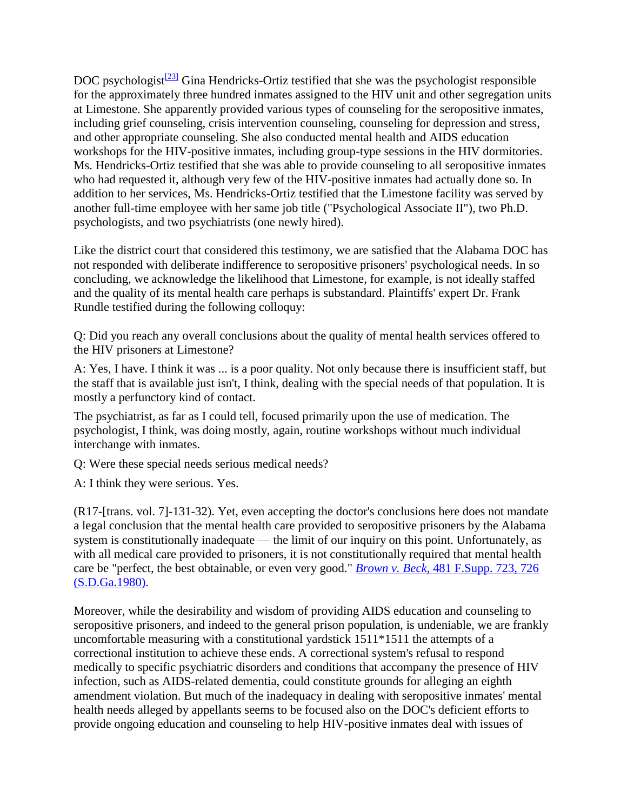DOC psychologist $\frac{[23]}{[23]}$  $\frac{[23]}{[23]}$  $\frac{[23]}{[23]}$  Gina Hendricks-Ortiz testified that she was the psychologist responsible for the approximately three hundred inmates assigned to the HIV unit and other segregation units at Limestone. She apparently provided various types of counseling for the seropositive inmates, including grief counseling, crisis intervention counseling, counseling for depression and stress, and other appropriate counseling. She also conducted mental health and AIDS education workshops for the HIV-positive inmates, including group-type sessions in the HIV dormitories. Ms. Hendricks-Ortiz testified that she was able to provide counseling to all seropositive inmates who had requested it, although very few of the HIV-positive inmates had actually done so. In addition to her services, Ms. Hendricks-Ortiz testified that the Limestone facility was served by another full-time employee with her same job title ("Psychological Associate II"), two Ph.D. psychologists, and two psychiatrists (one newly hired).

Like the district court that considered this testimony, we are satisfied that the Alabama DOC has not responded with deliberate indifference to seropositive prisoners' psychological needs. In so concluding, we acknowledge the likelihood that Limestone, for example, is not ideally staffed and the quality of its mental health care perhaps is substandard. Plaintiffs' expert Dr. Frank Rundle testified during the following colloquy:

Q: Did you reach any overall conclusions about the quality of mental health services offered to the HIV prisoners at Limestone?

A: Yes, I have. I think it was ... is a poor quality. Not only because there is insufficient staff, but the staff that is available just isn't, I think, dealing with the special needs of that population. It is mostly a perfunctory kind of contact.

The psychiatrist, as far as I could tell, focused primarily upon the use of medication. The psychologist, I think, was doing mostly, again, routine workshops without much individual interchange with inmates.

Q: Were these special needs serious medical needs?

A: I think they were serious. Yes.

(R17-[trans. vol. 7]-131-32). Yet, even accepting the doctor's conclusions here does not mandate a legal conclusion that the mental health care provided to seropositive prisoners by the Alabama system is constitutionally inadequate — the limit of our inquiry on this point. Unfortunately, as with all medical care provided to prisoners, it is not constitutionally required that mental health care be "perfect, the best obtainable, or even very good." *Brown v. Beck,* [481 F.Supp. 723, 726](http://scholar.google.co.in/scholar_case?case=5299218919056908683&q=harris+v.+thigpen&hl=en&as_sdt=2,5&scilh=0)  [\(S.D.Ga.1980\).](http://scholar.google.co.in/scholar_case?case=5299218919056908683&q=harris+v.+thigpen&hl=en&as_sdt=2,5&scilh=0)

Moreover, while the desirability and wisdom of providing AIDS education and counseling to seropositive prisoners, and indeed to the general prison population, is undeniable, we are frankly uncomfortable measuring with a constitutional yardstick 1511\*1511 the attempts of a correctional institution to achieve these ends. A correctional system's refusal to respond medically to specific psychiatric disorders and conditions that accompany the presence of HIV infection, such as AIDS-related dementia, could constitute grounds for alleging an eighth amendment violation. But much of the inadequacy in dealing with seropositive inmates' mental health needs alleged by appellants seems to be focused also on the DOC's deficient efforts to provide ongoing education and counseling to help HIV-positive inmates deal with issues of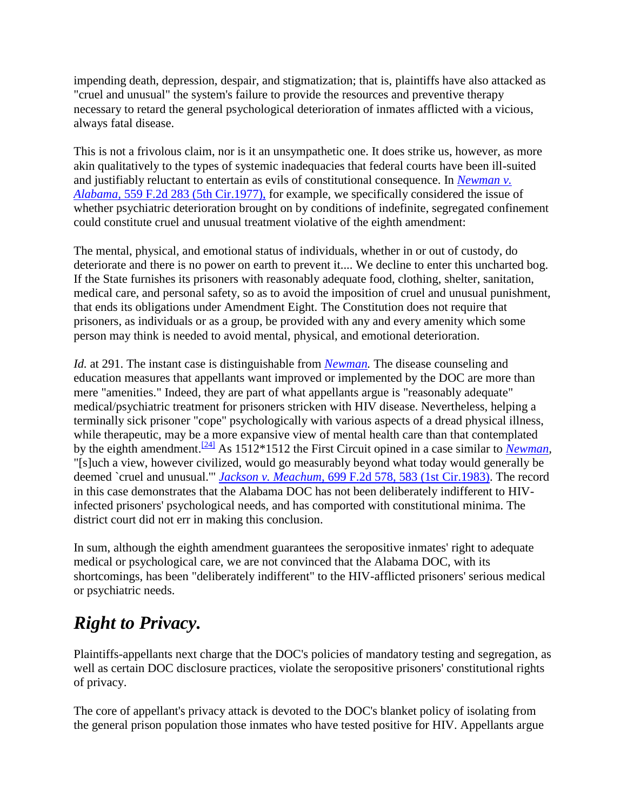impending death, depression, despair, and stigmatization; that is, plaintiffs have also attacked as "cruel and unusual" the system's failure to provide the resources and preventive therapy necessary to retard the general psychological deterioration of inmates afflicted with a vicious, always fatal disease.

This is not a frivolous claim, nor is it an unsympathetic one. It does strike us, however, as more akin qualitatively to the types of systemic inadequacies that federal courts have been ill-suited and justifiably reluctant to entertain as evils of constitutional consequence. In *[Newman v.](http://scholar.google.co.in/scholar_case?case=2518397056878309344&q=harris+v.+thigpen&hl=en&as_sdt=2,5&scilh=0)  Alabama,* [559 F.2d 283 \(5th Cir.1977\),](http://scholar.google.co.in/scholar_case?case=2518397056878309344&q=harris+v.+thigpen&hl=en&as_sdt=2,5&scilh=0) for example, we specifically considered the issue of whether psychiatric deterioration brought on by conditions of indefinite, segregated confinement could constitute cruel and unusual treatment violative of the eighth amendment:

The mental, physical, and emotional status of individuals, whether in or out of custody, do deteriorate and there is no power on earth to prevent it.... We decline to enter this uncharted bog. If the State furnishes its prisoners with reasonably adequate food, clothing, shelter, sanitation, medical care, and personal safety, so as to avoid the imposition of cruel and unusual punishment, that ends its obligations under Amendment Eight. The Constitution does not require that prisoners, as individuals or as a group, be provided with any and every amenity which some person may think is needed to avoid mental, physical, and emotional deterioration.

*Id.* at 291. The instant case is distinguishable from *[Newman.](http://scholar.google.co.in/scholar_case?case=2518397056878309344&q=harris+v.+thigpen&hl=en&as_sdt=2,5&scilh=0)* The disease counseling and education measures that appellants want improved or implemented by the DOC are more than mere "amenities." Indeed, they are part of what appellants argue is "reasonably adequate" medical/psychiatric treatment for prisoners stricken with HIV disease. Nevertheless, helping a terminally sick prisoner "cope" psychologically with various aspects of a dread physical illness, while therapeutic, may be a more expansive view of mental health care than that contemplated by the eighth amendment.[\[24\]](http://scholar.google.co.in/scholar_case?q=harris+v.+thigpen&hl=en&as_sdt=2,5&case=6662398692491934365&scilh=0#[25]) As 1512\*1512 the First Circuit opined in a case similar to *[Newman,](http://scholar.google.co.in/scholar_case?case=2518397056878309344&q=harris+v.+thigpen&hl=en&as_sdt=2,5&scilh=0)* "[s]uch a view, however civilized, would go measurably beyond what today would generally be deemed `cruel and unusual.'" *Jackson v. Meachum,* [699 F.2d 578, 583 \(1st Cir.1983\).](http://scholar.google.co.in/scholar_case?case=14639627207817396323&q=harris+v.+thigpen&hl=en&as_sdt=2,5&scilh=0) The record in this case demonstrates that the Alabama DOC has not been deliberately indifferent to HIVinfected prisoners' psychological needs, and has comported with constitutional minima. The district court did not err in making this conclusion.

In sum, although the eighth amendment guarantees the seropositive inmates' right to adequate medical or psychological care, we are not convinced that the Alabama DOC, with its shortcomings, has been "deliberately indifferent" to the HIV-afflicted prisoners' serious medical or psychiatric needs.

## *Right to Privacy.*

Plaintiffs-appellants next charge that the DOC's policies of mandatory testing and segregation, as well as certain DOC disclosure practices, violate the seropositive prisoners' constitutional rights of privacy.

The core of appellant's privacy attack is devoted to the DOC's blanket policy of isolating from the general prison population those inmates who have tested positive for HIV. Appellants argue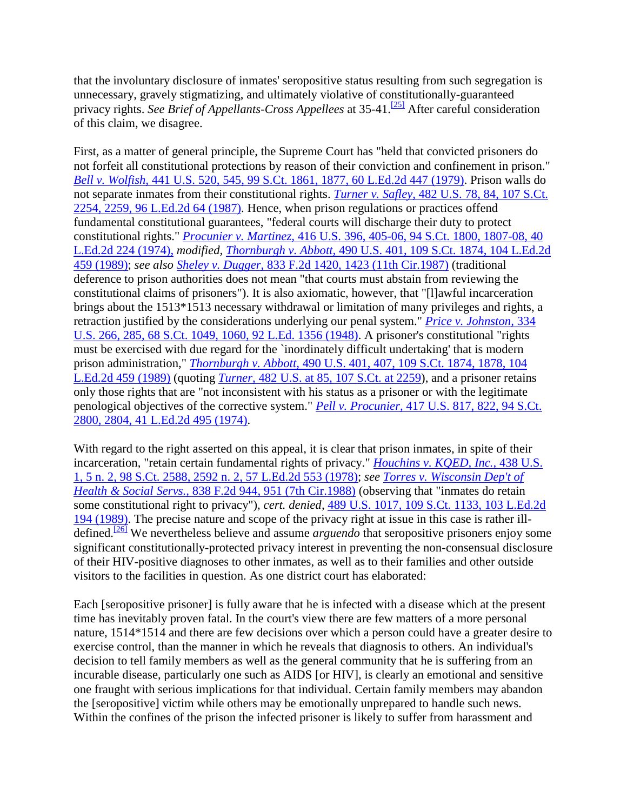that the involuntary disclosure of inmates' seropositive status resulting from such segregation is unnecessary, gravely stigmatizing, and ultimately violative of constitutionally-guaranteed privacy rights. *See Brief of Appellants-Cross Appellees* at 35-41.<sup>[\[25\]](http://scholar.google.co.in/scholar_case?q=harris+v.+thigpen&hl=en&as_sdt=2,5&case=6662398692491934365&scilh=0#[26])</sup> After careful consideration of this claim, we disagree.

First, as a matter of general principle, the Supreme Court has "held that convicted prisoners do not forfeit all constitutional protections by reason of their conviction and confinement in prison." *Bell v. Wolfish,* [441 U.S. 520, 545, 99 S.Ct. 1861, 1877, 60 L.Ed.2d 447 \(1979\).](http://scholar.google.co.in/scholar_case?case=4537162703993098019&q=harris+v.+thigpen&hl=en&as_sdt=2,5&scilh=0) Prison walls do not separate inmates from their constitutional rights. *Turner v. Safley,* [482 U.S. 78, 84, 107 S.Ct.](http://scholar.google.co.in/scholar_case?case=15686747716085264205&q=harris+v.+thigpen&hl=en&as_sdt=2,5&scilh=0)  [2254, 2259, 96 L.Ed.2d 64 \(1987\).](http://scholar.google.co.in/scholar_case?case=15686747716085264205&q=harris+v.+thigpen&hl=en&as_sdt=2,5&scilh=0) Hence, when prison regulations or practices offend fundamental constitutional guarantees, "federal courts will discharge their duty to protect constitutional rights." *Procunier v. Martinez,* [416 U.S. 396, 405-06, 94 S.Ct.](http://scholar.google.co.in/scholar_case?case=11763159251781700837&q=harris+v.+thigpen&hl=en&as_sdt=2,5&scilh=0) 1800, 1807-08, 40 [L.Ed.2d 224 \(1974\),](http://scholar.google.co.in/scholar_case?case=11763159251781700837&q=harris+v.+thigpen&hl=en&as_sdt=2,5&scilh=0) *modified, Thornburgh v. Abbott,* [490 U.S. 401, 109 S.Ct. 1874, 104 L.Ed.2d](http://scholar.google.co.in/scholar_case?case=10863137217586802205&q=harris+v.+thigpen&hl=en&as_sdt=2,5&scilh=0)  [459 \(1989\);](http://scholar.google.co.in/scholar_case?case=10863137217586802205&q=harris+v.+thigpen&hl=en&as_sdt=2,5&scilh=0) *see also Sheley v. Dugger,* [833 F.2d 1420, 1423 \(11th Cir.1987\)](http://scholar.google.co.in/scholar_case?case=15895341580781758743&q=harris+v.+thigpen&hl=en&as_sdt=2,5&scilh=0) (traditional deference to prison authorities does not mean "that courts must abstain from reviewing the constitutional claims of prisoners"). It is also axiomatic, however, that "[l]awful incarceration brings about the 1513\*1513 necessary withdrawal or limitation of many privileges and rights, a retraction justified by the considerations underlying our penal system." *[Price v. Johnston,](http://scholar.google.co.in/scholar_case?case=8145731021014747017&q=harris+v.+thigpen&hl=en&as_sdt=2,5&scilh=0)* 334 [U.S. 266, 285, 68 S.Ct. 1049, 1060, 92 L.Ed. 1356 \(1948\).](http://scholar.google.co.in/scholar_case?case=8145731021014747017&q=harris+v.+thigpen&hl=en&as_sdt=2,5&scilh=0) A prisoner's constitutional "rights must be exercised with due regard for the `inordinately difficult undertaking' that is modern prison administration," *Thornburgh v. Abbott,* [490 U.S. 401, 407, 109 S.Ct. 1874, 1878, 104](http://scholar.google.co.in/scholar_case?case=10863137217586802205&q=harris+v.+thigpen&hl=en&as_sdt=2,5&scilh=0)  [L.Ed.2d 459 \(1989\)](http://scholar.google.co.in/scholar_case?case=10863137217586802205&q=harris+v.+thigpen&hl=en&as_sdt=2,5&scilh=0) (quoting *Turner,* [482 U.S. at 85, 107 S.Ct. at 2259\)](http://scholar.google.co.in/scholar_case?case=15686747716085264205&q=harris+v.+thigpen&hl=en&as_sdt=2,5&scilh=0), and a prisoner retains only those rights that are "not inconsistent with his status as a prisoner or with the legitimate penological objectives of the corrective system." *Pell v. Procunier,* [417 U.S. 817, 822, 94 S.Ct.](http://scholar.google.co.in/scholar_case?case=4925628464386229970&q=harris+v.+thigpen&hl=en&as_sdt=2,5&scilh=0)  [2800, 2804, 41 L.Ed.2d 495 \(1974\).](http://scholar.google.co.in/scholar_case?case=4925628464386229970&q=harris+v.+thigpen&hl=en&as_sdt=2,5&scilh=0)

With regard to the right asserted on this appeal, it is clear that prison inmates, in spite of their incarceration, "retain certain fundamental rights of privacy." *[Houchins v. KQED, Inc.,](http://scholar.google.co.in/scholar_case?case=17191976500273269128&q=harris+v.+thigpen&hl=en&as_sdt=2,5&scilh=0)* 438 U.S. [1, 5 n. 2, 98 S.Ct. 2588, 2592 n. 2, 57 L.Ed.2d 553 \(1978\);](http://scholar.google.co.in/scholar_case?case=17191976500273269128&q=harris+v.+thigpen&hl=en&as_sdt=2,5&scilh=0) *see [Torres v. Wisconsin Dep't of](http://scholar.google.co.in/scholar_case?case=7461837037788685178&q=harris+v.+thigpen&hl=en&as_sdt=2,5&scilh=0)  Health & Social Servs.,* [838 F.2d 944, 951 \(7th Cir.1988\)](http://scholar.google.co.in/scholar_case?case=7461837037788685178&q=harris+v.+thigpen&hl=en&as_sdt=2,5&scilh=0) (observing that "inmates do retain some constitutional right to privacy"), *cert. denied,* [489 U.S. 1017, 109 S.Ct. 1133, 103 L.Ed.2d](http://scholar.google.co.in/scholar_case?about=17022305865878627579&q=harris+v.+thigpen&hl=en&as_sdt=2,5&scilh=0)  [194 \(1989\).](http://scholar.google.co.in/scholar_case?about=17022305865878627579&q=harris+v.+thigpen&hl=en&as_sdt=2,5&scilh=0) The precise nature and scope of the privacy right at issue in this case is rather illdefined.[\[26\]](http://scholar.google.co.in/scholar_case?q=harris+v.+thigpen&hl=en&as_sdt=2,5&case=6662398692491934365&scilh=0#[27]) We nevertheless believe and assume *arguendo* that seropositive prisoners enjoy some significant constitutionally-protected privacy interest in preventing the non-consensual disclosure of their HIV-positive diagnoses to other inmates, as well as to their families and other outside visitors to the facilities in question. As one district court has elaborated:

Each [seropositive prisoner] is fully aware that he is infected with a disease which at the present time has inevitably proven fatal. In the court's view there are few matters of a more personal nature, 1514\*1514 and there are few decisions over which a person could have a greater desire to exercise control, than the manner in which he reveals that diagnosis to others. An individual's decision to tell family members as well as the general community that he is suffering from an incurable disease, particularly one such as AIDS [or HIV], is clearly an emotional and sensitive one fraught with serious implications for that individual. Certain family members may abandon the [seropositive] victim while others may be emotionally unprepared to handle such news. Within the confines of the prison the infected prisoner is likely to suffer from harassment and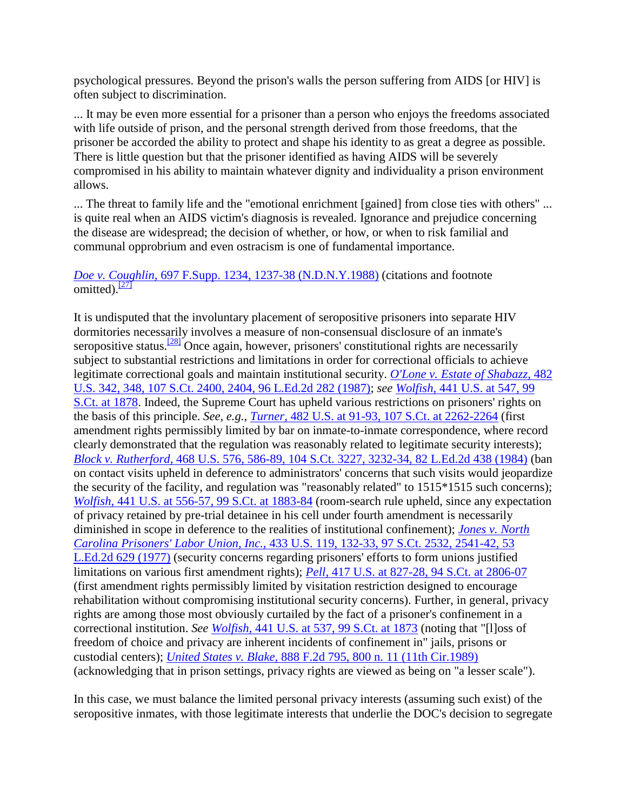psychological pressures. Beyond the prison's walls the person suffering from AIDS [or HIV] is often subject to discrimination.

... It may be even more essential for a prisoner than a person who enjoys the freedoms associated with life outside of prison, and the personal strength derived from those freedoms, that the prisoner be accorded the ability to protect and shape his identity to as great a degree as possible. There is little question but that the prisoner identified as having AIDS will be severely compromised in his ability to maintain whatever dignity and individuality a prison environment allows.

... The threat to family life and the "emotional enrichment [gained] from close ties with others" ... is quite real when an AIDS victim's diagnosis is revealed. Ignorance and prejudice concerning the disease are widespread; the decision of whether, or how, or when to risk familial and communal opprobrium and even ostracism is one of fundamental importance.

*Doe v. Coughlin,* [697 F.Supp. 1234, 1237-38 \(N.D.N.Y.1988\)](http://scholar.google.co.in/scholar_case?case=15779536607300896009&q=harris+v.+thigpen&hl=en&as_sdt=2,5&scilh=0) (citations and footnote omitted). $\sqrt{271}$ 

It is undisputed that the involuntary placement of seropositive prisoners into separate HIV dormitories necessarily involves a measure of non-consensual disclosure of an inmate's seropositive status.<sup>[\[28\]](http://scholar.google.co.in/scholar_case?q=harris+v.+thigpen&hl=en&as_sdt=2,5&case=6662398692491934365&scilh=0#[29])</sup> Once again, however, prisoners' constitutional rights are necessarily subject to substantial restrictions and limitations in order for correctional officials to achieve legitimate correctional goals and maintain institutional security. *O'Lone [v. Estate of Shabazz,](http://scholar.google.co.in/scholar_case?case=12350208557921449896&q=harris+v.+thigpen&hl=en&as_sdt=2,5&scilh=0)* 482 [U.S. 342, 348, 107 S.Ct. 2400, 2404, 96 L.Ed.2d 282 \(1987\);](http://scholar.google.co.in/scholar_case?case=12350208557921449896&q=harris+v.+thigpen&hl=en&as_sdt=2,5&scilh=0) *see Wolfish,* [441 U.S. at 547, 99](http://scholar.google.co.in/scholar_case?case=4537162703993098019&q=harris+v.+thigpen&hl=en&as_sdt=2,5&scilh=0)  [S.Ct. at 1878.](http://scholar.google.co.in/scholar_case?case=4537162703993098019&q=harris+v.+thigpen&hl=en&as_sdt=2,5&scilh=0) Indeed, the Supreme Court has upheld various restrictions on prisoners' rights on the basis of this principle. *See, e.g., Turner,* [482 U.S. at 91-93, 107 S.Ct. at 2262-2264](http://scholar.google.co.in/scholar_case?case=15686747716085264205&q=harris+v.+thigpen&hl=en&as_sdt=2,5&scilh=0) (first amendment rights permissibly limited by bar on inmate-to-inmate correspondence, where record clearly demonstrated that the regulation was reasonably related to legitimate security interests); *Block v. Rutherford,* [468 U.S. 576, 586-89, 104 S.Ct. 3227, 3232-34, 82 L.Ed.2d 438 \(1984\)](http://scholar.google.co.in/scholar_case?case=3486076577590536639&q=harris+v.+thigpen&hl=en&as_sdt=2,5&scilh=0) (ban on contact visits upheld in deference to administrators' concerns that such visits would jeopardize the security of the facility, and regulation was "reasonably related" to 1515\*1515 such concerns); *Wolfish,* [441 U.S. at 556-57, 99 S.Ct. at 1883-84](http://scholar.google.co.in/scholar_case?case=4537162703993098019&q=harris+v.+thigpen&hl=en&as_sdt=2,5&scilh=0) (room-search rule upheld, since any expectation of privacy retained by pre-trial detainee in his cell under fourth amendment is necessarily diminished in scope in deference to the realities of institutional confinement); *[Jones v. North](http://scholar.google.co.in/scholar_case?case=11490439578575640633&q=harris+v.+thigpen&hl=en&as_sdt=2,5&scilh=0)  Carolina Prisoners' Labor Union, Inc.,* [433 U.S. 119, 132-33, 97 S.Ct. 2532, 2541-42, 53](http://scholar.google.co.in/scholar_case?case=11490439578575640633&q=harris+v.+thigpen&hl=en&as_sdt=2,5&scilh=0)  [L.Ed.2d 629 \(1977\)](http://scholar.google.co.in/scholar_case?case=11490439578575640633&q=harris+v.+thigpen&hl=en&as_sdt=2,5&scilh=0) (security concerns regarding prisoners' efforts to form unions justified limitations on various first amendment rights); *Pell,* [417 U.S. at 827-28, 94 S.Ct. at 2806-07](http://scholar.google.co.in/scholar_case?case=4925628464386229970&q=harris+v.+thigpen&hl=en&as_sdt=2,5&scilh=0) (first amendment rights permissibly limited by visitation restriction designed to encourage rehabilitation without compromising institutional security concerns). Further, in general, privacy rights are among those most obviously curtailed by the fact of a prisoner's confinement in a correctional institution. *See Wolfish,* [441 U.S. at 537, 99 S.Ct. at 1873](http://scholar.google.co.in/scholar_case?case=4537162703993098019&q=harris+v.+thigpen&hl=en&as_sdt=2,5&scilh=0) (noting that "[l]oss of freedom of choice and privacy are inherent incidents of confinement in" jails, prisons or custodial centers); *United States v. Blake,* [888 F.2d 795, 800 n. 11 \(11th Cir.1989\)](http://scholar.google.co.in/scholar_case?case=16480683648076146345&q=harris+v.+thigpen&hl=en&as_sdt=2,5&scilh=0) (acknowledging that in prison settings, privacy rights are viewed as being on "a lesser scale").

In this case, we must balance the limited personal privacy interests (assuming such exist) of the seropositive inmates, with those legitimate interests that underlie the DOC's decision to segregate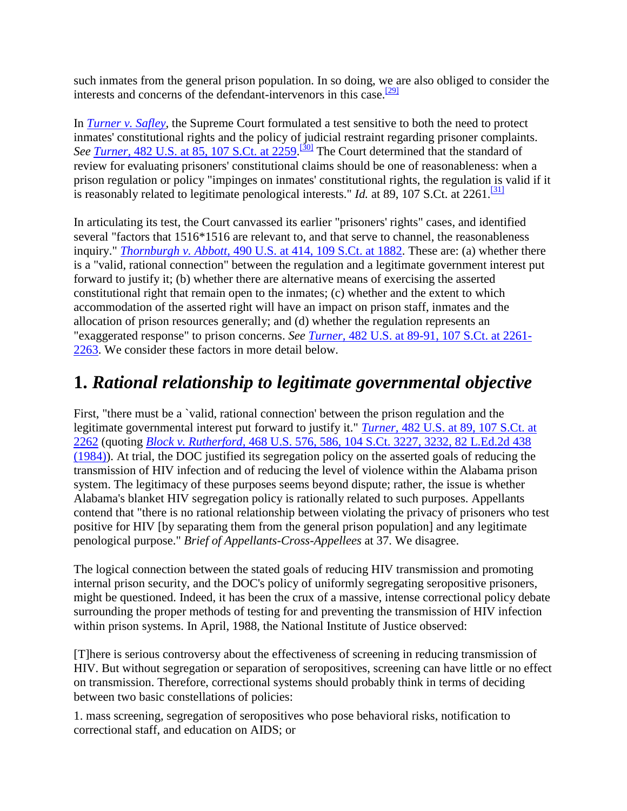such inmates from the general prison population. In so doing, we are also obliged to consider the interests and concerns of the defendant-intervenors in this case. $\frac{[29]}{[29]}$  $\frac{[29]}{[29]}$  $\frac{[29]}{[29]}$ 

In *[Turner v. Safley,](http://scholar.google.co.in/scholar_case?case=15686747716085264205&q=harris+v.+thigpen&hl=en&as_sdt=2,5&scilh=0)* the Supreme Court formulated a test sensitive to both the need to protect inmates' constitutional rights and the policy of judicial restraint regarding prisoner complaints. See <u>Turner, [482 U.S. at 85, 107 S.Ct. at 2259.](http://scholar.google.co.in/scholar_case?case=15686747716085264205&q=harris+v.+thigpen&hl=en&as_sdt=2,5&scilh=0)<sup>[\[30\]](http://scholar.google.co.in/scholar_case?q=harris+v.+thigpen&hl=en&as_sdt=2,5&case=6662398692491934365&scilh=0#[31])</sup></u> The Court determined that the standard of review for evaluating prisoners' constitutional claims should be one of reasonableness: when a prison regulation or policy "impinges on inmates' constitutional rights, the regulation is valid if it is reasonably related to legitimate penological interests." *Id.* at 89, 107 S.Ct. at  $2261$ .<sup>[\[31\]](http://scholar.google.co.in/scholar_case?q=harris+v.+thigpen&hl=en&as_sdt=2,5&case=6662398692491934365&scilh=0#[32])</sup>

In articulating its test, the Court canvassed its earlier "prisoners' rights" cases, and identified several "factors that 1516\*1516 are relevant to, and that serve to channel, the reasonableness inquiry." *Thornburgh v. Abbott,* [490 U.S. at 414, 109 S.Ct. at 1882.](http://scholar.google.co.in/scholar_case?case=10863137217586802205&q=harris+v.+thigpen&hl=en&as_sdt=2,5&scilh=0) These are: (a) whether there is a "valid, rational connection" between the regulation and a legitimate government interest put forward to justify it; (b) whether there are alternative means of exercising the asserted constitutional right that remain open to the inmates; (c) whether and the extent to which accommodation of the asserted right will have an impact on prison staff, inmates and the allocation of prison resources generally; and (d) whether the regulation represents an "exaggerated response" to prison concerns. *See Turner,* [482 U.S. at 89-91, 107 S.Ct. at 2261-](http://scholar.google.co.in/scholar_case?case=15686747716085264205&q=harris+v.+thigpen&hl=en&as_sdt=2,5&scilh=0) [2263.](http://scholar.google.co.in/scholar_case?case=15686747716085264205&q=harris+v.+thigpen&hl=en&as_sdt=2,5&scilh=0) We consider these factors in more detail below.

## **1.** *Rational relationship to legitimate governmental objective*

First, "there must be a `valid, rational connection' between the prison regulation and the legitimate governmental interest put forward to justify it." *Turner,* [482 U.S. at 89, 107 S.Ct. at](http://scholar.google.co.in/scholar_case?case=15686747716085264205&q=harris+v.+thigpen&hl=en&as_sdt=2,5&scilh=0)  [2262](http://scholar.google.co.in/scholar_case?case=15686747716085264205&q=harris+v.+thigpen&hl=en&as_sdt=2,5&scilh=0) (quoting *Block v. Rutherford,* [468 U.S. 576, 586, 104 S.Ct. 3227, 3232, 82 L.Ed.2d 438](http://scholar.google.co.in/scholar_case?case=3486076577590536639&q=harris+v.+thigpen&hl=en&as_sdt=2,5&scilh=0)  [\(1984\)\)](http://scholar.google.co.in/scholar_case?case=3486076577590536639&q=harris+v.+thigpen&hl=en&as_sdt=2,5&scilh=0). At trial, the DOC justified its segregation policy on the asserted goals of reducing the transmission of HIV infection and of reducing the level of violence within the Alabama prison system. The legitimacy of these purposes seems beyond dispute; rather, the issue is whether Alabama's blanket HIV segregation policy is rationally related to such purposes. Appellants contend that "there is no rational relationship between violating the privacy of prisoners who test positive for HIV [by separating them from the general prison population] and any legitimate penological purpose." *Brief of Appellants-Cross-Appellees* at 37. We disagree.

The logical connection between the stated goals of reducing HIV transmission and promoting internal prison security, and the DOC's policy of uniformly segregating seropositive prisoners, might be questioned. Indeed, it has been the crux of a massive, intense correctional policy debate surrounding the proper methods of testing for and preventing the transmission of HIV infection within prison systems. In April, 1988, the National Institute of Justice observed:

[T]here is serious controversy about the effectiveness of screening in reducing transmission of HIV. But without segregation or separation of seropositives, screening can have little or no effect on transmission. Therefore, correctional systems should probably think in terms of deciding between two basic constellations of policies:

1. mass screening, segregation of seropositives who pose behavioral risks, notification to correctional staff, and education on AIDS; or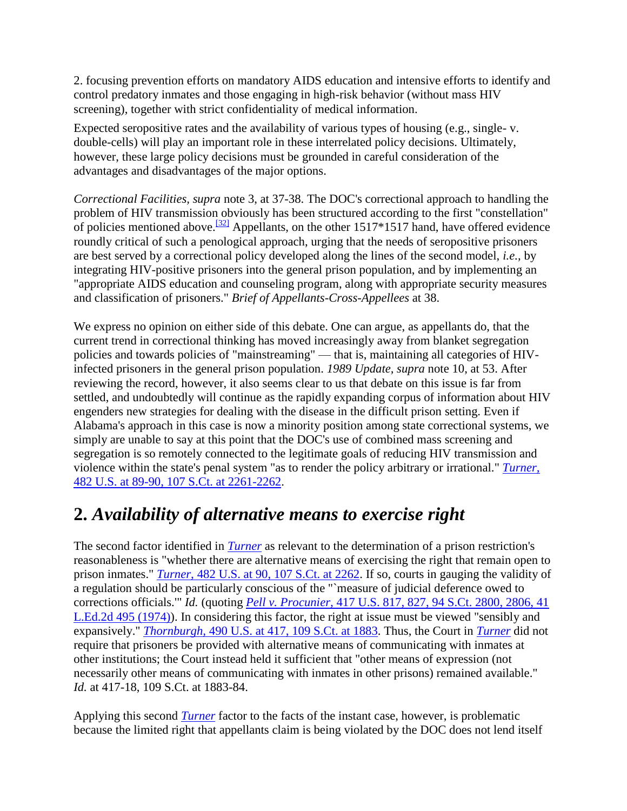2. focusing prevention efforts on mandatory AIDS education and intensive efforts to identify and control predatory inmates and those engaging in high-risk behavior (without mass HIV screening), together with strict confidentiality of medical information.

Expected seropositive rates and the availability of various types of housing (e.g., single- v. double-cells) will play an important role in these interrelated policy decisions. Ultimately, however, these large policy decisions must be grounded in careful consideration of the advantages and disadvantages of the major options.

*Correctional Facilities, supra* note 3, at 37-38. The DOC's correctional approach to handling the problem of HIV transmission obviously has been structured according to the first "constellation" of policies mentioned above.<sup>[\[32\]](http://scholar.google.co.in/scholar_case?q=harris+v.+thigpen&hl=en&as_sdt=2,5&case=6662398692491934365&scilh=0#[33])</sup> Appellants, on the other 1517\*1517 hand, have offered evidence roundly critical of such a penological approach, urging that the needs of seropositive prisoners are best served by a correctional policy developed along the lines of the second model, *i.e.,* by integrating HIV-positive prisoners into the general prison population, and by implementing an "appropriate AIDS education and counseling program, along with appropriate security measures and classification of prisoners." *Brief of Appellants-Cross-Appellees* at 38.

We express no opinion on either side of this debate. One can argue, as appellants do, that the current trend in correctional thinking has moved increasingly away from blanket segregation policies and towards policies of "mainstreaming" — that is, maintaining all categories of HIVinfected prisoners in the general prison population. *1989 Update, supra* note 10, at 53. After reviewing the record, however, it also seems clear to us that debate on this issue is far from settled, and undoubtedly will continue as the rapidly expanding corpus of information about HIV engenders new strategies for dealing with the disease in the difficult prison setting. Even if Alabama's approach in this case is now a minority position among state correctional systems, we simply are unable to say at this point that the DOC's use of combined mass screening and segregation is so remotely connected to the legitimate goals of reducing HIV transmission and violence within the state's penal system "as to render the policy arbitrary or irrational." *[Turner,](http://scholar.google.co.in/scholar_case?case=15686747716085264205&q=harris+v.+thigpen&hl=en&as_sdt=2,5&scilh=0)* [482 U.S. at 89-90, 107 S.Ct. at 2261-2262.](http://scholar.google.co.in/scholar_case?case=15686747716085264205&q=harris+v.+thigpen&hl=en&as_sdt=2,5&scilh=0)

### **2.** *Availability of alternative means to exercise right*

The second factor identified in *[Turner](http://scholar.google.co.in/scholar_case?case=15686747716085264205&q=harris+v.+thigpen&hl=en&as_sdt=2,5&scilh=0)* as relevant to the determination of a prison restriction's reasonableness is "whether there are alternative means of exercising the right that remain open to prison inmates." *Turner,* [482 U.S. at 90, 107 S.Ct. at 2262.](http://scholar.google.co.in/scholar_case?case=15686747716085264205&q=harris+v.+thigpen&hl=en&as_sdt=2,5&scilh=0) If so, courts in gauging the validity of a regulation should be particularly conscious of the "`measure of judicial deference owed to corrections officials.'" *Id.* (quoting *Pell v. Procunier,* [417 U.S. 817, 827, 94 S.Ct. 2800, 2806, 41](http://scholar.google.co.in/scholar_case?case=4925628464386229970&q=harris+v.+thigpen&hl=en&as_sdt=2,5&scilh=0)  [L.Ed.2d 495 \(1974\)\)](http://scholar.google.co.in/scholar_case?case=4925628464386229970&q=harris+v.+thigpen&hl=en&as_sdt=2,5&scilh=0). In considering this factor, the right at issue must be viewed "sensibly and expansively." *Thornburgh,* [490 U.S. at 417, 109 S.Ct. at 1883.](http://scholar.google.co.in/scholar_case?case=10863137217586802205&q=harris+v.+thigpen&hl=en&as_sdt=2,5&scilh=0) Thus, the Court in *[Turner](http://scholar.google.co.in/scholar_case?case=15686747716085264205&q=harris+v.+thigpen&hl=en&as_sdt=2,5&scilh=0)* did not require that prisoners be provided with alternative means of communicating with inmates at other institutions; the Court instead held it sufficient that "other means of expression (not necessarily other means of communicating with inmates in other prisons) remained available." *Id.* at 417-18, 109 S.Ct. at 1883-84.

Applying this second *[Turner](http://scholar.google.co.in/scholar_case?case=15686747716085264205&q=harris+v.+thigpen&hl=en&as_sdt=2,5&scilh=0)* factor to the facts of the instant case, however, is problematic because the limited right that appellants claim is being violated by the DOC does not lend itself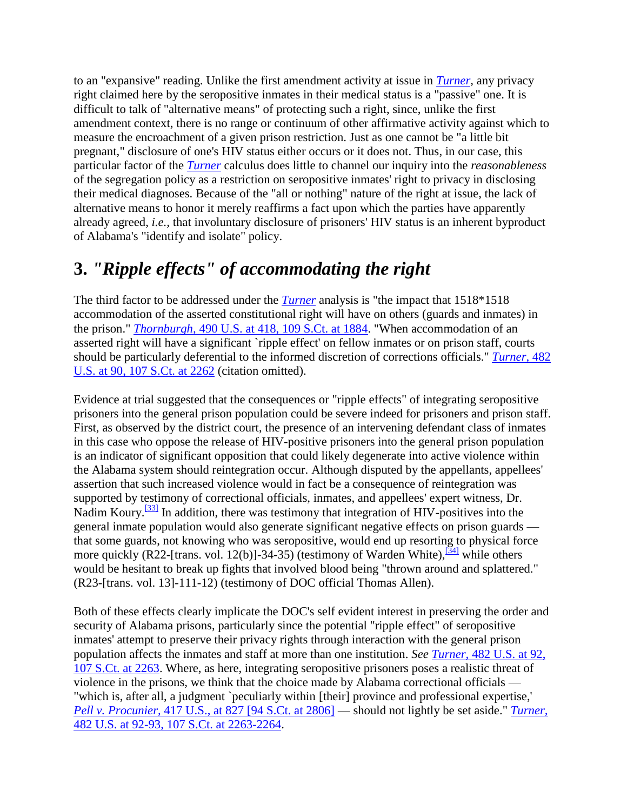to an "expansive" reading. Unlike the first amendment activity at issue in *[Turner,](http://scholar.google.co.in/scholar_case?case=15686747716085264205&q=harris+v.+thigpen&hl=en&as_sdt=2,5&scilh=0)* any privacy right claimed here by the seropositive inmates in their medical status is a "passive" one. It is difficult to talk of "alternative means" of protecting such a right, since, unlike the first amendment context, there is no range or continuum of other affirmative activity against which to measure the encroachment of a given prison restriction. Just as one cannot be "a little bit pregnant," disclosure of one's HIV status either occurs or it does not. Thus, in our case, this particular factor of the *[Turner](http://scholar.google.co.in/scholar_case?case=15686747716085264205&q=harris+v.+thigpen&hl=en&as_sdt=2,5&scilh=0)* calculus does little to channel our inquiry into the *reasonableness* of the segregation policy as a restriction on seropositive inmates' right to privacy in disclosing their medical diagnoses. Because of the "all or nothing" nature of the right at issue, the lack of alternative means to honor it merely reaffirms a fact upon which the parties have apparently already agreed, *i.e.,* that involuntary disclosure of prisoners' HIV status is an inherent byproduct of Alabama's "identify and isolate" policy.

### **3.** *"Ripple effects" of accommodating the right*

The third factor to be addressed under the *[Turner](http://scholar.google.co.in/scholar_case?case=15686747716085264205&q=harris+v.+thigpen&hl=en&as_sdt=2,5&scilh=0)* analysis is "the impact that 1518\*1518 accommodation of the asserted constitutional right will have on others (guards and inmates) in the prison." *Thornburgh,* [490 U.S. at 418, 109 S.Ct. at 1884.](http://scholar.google.co.in/scholar_case?case=10863137217586802205&q=harris+v.+thigpen&hl=en&as_sdt=2,5&scilh=0) "When accommodation of an asserted right will have a significant `ripple effect' on fellow inmates or on prison staff, courts should be particularly deferential to the informed discretion of corrections officials." *[Turner,](http://scholar.google.co.in/scholar_case?case=15686747716085264205&q=harris+v.+thigpen&hl=en&as_sdt=2,5&scilh=0)* 482 [U.S. at 90, 107 S.Ct. at 2262](http://scholar.google.co.in/scholar_case?case=15686747716085264205&q=harris+v.+thigpen&hl=en&as_sdt=2,5&scilh=0) (citation omitted).

Evidence at trial suggested that the consequences or "ripple effects" of integrating seropositive prisoners into the general prison population could be severe indeed for prisoners and prison staff. First, as observed by the district court, the presence of an intervening defendant class of inmates in this case who oppose the release of HIV-positive prisoners into the general prison population is an indicator of significant opposition that could likely degenerate into active violence within the Alabama system should reintegration occur. Although disputed by the appellants, appellees' assertion that such increased violence would in fact be a consequence of reintegration was supported by testimony of correctional officials, inmates, and appellees' expert witness, Dr. Nadim Koury.<sup>[\[33\]](http://scholar.google.co.in/scholar_case?q=harris+v.+thigpen&hl=en&as_sdt=2,5&case=6662398692491934365&scilh=0#[34])</sup> In addition, there was testimony that integration of HIV-positives into the general inmate population would also generate significant negative effects on prison guards that some guards, not knowing who was seropositive, would end up resorting to physical force more quickly (R22-[trans. vol. 12(b)]-34-35) (testimony of Warden White), $\frac{341}{124}$  while others would be hesitant to break up fights that involved blood being "thrown around and splattered." (R23-[trans. vol. 13]-111-12) (testimony of DOC official Thomas Allen).

Both of these effects clearly implicate the DOC's self evident interest in preserving the order and security of Alabama prisons, particularly since the potential "ripple effect" of seropositive inmates' attempt to preserve their privacy rights through interaction with the general prison population affects the inmates and staff at more than one institution. *See Turner,* [482 U.S. at 92,](http://scholar.google.co.in/scholar_case?case=15686747716085264205&q=harris+v.+thigpen&hl=en&as_sdt=2,5&scilh=0)  [107 S.Ct. at 2263.](http://scholar.google.co.in/scholar_case?case=15686747716085264205&q=harris+v.+thigpen&hl=en&as_sdt=2,5&scilh=0) Where, as here, integrating seropositive prisoners poses a realistic threat of violence in the prisons, we think that the choice made by Alabama correctional officials — "which is, after all, a judgment `peculiarly within [their] province and professional expertise,' *Pell v. Procunier,* [417 U.S., at 827 \[94 S.Ct. at 2806\]](http://scholar.google.co.in/scholar_case?case=4925628464386229970&q=harris+v.+thigpen&hl=en&as_sdt=2,5&scilh=0) — should not lightly be set aside." *[Turner,](http://scholar.google.co.in/scholar_case?case=15686747716085264205&q=harris+v.+thigpen&hl=en&as_sdt=2,5&scilh=0)* [482 U.S. at 92-93, 107 S.Ct. at 2263-2264.](http://scholar.google.co.in/scholar_case?case=15686747716085264205&q=harris+v.+thigpen&hl=en&as_sdt=2,5&scilh=0)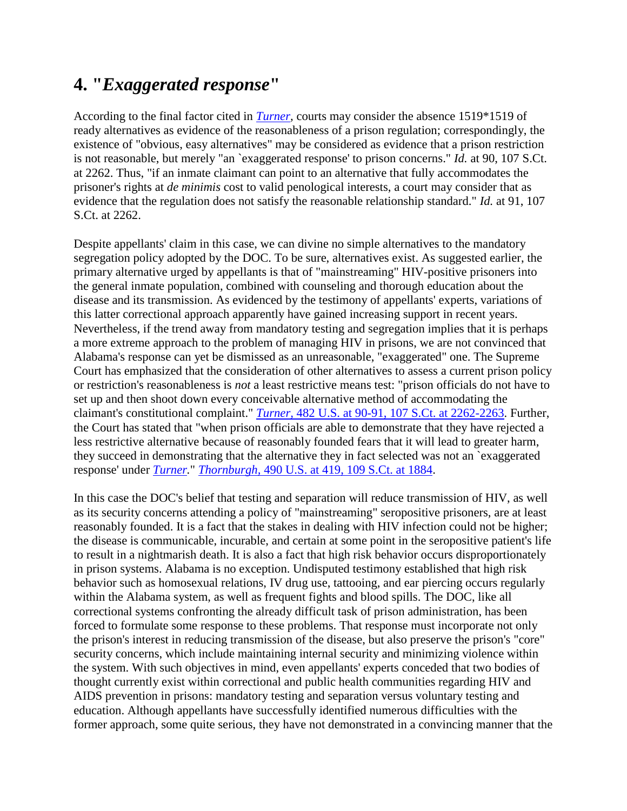### **4. "***Exaggerated response***"**

According to the final factor cited in *[Turner,](http://scholar.google.co.in/scholar_case?case=15686747716085264205&q=harris+v.+thigpen&hl=en&as_sdt=2,5&scilh=0)* courts may consider the absence 1519\*1519 of ready alternatives as evidence of the reasonableness of a prison regulation; correspondingly, the existence of "obvious, easy alternatives" may be considered as evidence that a prison restriction is not reasonable, but merely "an `exaggerated response' to prison concerns." *Id.* at 90, 107 S.Ct. at 2262. Thus, "if an inmate claimant can point to an alternative that fully accommodates the prisoner's rights at *de minimis* cost to valid penological interests, a court may consider that as evidence that the regulation does not satisfy the reasonable relationship standard." *Id.* at 91, 107 S.Ct. at 2262.

Despite appellants' claim in this case, we can divine no simple alternatives to the mandatory segregation policy adopted by the DOC. To be sure, alternatives exist. As suggested earlier, the primary alternative urged by appellants is that of "mainstreaming" HIV-positive prisoners into the general inmate population, combined with counseling and thorough education about the disease and its transmission. As evidenced by the testimony of appellants' experts, variations of this latter correctional approach apparently have gained increasing support in recent years. Nevertheless, if the trend away from mandatory testing and segregation implies that it is perhaps a more extreme approach to the problem of managing HIV in prisons, we are not convinced that Alabama's response can yet be dismissed as an unreasonable, "exaggerated" one. The Supreme Court has emphasized that the consideration of other alternatives to assess a current prison policy or restriction's reasonableness is *not* a least restrictive means test: "prison officials do not have to set up and then shoot down every conceivable alternative method of accommodating the claimant's constitutional complaint." *Turner,* [482 U.S. at 90-91, 107 S.Ct. at 2262-2263.](http://scholar.google.co.in/scholar_case?case=15686747716085264205&q=harris+v.+thigpen&hl=en&as_sdt=2,5&scilh=0) Further, the Court has stated that "when prison officials are able to demonstrate that they have rejected a less restrictive alternative because of reasonably founded fears that it will lead to greater harm, they succeed in demonstrating that the alternative they in fact selected was not an `exaggerated response' under *[Turner.](http://scholar.google.co.in/scholar_case?case=15686747716085264205&q=harris+v.+thigpen&hl=en&as_sdt=2,5&scilh=0)*" *Thornburgh,* [490 U.S. at 419, 109 S.Ct. at 1884.](http://scholar.google.co.in/scholar_case?case=10863137217586802205&q=harris+v.+thigpen&hl=en&as_sdt=2,5&scilh=0)

In this case the DOC's belief that testing and separation will reduce transmission of HIV, as well as its security concerns attending a policy of "mainstreaming" seropositive prisoners, are at least reasonably founded. It is a fact that the stakes in dealing with HIV infection could not be higher; the disease is communicable, incurable, and certain at some point in the seropositive patient's life to result in a nightmarish death. It is also a fact that high risk behavior occurs disproportionately in prison systems. Alabama is no exception. Undisputed testimony established that high risk behavior such as homosexual relations, IV drug use, tattooing, and ear piercing occurs regularly within the Alabama system, as well as frequent fights and blood spills. The DOC, like all correctional systems confronting the already difficult task of prison administration, has been forced to formulate some response to these problems. That response must incorporate not only the prison's interest in reducing transmission of the disease, but also preserve the prison's "core" security concerns, which include maintaining internal security and minimizing violence within the system. With such objectives in mind, even appellants' experts conceded that two bodies of thought currently exist within correctional and public health communities regarding HIV and AIDS prevention in prisons: mandatory testing and separation versus voluntary testing and education. Although appellants have successfully identified numerous difficulties with the former approach, some quite serious, they have not demonstrated in a convincing manner that the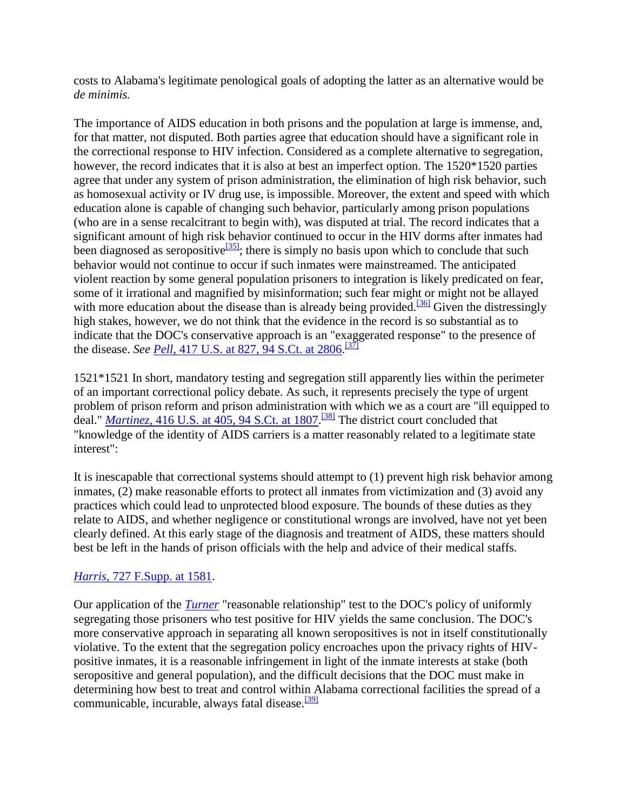costs to Alabama's legitimate penological goals of adopting the latter as an alternative would be *de minimis.*

The importance of AIDS education in both prisons and the population at large is immense, and, for that matter, not disputed. Both parties agree that education should have a significant role in the correctional response to HIV infection. Considered as a complete alternative to segregation, however, the record indicates that it is also at best an imperfect option. The 1520\*1520 parties agree that under any system of prison administration, the elimination of high risk behavior, such as homosexual activity or IV drug use, is impossible. Moreover, the extent and speed with which education alone is capable of changing such behavior, particularly among prison populations (who are in a sense recalcitrant to begin with), was disputed at trial. The record indicates that a significant amount of high risk behavior continued to occur in the HIV dorms after inmates had been diagnosed as seropositive<sup>[\[35\]](http://scholar.google.co.in/scholar_case?q=harris+v.+thigpen&hl=en&as_sdt=2,5&case=6662398692491934365&scilh=0#[36])</sup>; there is simply no basis upon which to conclude that such behavior would not continue to occur if such inmates were mainstreamed. The anticipated violent reaction by some general population prisoners to integration is likely predicated on fear, some of it irrational and magnified by misinformation; such fear might or might not be allayed with more education about the disease than is already being provided.<sup>[\[36\]](http://scholar.google.co.in/scholar_case?q=harris+v.+thigpen&hl=en&as_sdt=2,5&case=6662398692491934365&scilh=0#[37])</sup> Given the distressingly high stakes, however, we do not think that the evidence in the record is so substantial as to indicate that the DOC's conservative approach is an "exaggerated response" to the presence of the disease. *See <u>Pell,*</u> [417 U.S. at 827, 94 S.Ct. at 2806.](http://scholar.google.co.in/scholar_case?case=4925628464386229970&q=harris+v.+thigpen&hl=en&as_sdt=2,5&scilh=0)<sup>[\[37\]](http://scholar.google.co.in/scholar_case?q=harris+v.+thigpen&hl=en&as_sdt=2,5&case=6662398692491934365&scilh=0#[38])</sup>

1521\*1521 In short, mandatory testing and segregation still apparently lies within the perimeter of an important correctional policy debate. As such, it represents precisely the type of urgent problem of prison reform and prison administration with which we as a court are "ill equipped to deal." *Martinez,* [416 U.S. at 405, 94 S.Ct. at 1807.](http://scholar.google.co.in/scholar_case?case=11763159251781700837&q=harris+v.+thigpen&hl=en&as_sdt=2,5&scilh=0) [\[38\]](http://scholar.google.co.in/scholar_case?q=harris+v.+thigpen&hl=en&as_sdt=2,5&case=6662398692491934365&scilh=0#[39]) The district court concluded that "knowledge of the identity of AIDS carriers is a matter reasonably related to a legitimate state interest":

It is inescapable that correctional systems should attempt to (1) prevent high risk behavior among inmates, (2) make reasonable efforts to protect all inmates from victimization and (3) avoid any practices which could lead to unprotected blood exposure. The bounds of these duties as they relate to AIDS, and whether negligence or constitutional wrongs are involved, have not yet been clearly defined. At this early stage of the diagnosis and treatment of AIDS, these matters should best be left in the hands of prison officials with the help and advice of their medical staffs.

### *Harris,* [727 F.Supp. at 1581.](http://scholar.google.co.in/scholar_case?case=2551066781948846197&q=harris+v.+thigpen&hl=en&as_sdt=2,5&scilh=0)

Our application of the *[Turner](http://scholar.google.co.in/scholar_case?case=15686747716085264205&q=harris+v.+thigpen&hl=en&as_sdt=2,5&scilh=0)* "reasonable relationship" test to the DOC's policy of uniformly segregating those prisoners who test positive for HIV yields the same conclusion. The DOC's more conservative approach in separating all known seropositives is not in itself constitutionally violative. To the extent that the segregation policy encroaches upon the privacy rights of HIVpositive inmates, it is a reasonable infringement in light of the inmate interests at stake (both seropositive and general population), and the difficult decisions that the DOC must make in determining how best to treat and control within Alabama correctional facilities the spread of a communicable, incurable, always fatal disease.<sup>[\[39\]](http://scholar.google.co.in/scholar_case?q=harris+v.+thigpen&hl=en&as_sdt=2,5&case=6662398692491934365&scilh=0#[40])</sup>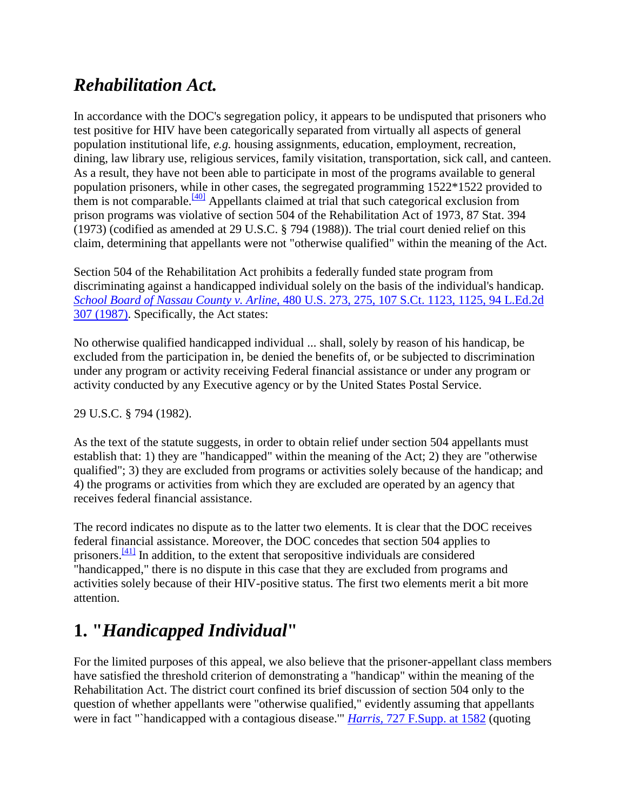## *Rehabilitation Act.*

In accordance with the DOC's segregation policy, it appears to be undisputed that prisoners who test positive for HIV have been categorically separated from virtually all aspects of general population institutional life, *e.g.* housing assignments, education, employment, recreation, dining, law library use, religious services, family visitation, transportation, sick call, and canteen. As a result, they have not been able to participate in most of the programs available to general population prisoners, while in other cases, the segregated programming 1522\*1522 provided to them is not comparable.<sup>[\[40\]](http://scholar.google.co.in/scholar_case?q=harris+v.+thigpen&hl=en&as_sdt=2,5&case=6662398692491934365&scilh=0#[41])</sup> Appellants claimed at trial that such categorical exclusion from prison programs was violative of section 504 of the Rehabilitation Act of 1973, 87 Stat. 394 (1973) (codified as amended at 29 U.S.C. § 794 (1988)). The trial court denied relief on this claim, determining that appellants were not "otherwise qualified" within the meaning of the Act.

Section 504 of the Rehabilitation Act prohibits a federally funded state program from discriminating against a handicapped individual solely on the basis of the individual's handicap. *School Board of Nassau County v. Arline,* [480 U.S. 273, 275, 107 S.Ct. 1123, 1125, 94 L.Ed.2d](http://scholar.google.co.in/scholar_case?case=18375668216164208702&q=harris+v.+thigpen&hl=en&as_sdt=2,5&scilh=0)  [307 \(1987\).](http://scholar.google.co.in/scholar_case?case=18375668216164208702&q=harris+v.+thigpen&hl=en&as_sdt=2,5&scilh=0) Specifically, the Act states:

No otherwise qualified handicapped individual ... shall, solely by reason of his handicap, be excluded from the participation in, be denied the benefits of, or be subjected to discrimination under any program or activity receiving Federal financial assistance or under any program or activity conducted by any Executive agency or by the United States Postal Service.

### 29 U.S.C. § 794 (1982).

As the text of the statute suggests, in order to obtain relief under section 504 appellants must establish that: 1) they are "handicapped" within the meaning of the Act; 2) they are "otherwise qualified"; 3) they are excluded from programs or activities solely because of the handicap; and 4) the programs or activities from which they are excluded are operated by an agency that receives federal financial assistance.

The record indicates no dispute as to the latter two elements. It is clear that the DOC receives federal financial assistance. Moreover, the DOC concedes that section 504 applies to prisoners. $\frac{[41]}{[41]}$  $\frac{[41]}{[41]}$  $\frac{[41]}{[41]}$  In addition, to the extent that seropositive individuals are considered "handicapped," there is no dispute in this case that they are excluded from programs and activities solely because of their HIV-positive status. The first two elements merit a bit more attention.

## **1. "***Handicapped Individual***"**

For the limited purposes of this appeal, we also believe that the prisoner-appellant class members have satisfied the threshold criterion of demonstrating a "handicap" within the meaning of the Rehabilitation Act. The district court confined its brief discussion of section 504 only to the question of whether appellants were "otherwise qualified," evidently assuming that appellants were in fact "`handicapped with a contagious disease.'" *Harris,* [727 F.Supp. at 1582](http://scholar.google.co.in/scholar_case?case=2551066781948846197&q=harris+v.+thigpen&hl=en&as_sdt=2,5&scilh=0) (quoting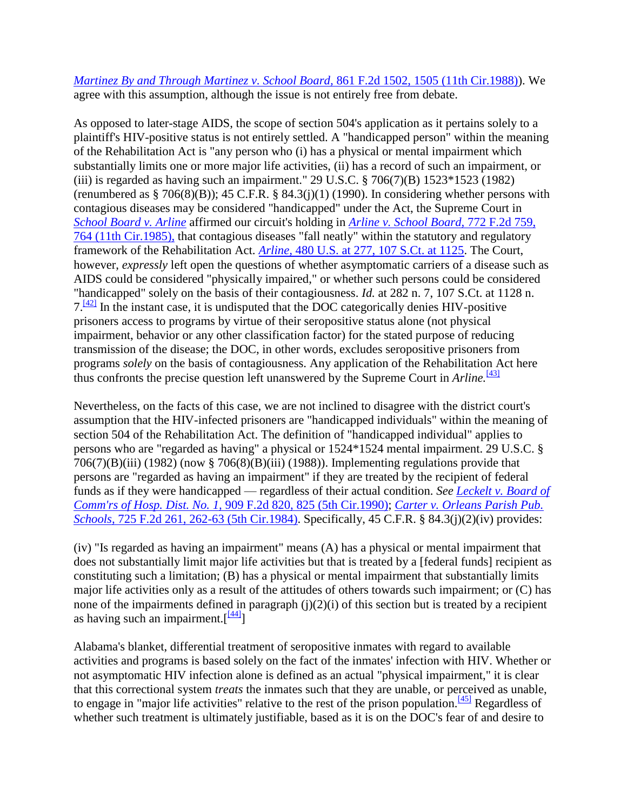### *[Martinez By and Through Martinez v. School Board,](http://scholar.google.co.in/scholar_case?case=10494485128514776894&q=harris+v.+thigpen&hl=en&as_sdt=2,5&scilh=0)* 861 F.2d 1502, 1505 (11th Cir.1988)). We agree with this assumption, although the issue is not entirely free from debate.

As opposed to later-stage AIDS, the scope of section 504's application as it pertains solely to a plaintiff's HIV-positive status is not entirely settled. A "handicapped person" within the meaning of the Rehabilitation Act is "any person who (i) has a physical or mental impairment which substantially limits one or more major life activities, (ii) has a record of such an impairment, or (iii) is regarded as having such an impairment." 29 U.S.C.  $\S 706(7)(B) 1523*1523 (1982)$ (renumbered as  $\S$  706(8)(B)); 45 C.F.R.  $\S$  84.3(j)(1) (1990). In considering whether persons with contagious diseases may be considered "handicapped" under the Act, the Supreme Court in *[School Board v. Arline](http://scholar.google.co.in/scholar_case?case=18375668216164208702&q=harris+v.+thigpen&hl=en&as_sdt=2,5&scilh=0)* affirmed our circuit's holding in *[Arline v. School Board,](http://scholar.google.co.in/scholar_case?case=16628185042331510503&q=harris+v.+thigpen&hl=en&as_sdt=2,5&scilh=0)* 772 F.2d 759, [764 \(11th Cir.1985\),](http://scholar.google.co.in/scholar_case?case=16628185042331510503&q=harris+v.+thigpen&hl=en&as_sdt=2,5&scilh=0) that contagious diseases "fall neatly" within the statutory and regulatory framework of the Rehabilitation Act. *Arline,* [480 U.S. at 277, 107 S.Ct. at 1125.](http://scholar.google.co.in/scholar_case?case=18375668216164208702&q=harris+v.+thigpen&hl=en&as_sdt=2,5&scilh=0) The Court, however, *expressly* left open the questions of whether asymptomatic carriers of a disease such as AIDS could be considered "physically impaired," or whether such persons could be considered "handicapped" solely on the basis of their contagiousness. *Id.* at 282 n. 7, 107 S.Ct. at 1128 n.  $7.\overline{^{[42]}}$  $7.\overline{^{[42]}}$  $7.\overline{^{[42]}}$  In the instant case, it is undisputed that the DOC categorically denies HIV-positive prisoners access to programs by virtue of their seropositive status alone (not physical impairment, behavior or any other classification factor) for the stated purpose of reducing transmission of the disease; the DOC, in other words, excludes seropositive prisoners from programs *solely* on the basis of contagiousness. Any application of the Rehabilitation Act here thus confronts the precise question left unanswered by the Supreme Court in  $Arline$ .<sup>[\[43\]](http://scholar.google.co.in/scholar_case?q=harris+v.+thigpen&hl=en&as_sdt=2,5&case=6662398692491934365&scilh=0#[44])</sup>

Nevertheless, on the facts of this case, we are not inclined to disagree with the district court's assumption that the HIV-infected prisoners are "handicapped individuals" within the meaning of section 504 of the Rehabilitation Act. The definition of "handicapped individual" applies to persons who are "regarded as having" a physical or 1524\*1524 mental impairment. 29 U.S.C. § 706(7)(B)(iii) (1982) (now § 706(8)(B)(iii) (1988)). Implementing regulations provide that persons are "regarded as having an impairment" if they are treated by the recipient of federal funds as if they were handicapped — regardless of their actual condition. *See [Leckelt v. Board of](http://scholar.google.co.in/scholar_case?case=6151101401729533521&q=harris+v.+thigpen&hl=en&as_sdt=2,5&scilh=0)  Comm'rs of Hosp. Dist. No. 1,* [909 F.2d 820, 825 \(5th Cir.1990\);](http://scholar.google.co.in/scholar_case?case=6151101401729533521&q=harris+v.+thigpen&hl=en&as_sdt=2,5&scilh=0) *[Carter v. Orleans Parish Pub.](http://scholar.google.co.in/scholar_case?case=5020599522676968052&q=harris+v.+thigpen&hl=en&as_sdt=2,5&scilh=0)  Schools,* [725 F.2d 261, 262-63 \(5th Cir.1984\).](http://scholar.google.co.in/scholar_case?case=5020599522676968052&q=harris+v.+thigpen&hl=en&as_sdt=2,5&scilh=0) Specifically, 45 C.F.R. § 84.3(j)(2)(iv) provides:

(iv) "Is regarded as having an impairment" means (A) has a physical or mental impairment that does not substantially limit major life activities but that is treated by a [federal funds] recipient as constituting such a limitation; (B) has a physical or mental impairment that substantially limits major life activities only as a result of the attitudes of others towards such impairment; or (C) has none of the impairments defined in paragraph  $(i)(2)(i)$  of this section but is treated by a recipient as having such an impairment. $\lceil \frac{[44]}{]} \rceil$  $\lceil \frac{[44]}{]} \rceil$  $\lceil \frac{[44]}{]} \rceil$ 

Alabama's blanket, differential treatment of seropositive inmates with regard to available activities and programs is based solely on the fact of the inmates' infection with HIV. Whether or not asymptomatic HIV infection alone is defined as an actual "physical impairment," it is clear that this correctional system *treats* the inmates such that they are unable, or perceived as unable, to engage in "major life activities" relative to the rest of the prison population. $\frac{[45]}{]}$  $\frac{[45]}{]}$  $\frac{[45]}{]}$  Regardless of whether such treatment is ultimately justifiable, based as it is on the DOC's fear of and desire to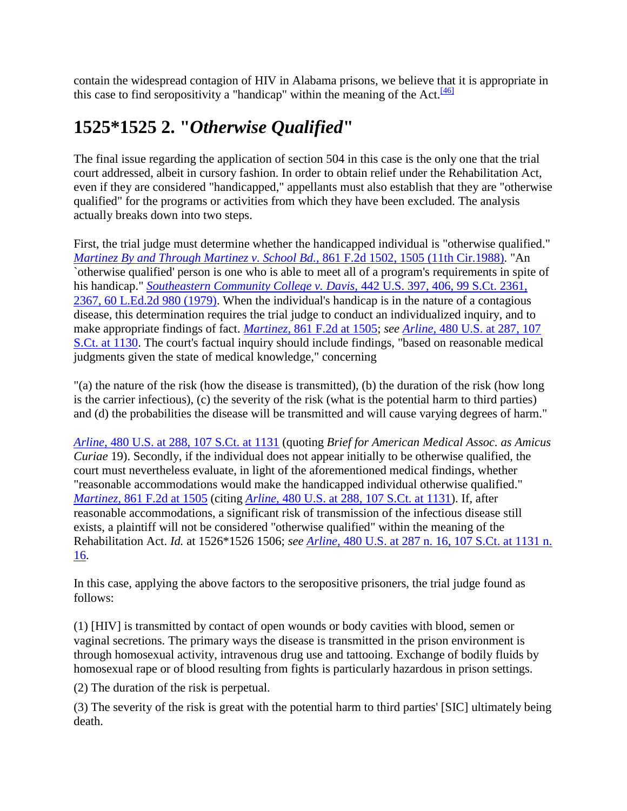contain the widespread contagion of HIV in Alabama prisons, we believe that it is appropriate in this case to find seropositivity a "handicap" within the meaning of the Act.  $\frac{[46]}{[46]}$  $\frac{[46]}{[46]}$  $\frac{[46]}{[46]}$ 

# **1525\*1525 2. "***Otherwise Qualified***"**

The final issue regarding the application of section 504 in this case is the only one that the trial court addressed, albeit in cursory fashion. In order to obtain relief under the Rehabilitation Act, even if they are considered "handicapped," appellants must also establish that they are "otherwise qualified" for the programs or activities from which they have been excluded. The analysis actually breaks down into two steps.

First, the trial judge must determine whether the handicapped individual is "otherwise qualified." *[Martinez By and Through Martinez v. School Bd.,](http://scholar.google.co.in/scholar_case?case=10494485128514776894&q=harris+v.+thigpen&hl=en&as_sdt=2,5&scilh=0)* 861 F.2d 1502, 1505 (11th Cir.1988). "An `otherwise qualified' person is one who is able to meet all of a program's requirements in spite of his handicap." *[Southeastern Community College v. Davis,](http://scholar.google.co.in/scholar_case?case=15117215513508737370&q=harris+v.+thigpen&hl=en&as_sdt=2,5&scilh=0)* 442 U.S. 397, 406, 99 S.Ct. 2361, 2367, 60 [L.Ed.2d 980 \(1979\).](http://scholar.google.co.in/scholar_case?case=15117215513508737370&q=harris+v.+thigpen&hl=en&as_sdt=2,5&scilh=0) When the individual's handicap is in the nature of a contagious disease, this determination requires the trial judge to conduct an individualized inquiry, and to make appropriate findings of fact. *Martinez,* [861 F.2d at 1505;](http://scholar.google.co.in/scholar_case?case=10494485128514776894&q=harris+v.+thigpen&hl=en&as_sdt=2,5&scilh=0) *see Arline,* [480 U.S. at 287, 107](http://scholar.google.co.in/scholar_case?case=18375668216164208702&q=harris+v.+thigpen&hl=en&as_sdt=2,5&scilh=0)  [S.Ct. at 1130.](http://scholar.google.co.in/scholar_case?case=18375668216164208702&q=harris+v.+thigpen&hl=en&as_sdt=2,5&scilh=0) The court's factual inquiry should include findings, "based on reasonable medical judgments given the state of medical knowledge," concerning

"(a) the nature of the risk (how the disease is transmitted), (b) the duration of the risk (how long is the carrier infectious), (c) the severity of the risk (what is the potential harm to third parties) and (d) the probabilities the disease will be transmitted and will cause varying degrees of harm."

*Arline,* [480 U.S. at 288, 107 S.Ct. at 1131](http://scholar.google.co.in/scholar_case?case=18375668216164208702&q=harris+v.+thigpen&hl=en&as_sdt=2,5&scilh=0) (quoting *Brief for American Medical Assoc. as Amicus Curiae* 19). Secondly, if the individual does not appear initially to be otherwise qualified, the court must nevertheless evaluate, in light of the aforementioned medical findings, whether "reasonable accommodations would make the handicapped individual otherwise qualified." *Martinez,* [861 F.2d at 1505](http://scholar.google.co.in/scholar_case?case=10494485128514776894&q=harris+v.+thigpen&hl=en&as_sdt=2,5&scilh=0) (citing *Arline,* [480 U.S. at 288, 107 S.Ct. at 1131\)](http://scholar.google.co.in/scholar_case?case=18375668216164208702&q=harris+v.+thigpen&hl=en&as_sdt=2,5&scilh=0). If, after reasonable accommodations, a significant risk of transmission of the infectious disease still exists, a plaintiff will not be considered "otherwise qualified" within the meaning of the Rehabilitation Act. *Id.* at 1526\*1526 1506; *see Arline,* [480 U.S. at 287 n. 16, 107 S.Ct. at 1131 n.](http://scholar.google.co.in/scholar_case?case=18375668216164208702&q=harris+v.+thigpen&hl=en&as_sdt=2,5&scilh=0)  [16.](http://scholar.google.co.in/scholar_case?case=18375668216164208702&q=harris+v.+thigpen&hl=en&as_sdt=2,5&scilh=0)

In this case, applying the above factors to the seropositive prisoners, the trial judge found as follows:

(1) [HIV] is transmitted by contact of open wounds or body cavities with blood, semen or vaginal secretions. The primary ways the disease is transmitted in the prison environment is through homosexual activity, intravenous drug use and tattooing. Exchange of bodily fluids by homosexual rape or of blood resulting from fights is particularly hazardous in prison settings.

(2) The duration of the risk is perpetual.

(3) The severity of the risk is great with the potential harm to third parties' [SIC] ultimately being death.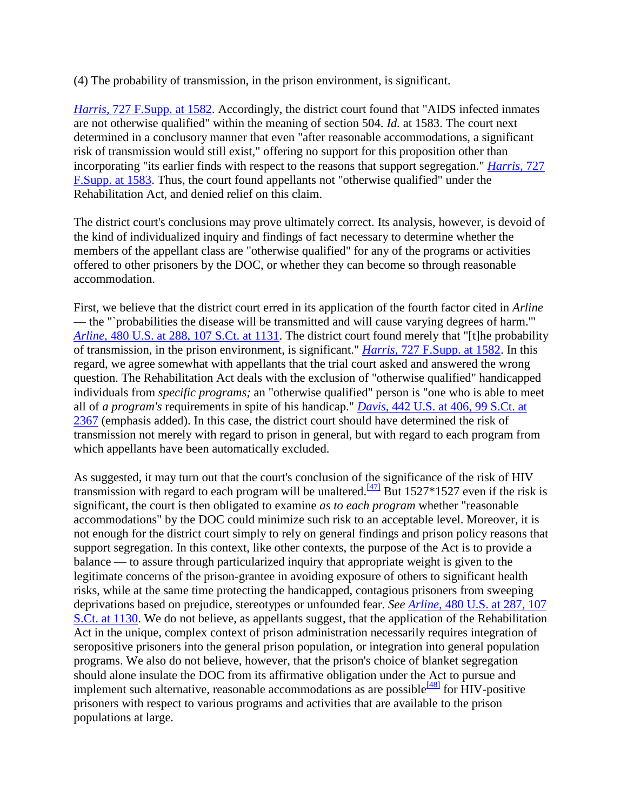(4) The probability of transmission, in the prison environment, is significant.

*Harris,* [727 F.Supp. at 1582.](http://scholar.google.co.in/scholar_case?case=2551066781948846197&q=harris+v.+thigpen&hl=en&as_sdt=2,5&scilh=0) Accordingly, the district court found that "AIDS infected inmates are not otherwise qualified" within the meaning of section 504. *Id.* at 1583. The court next determined in a conclusory manner that even "after reasonable accommodations, a significant risk of transmission would still exist," offering no support for this proposition other than incorporating "its earlier finds with respect to the reasons that support segregation." *[Harris,](http://scholar.google.co.in/scholar_case?case=2551066781948846197&q=harris+v.+thigpen&hl=en&as_sdt=2,5&scilh=0)* 727 [F.Supp. at 1583.](http://scholar.google.co.in/scholar_case?case=2551066781948846197&q=harris+v.+thigpen&hl=en&as_sdt=2,5&scilh=0) Thus, the court found appellants not "otherwise qualified" under the Rehabilitation Act, and denied relief on this claim.

The district court's conclusions may prove ultimately correct. Its analysis, however, is devoid of the kind of individualized inquiry and findings of fact necessary to determine whether the members of the appellant class are "otherwise qualified" for any of the programs or activities offered to other prisoners by the DOC, or whether they can become so through reasonable accommodation.

First, we believe that the district court erred in its application of the fourth factor cited in *Arline* — the "`probabilities the disease will be transmitted and will cause varying degrees of harm.'" *Arline,* [480 U.S. at 288, 107 S.Ct. at 1131.](http://scholar.google.co.in/scholar_case?case=18375668216164208702&q=harris+v.+thigpen&hl=en&as_sdt=2,5&scilh=0) The district court found merely that "[t]he probability of transmission, in the prison environment, is significant." *Harris,* [727 F.Supp. at 1582.](http://scholar.google.co.in/scholar_case?case=2551066781948846197&q=harris+v.+thigpen&hl=en&as_sdt=2,5&scilh=0) In this regard, we agree somewhat with appellants that the trial court asked and answered the wrong question. The Rehabilitation Act deals with the exclusion of "otherwise qualified" handicapped individuals from *specific programs;* an "otherwise qualified" person is "one who is able to meet all of *a program's* requirements in spite of his handicap." *Davis,* [442 U.S. at 406, 99 S.Ct. at](http://scholar.google.co.in/scholar_case?case=15117215513508737370&q=harris+v.+thigpen&hl=en&as_sdt=2,5&scilh=0)  [2367](http://scholar.google.co.in/scholar_case?case=15117215513508737370&q=harris+v.+thigpen&hl=en&as_sdt=2,5&scilh=0) (emphasis added). In this case, the district court should have determined the risk of transmission not merely with regard to prison in general, but with regard to each program from which appellants have been automatically excluded.

As suggested, it may turn out that the court's conclusion of the significance of the risk of HIV transmission with regard to each program will be unaltered.<sup>[\[47\]](http://scholar.google.co.in/scholar_case?q=harris+v.+thigpen&hl=en&as_sdt=2,5&case=6662398692491934365&scilh=0#[48])</sup> But 1527\*1527 even if the risk is significant, the court is then obligated to examine *as to each program* whether "reasonable accommodations" by the DOC could minimize such risk to an acceptable level. Moreover, it is not enough for the district court simply to rely on general findings and prison policy reasons that support segregation. In this context, like other contexts, the purpose of the Act is to provide a balance — to assure through particularized inquiry that appropriate weight is given to the legitimate concerns of the prison-grantee in avoiding exposure of others to significant health risks, while at the same time protecting the handicapped, contagious prisoners from sweeping deprivations based on prejudice, stereotypes or unfounded fear. *See Arline,* [480 U.S. at 287, 107](http://scholar.google.co.in/scholar_case?case=18375668216164208702&q=harris+v.+thigpen&hl=en&as_sdt=2,5&scilh=0)  [S.Ct. at 1130.](http://scholar.google.co.in/scholar_case?case=18375668216164208702&q=harris+v.+thigpen&hl=en&as_sdt=2,5&scilh=0) We do not believe, as appellants suggest, that the application of the Rehabilitation Act in the unique, complex context of prison administration necessarily requires integration of seropositive prisoners into the general prison population, or integration into general population programs. We also do not believe, however, that the prison's choice of blanket segregation should alone insulate the DOC from its affirmative obligation under the Act to pursue and implement such alternative, reasonable accommodations as are possible  $^{[48]}$  $^{[48]}$  $^{[48]}$  for  $\overline{H}$ IV-positive prisoners with respect to various programs and activities that are available to the prison populations at large.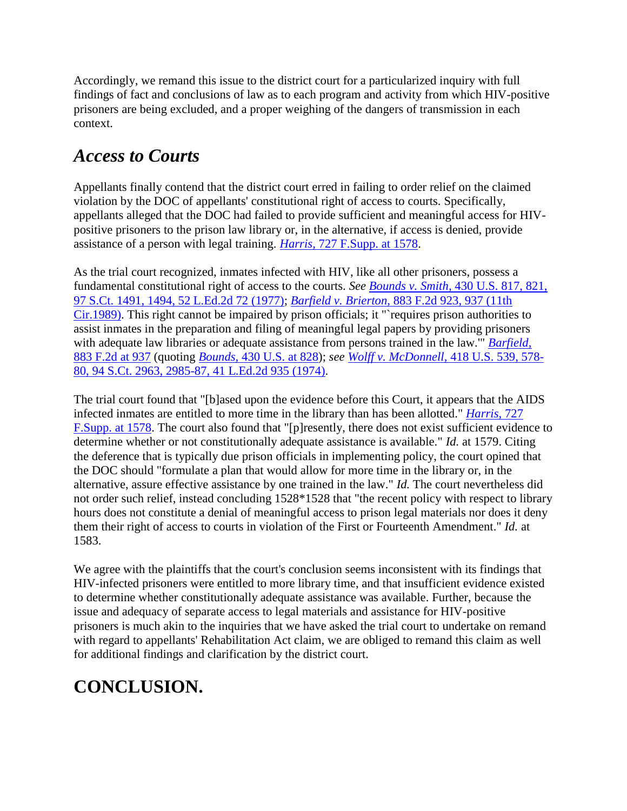Accordingly, we remand this issue to the district court for a particularized inquiry with full findings of fact and conclusions of law as to each program and activity from which HIV-positive prisoners are being excluded, and a proper weighing of the dangers of transmission in each context.

## *Access to Courts*

Appellants finally contend that the district court erred in failing to order relief on the claimed violation by the DOC of appellants' constitutional right of access to courts. Specifically, appellants alleged that the DOC had failed to provide sufficient and meaningful access for HIVpositive prisoners to the prison law library or, in the alternative, if access is denied, provide assistance of a person with legal training. *Harris,* [727 F.Supp. at 1578.](http://scholar.google.co.in/scholar_case?case=2551066781948846197&q=harris+v.+thigpen&hl=en&as_sdt=2,5&scilh=0)

As the trial court recognized, inmates infected with HIV, like all other prisoners, possess a fundamental constitutional right of access to the courts. *See Bounds v. Smith,* [430 U.S. 817, 821,](http://scholar.google.co.in/scholar_case?case=13244530668768670135&q=harris+v.+thigpen&hl=en&as_sdt=2,5&scilh=0) [97 S.Ct. 1491, 1494, 52 L.Ed.2d 72 \(1977\);](http://scholar.google.co.in/scholar_case?case=13244530668768670135&q=harris+v.+thigpen&hl=en&as_sdt=2,5&scilh=0) *Barfield v. Brierton,* [883 F.2d 923, 937 \(11th](http://scholar.google.co.in/scholar_case?case=11673820124546533416&q=harris+v.+thigpen&hl=en&as_sdt=2,5&scilh=0)  [Cir.1989\).](http://scholar.google.co.in/scholar_case?case=11673820124546533416&q=harris+v.+thigpen&hl=en&as_sdt=2,5&scilh=0) This right cannot be impaired by prison officials; it "`requires prison authorities to assist inmates in the preparation and filing of meaningful legal papers by providing prisoners with adequate law libraries or adequate assistance from persons trained in the law.'" *[Barfield,](http://scholar.google.co.in/scholar_case?case=11673820124546533416&q=harris+v.+thigpen&hl=en&as_sdt=2,5&scilh=0)* [883 F.2d at 937](http://scholar.google.co.in/scholar_case?case=11673820124546533416&q=harris+v.+thigpen&hl=en&as_sdt=2,5&scilh=0) (quoting *Bounds,* [430 U.S. at 828\)](http://scholar.google.co.in/scholar_case?case=13244530668768670135&q=harris+v.+thigpen&hl=en&as_sdt=2,5&scilh=0); *see [Wolff v. McDonnell,](http://scholar.google.co.in/scholar_case?case=2470089403742079115&q=harris+v.+thigpen&hl=en&as_sdt=2,5&scilh=0)* 418 U.S. 539, 578- [80, 94 S.Ct. 2963, 2985-87, 41 L.Ed.2d 935 \(1974\).](http://scholar.google.co.in/scholar_case?case=2470089403742079115&q=harris+v.+thigpen&hl=en&as_sdt=2,5&scilh=0)

The trial court found that "[b]ased upon the evidence before this Court, it appears that the AIDS infected inmates are entitled to more time in the library than has been allotted." *[Harris,](http://scholar.google.co.in/scholar_case?case=2551066781948846197&q=harris+v.+thigpen&hl=en&as_sdt=2,5&scilh=0)* 727 [F.Supp. at 1578.](http://scholar.google.co.in/scholar_case?case=2551066781948846197&q=harris+v.+thigpen&hl=en&as_sdt=2,5&scilh=0) The court also found that "[p]resently, there does not exist sufficient evidence to determine whether or not constitutionally adequate assistance is available." *Id.* at 1579. Citing the deference that is typically due prison officials in implementing policy, the court opined that the DOC should "formulate a plan that would allow for more time in the library or, in the alternative, assure effective assistance by one trained in the law." *Id.* The court nevertheless did not order such relief, instead concluding 1528\*1528 that "the recent policy with respect to library hours does not constitute a denial of meaningful access to prison legal materials nor does it deny them their right of access to courts in violation of the First or Fourteenth Amendment." *Id.* at 1583.

We agree with the plaintiffs that the court's conclusion seems inconsistent with its findings that HIV-infected prisoners were entitled to more library time, and that insufficient evidence existed to determine whether constitutionally adequate assistance was available. Further, because the issue and adequacy of separate access to legal materials and assistance for HIV-positive prisoners is much akin to the inquiries that we have asked the trial court to undertake on remand with regard to appellants' Rehabilitation Act claim, we are obliged to remand this claim as well for additional findings and clarification by the district court.

# **CONCLUSION.**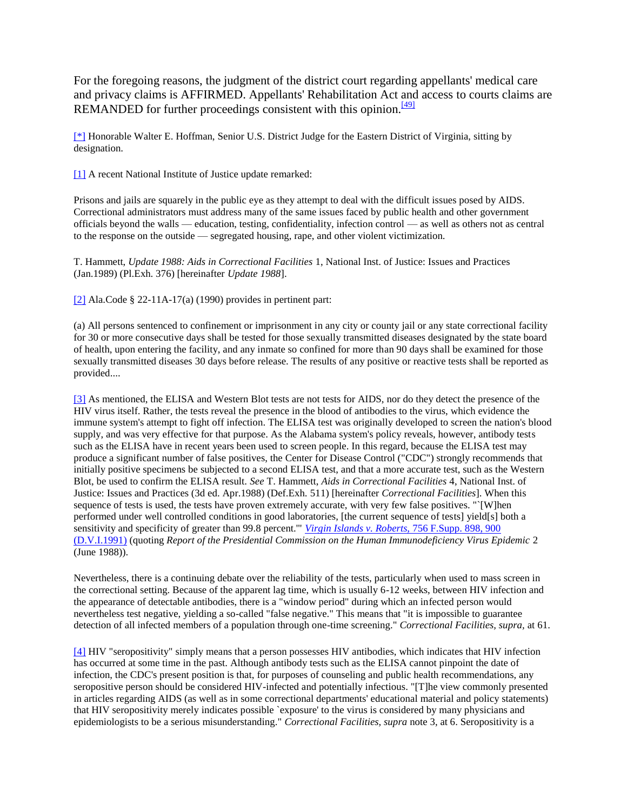For the foregoing reasons, the judgment of the district court regarding appellants' medical care and privacy claims is AFFIRMED. Appellants' Rehabilitation Act and access to courts claims are REMANDED for further proceedings consistent with this opinion. $[49]$ 

[\[\\*\]](http://scholar.google.co.in/scholar_case?q=harris+v.+thigpen&hl=en&as_sdt=2,5&case=6662398692491934365&scilh=0#r[1]) Honorable Walter E. Hoffman, Senior U.S. District Judge for the Eastern District of Virginia, sitting by designation.

[\[1\]](http://scholar.google.co.in/scholar_case?q=harris+v.+thigpen&hl=en&as_sdt=2,5&case=6662398692491934365&scilh=0#r[2]) A recent National Institute of Justice update remarked:

Prisons and jails are squarely in the public eye as they attempt to deal with the difficult issues posed by AIDS. Correctional administrators must address many of the same issues faced by public health and other government officials beyond the walls — education, testing, confidentiality, infection control — as well as others not as central to the response on the outside — segregated housing, rape, and other violent victimization.

T. Hammett, *Update 1988: Aids in Correctional Facilities* 1, National Inst. of Justice: Issues and Practices (Jan.1989) (Pl.Exh. 376) [hereinafter *Update 1988*].

[\[2\]](http://scholar.google.co.in/scholar_case?q=harris+v.+thigpen&hl=en&as_sdt=2,5&case=6662398692491934365&scilh=0#r[3]) Ala.Code § 22-11A-17(a) (1990) provides in pertinent part:

(a) All persons sentenced to confinement or imprisonment in any city or county jail or any state correctional facility for 30 or more consecutive days shall be tested for those sexually transmitted diseases designated by the state board of health, upon entering the facility, and any inmate so confined for more than 90 days shall be examined for those sexually transmitted diseases 30 days before release. The results of any positive or reactive tests shall be reported as provided....

[\[3\]](http://scholar.google.co.in/scholar_case?q=harris+v.+thigpen&hl=en&as_sdt=2,5&case=6662398692491934365&scilh=0#r[4]) As mentioned, the ELISA and Western Blot tests are not tests for AIDS, nor do they detect the presence of the HIV virus itself. Rather, the tests reveal the presence in the blood of antibodies to the virus, which evidence the immune system's attempt to fight off infection. The ELISA test was originally developed to screen the nation's blood supply, and was very effective for that purpose. As the Alabama system's policy reveals, however, antibody tests such as the ELISA have in recent years been used to screen people. In this regard, because the ELISA test may produce a significant number of false positives, the Center for Disease Control ("CDC") strongly recommends that initially positive specimens be subjected to a second ELISA test, and that a more accurate test, such as the Western Blot, be used to confirm the ELISA result. *See* T. Hammett, *Aids in Correctional Facilities* 4, National Inst. of Justice: Issues and Practices (3d ed. Apr.1988) (Def.Exh. 511) [hereinafter *Correctional Facilities*]. When this sequence of tests is used, the tests have proven extremely accurate, with very few false positives. "`[W]hen performed under well controlled conditions in good laboratories, [the current sequence of tests] yield[s] both a sensitivity and specificity of greater than 99.8 percent.'" *[Virgin Islands v. Roberts,](http://scholar.google.co.in/scholar_case?case=13336811202687376333&q=harris+v.+thigpen&hl=en&as_sdt=2,5&scilh=0)* 756 F.Supp. 898, 900 [\(D.V.I.1991\)](http://scholar.google.co.in/scholar_case?case=13336811202687376333&q=harris+v.+thigpen&hl=en&as_sdt=2,5&scilh=0) (quoting *Report of the Presidential Commission on the Human Immunodeficiency Virus Epidemic* 2 (June 1988)).

Nevertheless, there is a continuing debate over the reliability of the tests, particularly when used to mass screen in the correctional setting. Because of the apparent lag time, which is usually 6-12 weeks, between HIV infection and the appearance of detectable antibodies, there is a "window period" during which an infected person would nevertheless test negative, yielding a so-called "false negative." This means that "it is impossible to guarantee detection of all infected members of a population through one-time screening." *Correctional Facilities, supra,* at 61.

[\[4\]](http://scholar.google.co.in/scholar_case?q=harris+v.+thigpen&hl=en&as_sdt=2,5&case=6662398692491934365&scilh=0#r[5]) HIV "seropositivity" simply means that a person possesses HIV antibodies, which indicates that HIV infection has occurred at some time in the past. Although antibody tests such as the ELISA cannot pinpoint the date of infection, the CDC's present position is that, for purposes of counseling and public health recommendations, any seropositive person should be considered HIV-infected and potentially infectious. "[T]he view commonly presented in articles regarding AIDS (as well as in some correctional departments' educational material and policy statements) that HIV seropositivity merely indicates possible `exposure' to the virus is considered by many physicians and epidemiologists to be a serious misunderstanding." *Correctional Facilities, supra* note 3, at 6. Seropositivity is a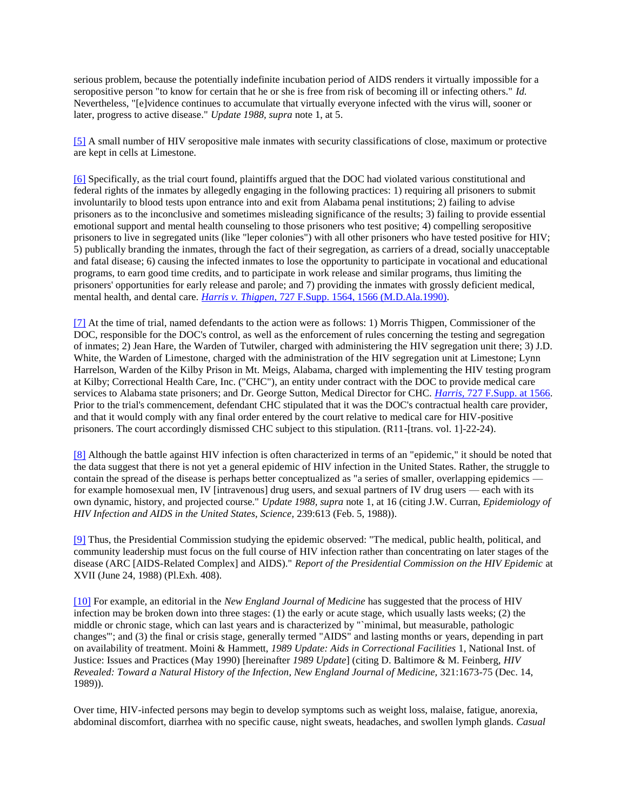serious problem, because the potentially indefinite incubation period of AIDS renders it virtually impossible for a seropositive person "to know for certain that he or she is free from risk of becoming ill or infecting others." *Id.* Nevertheless, "[e]vidence continues to accumulate that virtually everyone infected with the virus will, sooner or later, progress to active disease." *Update 1988, supra* note 1, at 5.

[\[5\]](http://scholar.google.co.in/scholar_case?q=harris+v.+thigpen&hl=en&as_sdt=2,5&case=6662398692491934365&scilh=0#r[6]) A small number of HIV seropositive male inmates with security classifications of close, maximum or protective are kept in cells at Limestone.

[\[6\]](http://scholar.google.co.in/scholar_case?q=harris+v.+thigpen&hl=en&as_sdt=2,5&case=6662398692491934365&scilh=0#r[7]) Specifically, as the trial court found, plaintiffs argued that the DOC had violated various constitutional and federal rights of the inmates by allegedly engaging in the following practices: 1) requiring all prisoners to submit involuntarily to blood tests upon entrance into and exit from Alabama penal institutions; 2) failing to advise prisoners as to the inconclusive and sometimes misleading significance of the results; 3) failing to provide essential emotional support and mental health counseling to those prisoners who test positive; 4) compelling seropositive prisoners to live in segregated units (like "leper colonies") with all other prisoners who have tested positive for HIV; 5) publically branding the inmates, through the fact of their segregation, as carriers of a dread, socially unacceptable and fatal disease; 6) causing the infected inmates to lose the opportunity to participate in vocational and educational programs, to earn good time credits, and to participate in work release and similar programs, thus limiting the prisoners' opportunities for early release and parole; and 7) providing the inmates with grossly deficient medical, mental health, and dental care. *Harris v. Thigpen,* [727 F.Supp. 1564, 1566 \(M.D.Ala.1990\).](http://scholar.google.co.in/scholar_case?case=2551066781948846197&q=harris+v.+thigpen&hl=en&as_sdt=2,5&scilh=0)

[\[7\]](http://scholar.google.co.in/scholar_case?q=harris+v.+thigpen&hl=en&as_sdt=2,5&case=6662398692491934365&scilh=0#r[8]) At the time of trial, named defendants to the action were as follows: 1) Morris Thigpen, Commissioner of the DOC, responsible for the DOC's control, as well as the enforcement of rules concerning the testing and segregation of inmates; 2) Jean Hare, the Warden of Tutwiler, charged with administering the HIV segregation unit there; 3) J.D. White, the Warden of Limestone, charged with the administration of the HIV segregation unit at Limestone; Lynn Harrelson, Warden of the Kilby Prison in Mt. Meigs, Alabama, charged with implementing the HIV testing program at Kilby; Correctional Health Care, Inc. ("CHC"), an entity under contract with the DOC to provide medical care services to Alabama state prisoners; and Dr. George Sutton, Medical Director for CHC. *Harris,* [727 F.Supp. at 1566.](http://scholar.google.co.in/scholar_case?case=2551066781948846197&q=harris+v.+thigpen&hl=en&as_sdt=2,5&scilh=0) Prior to the trial's commencement, defendant CHC stipulated that it was the DOC's contractual health care provider, and that it would comply with any final order entered by the court relative to medical care for HIV-positive prisoners. The court accordingly dismissed CHC subject to this stipulation. (R11-[trans. vol. 1]-22-24).

[\[8\]](http://scholar.google.co.in/scholar_case?q=harris+v.+thigpen&hl=en&as_sdt=2,5&case=6662398692491934365&scilh=0#r[9]) Although the battle against HIV infection is often characterized in terms of an "epidemic," it should be noted that the data suggest that there is not yet a general epidemic of HIV infection in the United States. Rather, the struggle to contain the spread of the disease is perhaps better conceptualized as "a series of smaller, overlapping epidemics for example homosexual men, IV [intravenous] drug users, and sexual partners of IV drug users — each with its own dynamic, history, and projected course." *Update 1988, supra* note 1, at 16 (citing J.W. Curran, *Epidemiology of HIV Infection and AIDS in the United States, Science,* 239:613 (Feb. 5, 1988)).

[\[9\]](http://scholar.google.co.in/scholar_case?q=harris+v.+thigpen&hl=en&as_sdt=2,5&case=6662398692491934365&scilh=0#r[10]) Thus, the Presidential Commission studying the epidemic observed: "The medical, public health, political, and community leadership must focus on the full course of HIV infection rather than concentrating on later stages of the disease (ARC [AIDS-Related Complex] and AIDS)." *Report of the Presidential Commission on the HIV Epidemic* at XVII (June 24, 1988) (Pl.Exh. 408).

[\[10\]](http://scholar.google.co.in/scholar_case?q=harris+v.+thigpen&hl=en&as_sdt=2,5&case=6662398692491934365&scilh=0#r[11]) For example, an editorial in the *New England Journal of Medicine* has suggested that the process of HIV infection may be broken down into three stages: (1) the early or acute stage, which usually lasts weeks; (2) the middle or chronic stage, which can last years and is characterized by "`minimal, but measurable, pathologic changes'"; and (3) the final or crisis stage, generally termed "AIDS" and lasting months or years, depending in part on availability of treatment. Moini & Hammett, *1989 Update: Aids in Correctional Facilities* 1, National Inst. of Justice: Issues and Practices (May 1990) [hereinafter *1989 Update*] (citing D. Baltimore & M. Feinberg, *HIV Revealed: Toward a Natural History of the Infection, New England Journal of Medicine,* 321:1673-75 (Dec. 14, 1989)).

Over time, HIV-infected persons may begin to develop symptoms such as weight loss, malaise, fatigue, anorexia, abdominal discomfort, diarrhea with no specific cause, night sweats, headaches, and swollen lymph glands. *Casual*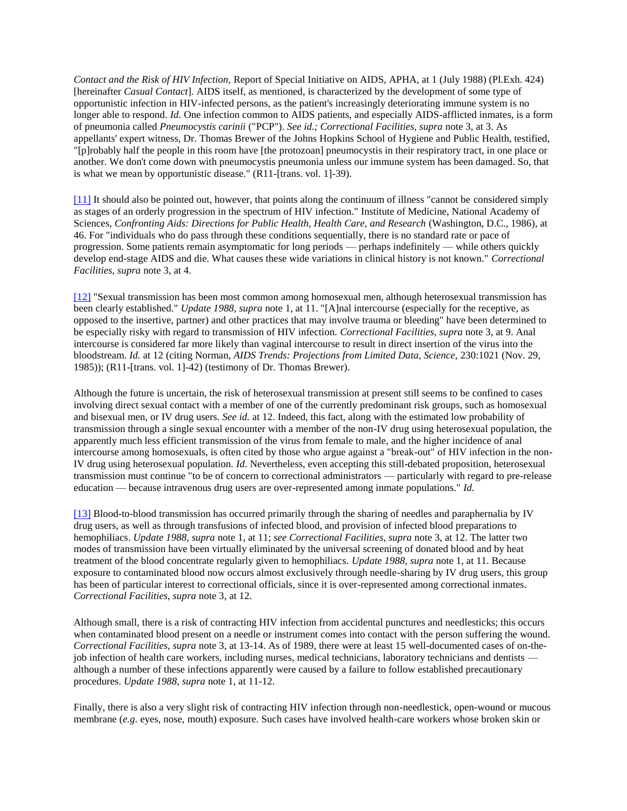*Contact and the Risk of HIV Infection,* Report of Special Initiative on AIDS, APHA, at 1 (July 1988) (Pl.Exh. 424) [hereinafter *Casual Contact*]. AIDS itself, as mentioned, is characterized by the development of some type of opportunistic infection in HIV-infected persons, as the patient's increasingly deteriorating immune system is no longer able to respond. *Id.* One infection common to AIDS patients, and especially AIDS-afflicted inmates, is a form of pneumonia called *Pneumocystis carinii* ("PCP"). *See id.; Correctional Facilities, supra* note 3, at 3. As appellants' expert witness, Dr. Thomas Brewer of the Johns Hopkins School of Hygiene and Public Health, testified, "[p]robably half the people in this room have [the protozoan] pneumocystis in their respiratory tract, in one place or another. We don't come down with pneumocystis pneumonia unless our immune system has been damaged. So, that is what we mean by opportunistic disease." (R11-[trans. vol. 1]-39).

[\[11\]](http://scholar.google.co.in/scholar_case?q=harris+v.+thigpen&hl=en&as_sdt=2,5&case=6662398692491934365&scilh=0#r[12]) It should also be pointed out, however, that points along the continuum of illness "cannot be considered simply as stages of an orderly progression in the spectrum of HIV infection." Institute of Medicine, National Academy of Sciences, *Confronting Aids: Directions for Public Health, Health Care, and Research* (Washington, D.C., 1986), at 46. For "individuals who do pass through these conditions sequentially, there is no standard rate or pace of progression. Some patients remain asymptomatic for long periods — perhaps indefinitely — while others quickly develop end-stage AIDS and die. What causes these wide variations in clinical history is not known." *Correctional Facilities, supra* note 3, at 4.

[\[12\]](http://scholar.google.co.in/scholar_case?q=harris+v.+thigpen&hl=en&as_sdt=2,5&case=6662398692491934365&scilh=0#r[13]) "Sexual transmission has been most common among homosexual men, although heterosexual transmission has been clearly established." *Update 1988, supra* note 1, at 11. "[A]nal intercourse (especially for the receptive, as opposed to the insertive, partner) and other practices that may involve trauma or bleeding" have been determined to be especially risky with regard to transmission of HIV infection. *Correctional Facilities, supra* note 3, at 9. Anal intercourse is considered far more likely than vaginal intercourse to result in direct insertion of the virus into the bloodstream. *Id.* at 12 (citing Norman, *AIDS Trends: Projections from Limited Data, Science,* 230:1021 (Nov. 29, 1985)); (R11-[trans. vol. 1]-42) (testimony of Dr. Thomas Brewer).

Although the future is uncertain, the risk of heterosexual transmission at present still seems to be confined to cases involving direct sexual contact with a member of one of the currently predominant risk groups, such as homosexual and bisexual men, or IV drug users. *See id.* at 12. Indeed, this fact, along with the estimated low probability of transmission through a single sexual encounter with a member of the non-IV drug using heterosexual population, the apparently much less efficient transmission of the virus from female to male, and the higher incidence of anal intercourse among homosexuals, is often cited by those who argue against a "break-out" of HIV infection in the non-IV drug using heterosexual population. *Id.* Nevertheless, even accepting this still-debated proposition, heterosexual transmission must continue "to be of concern to correctional administrators — particularly with regard to pre-release education — because intravenous drug users are over-represented among inmate populations." *Id.*

[\[13\]](http://scholar.google.co.in/scholar_case?q=harris+v.+thigpen&hl=en&as_sdt=2,5&case=6662398692491934365&scilh=0#r[14]) Blood-to-blood transmission has occurred primarily through the sharing of needles and paraphernalia by IV drug users, as well as through transfusions of infected blood, and provision of infected blood preparations to hemophiliacs. *Update 1988, supra* note 1, at 11; *see Correctional Facilities, supra* note 3, at 12. The latter two modes of transmission have been virtually eliminated by the universal screening of donated blood and by heat treatment of the blood concentrate regularly given to hemophiliacs. *Update 1988, supra* note 1, at 11. Because exposure to contaminated blood now occurs almost exclusively through needle-sharing by IV drug users, this group has been of particular interest to correctional officials, since it is over-represented among correctional inmates. *Correctional Facilities, supra* note 3, at 12.

Although small, there is a risk of contracting HIV infection from accidental punctures and needlesticks; this occurs when contaminated blood present on a needle or instrument comes into contact with the person suffering the wound. *Correctional Facilities, supra* note 3, at 13-14. As of 1989, there were at least 15 well-documented cases of on-thejob infection of health care workers, including nurses, medical technicians, laboratory technicians and dentists although a number of these infections apparently were caused by a failure to follow established precautionary procedures. *Update 1988, supra* note 1, at 11-12.

Finally, there is also a very slight risk of contracting HIV infection through non-needlestick, open-wound or mucous membrane (*e.g.* eyes, nose, mouth) exposure. Such cases have involved health-care workers whose broken skin or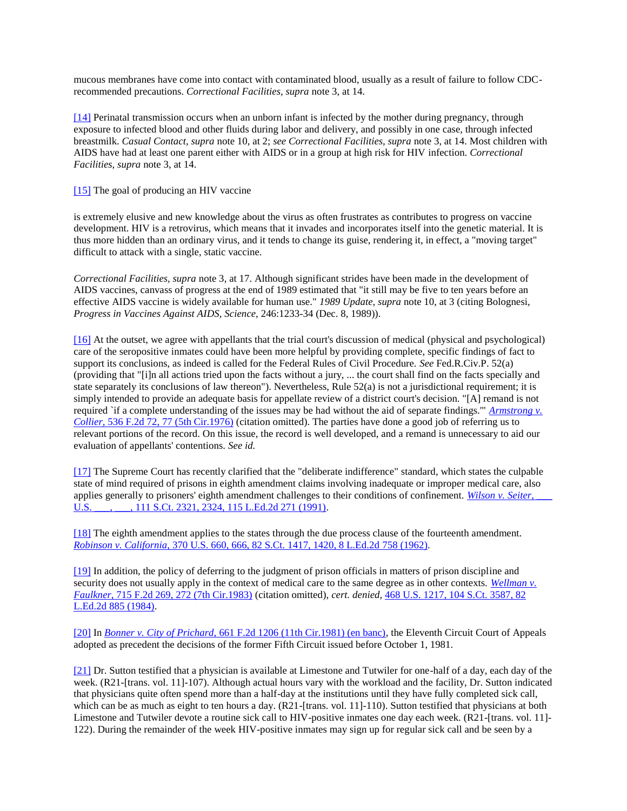mucous membranes have come into contact with contaminated blood, usually as a result of failure to follow CDCrecommended precautions. *Correctional Facilities, supra* note 3, at 14.

[\[14\]](http://scholar.google.co.in/scholar_case?q=harris+v.+thigpen&hl=en&as_sdt=2,5&case=6662398692491934365&scilh=0#r[15]) Perinatal transmission occurs when an unborn infant is infected by the mother during pregnancy, through exposure to infected blood and other fluids during labor and delivery, and possibly in one case, through infected breastmilk. *Casual Contact, supra* note 10, at 2; *see Correctional Facilities, supra* note 3, at 14. Most children with AIDS have had at least one parent either with AIDS or in a group at high risk for HIV infection. *Correctional Facilities, supra* note 3, at 14.

#### [\[15\]](http://scholar.google.co.in/scholar_case?q=harris+v.+thigpen&hl=en&as_sdt=2,5&case=6662398692491934365&scilh=0#r[16]) The goal of producing an HIV vaccine

is extremely elusive and new knowledge about the virus as often frustrates as contributes to progress on vaccine development. HIV is a retrovirus, which means that it invades and incorporates itself into the genetic material. It is thus more hidden than an ordinary virus, and it tends to change its guise, rendering it, in effect, a "moving target" difficult to attack with a single, static vaccine.

*Correctional Facilities, supra* note 3, at 17. Although significant strides have been made in the development of AIDS vaccines, canvass of progress at the end of 1989 estimated that "it still may be five to ten years before an effective AIDS vaccine is widely available for human use." *1989 Update, supra* note 10, at 3 (citing Bolognesi, *Progress in Vaccines Against AIDS, Science,* 246:1233-34 (Dec. 8, 1989)).

[\[16\]](http://scholar.google.co.in/scholar_case?q=harris+v.+thigpen&hl=en&as_sdt=2,5&case=6662398692491934365&scilh=0#r[17]) At the outset, we agree with appellants that the trial court's discussion of medical (physical and psychological) care of the seropositive inmates could have been more helpful by providing complete, specific findings of fact to support its conclusions, as indeed is called for the Federal Rules of Civil Procedure. *See* Fed.R.Civ.P. 52(a) (providing that "[i]n all actions tried upon the facts without a jury, ... the court shall find on the facts specially and state separately its conclusions of law thereon"). Nevertheless, Rule  $52(a)$  is not a jurisdictional requirement; it is simply intended to provide an adequate basis for appellate review of a district court's decision. "[A] remand is not required `if a complete understanding of the issues may be had without the aid of separate findings.'" *[Armstrong v.](http://scholar.google.co.in/scholar_case?case=18286387318136132473&q=harris+v.+thigpen&hl=en&as_sdt=2,5&scilh=0)  Collier,* [536 F.2d 72, 77 \(5th Cir.1976\)](http://scholar.google.co.in/scholar_case?case=18286387318136132473&q=harris+v.+thigpen&hl=en&as_sdt=2,5&scilh=0) (citation omitted). The parties have done a good job of referring us to relevant portions of the record. On this issue, the record is well developed, and a remand is unnecessary to aid our evaluation of appellants' contentions. *See id.*

[\[17\]](http://scholar.google.co.in/scholar_case?q=harris+v.+thigpen&hl=en&as_sdt=2,5&case=6662398692491934365&scilh=0#r[18]) The Supreme Court has recently clarified that the "deliberate indifference" standard, which states the culpable state of mind required of prisons in eighth amendment claims involving inadequate or improper medical care, also applies generally to prisoners' eighth amendment challenges to their conditions of confinement. *Wilson v. Seiter*, U.S. \_\_\_, \_\_, 111 S.Ct. 2321, 2324, 115 L.Ed.2d 271 (1991).

[\[18\]](http://scholar.google.co.in/scholar_case?q=harris+v.+thigpen&hl=en&as_sdt=2,5&case=6662398692491934365&scilh=0#r[19]) The eighth amendment applies to the states through the due process clause of the fourteenth amendment. *Robinson v. California,* [370 U.S. 660, 666, 82 S.Ct. 1417, 1420, 8 L.Ed.2d 758 \(1962\).](http://scholar.google.co.in/scholar_case?case=3358010003227436496&q=harris+v.+thigpen&hl=en&as_sdt=2,5&scilh=0)

[\[19\]](http://scholar.google.co.in/scholar_case?q=harris+v.+thigpen&hl=en&as_sdt=2,5&case=6662398692491934365&scilh=0#r[20]) In addition, the policy of deferring to the judgment of prison officials in matters of prison discipline and security does not usually apply in the context of medical care to the same degree as in other contexts. *[Wellman v.](http://scholar.google.co.in/scholar_case?case=16202393012632005625&q=harris+v.+thigpen&hl=en&as_sdt=2,5&scilh=0)  Faulkner,* [715 F.2d 269, 272 \(7th Cir.1983\)](http://scholar.google.co.in/scholar_case?case=16202393012632005625&q=harris+v.+thigpen&hl=en&as_sdt=2,5&scilh=0) (citation omitted), *cert. denied,* [468 U.S. 1217, 104 S.Ct. 3587, 82](http://scholar.google.co.in/scholar_case?about=4839685923331839313&q=harris+v.+thigpen&hl=en&as_sdt=2,5&scilh=0)  [L.Ed.2d 885 \(1984\).](http://scholar.google.co.in/scholar_case?about=4839685923331839313&q=harris+v.+thigpen&hl=en&as_sdt=2,5&scilh=0)

[\[20\]](http://scholar.google.co.in/scholar_case?q=harris+v.+thigpen&hl=en&as_sdt=2,5&case=6662398692491934365&scilh=0#r[21]) In *Bonner v. City of Prichard,* [661 F.2d 1206 \(11th Cir.1981\) \(en banc\),](http://scholar.google.co.in/scholar_case?case=3429319878112520261&q=harris+v.+thigpen&hl=en&as_sdt=2,5&scilh=0) the Eleventh Circuit Court of Appeals adopted as precedent the decisions of the former Fifth Circuit issued before October 1, 1981.

[\[21\]](http://scholar.google.co.in/scholar_case?q=harris+v.+thigpen&hl=en&as_sdt=2,5&case=6662398692491934365&scilh=0#r[22]) Dr. Sutton testified that a physician is available at Limestone and Tutwiler for one-half of a day, each day of the week. (R21-[trans. vol. 11]-107). Although actual hours vary with the workload and the facility, Dr. Sutton indicated that physicians quite often spend more than a half-day at the institutions until they have fully completed sick call, which can be as much as eight to ten hours a day. (R21-[trans. vol. 11]-110). Sutton testified that physicians at both Limestone and Tutwiler devote a routine sick call to HIV-positive inmates one day each week. (R21-[trans. vol. 11]-122). During the remainder of the week HIV-positive inmates may sign up for regular sick call and be seen by a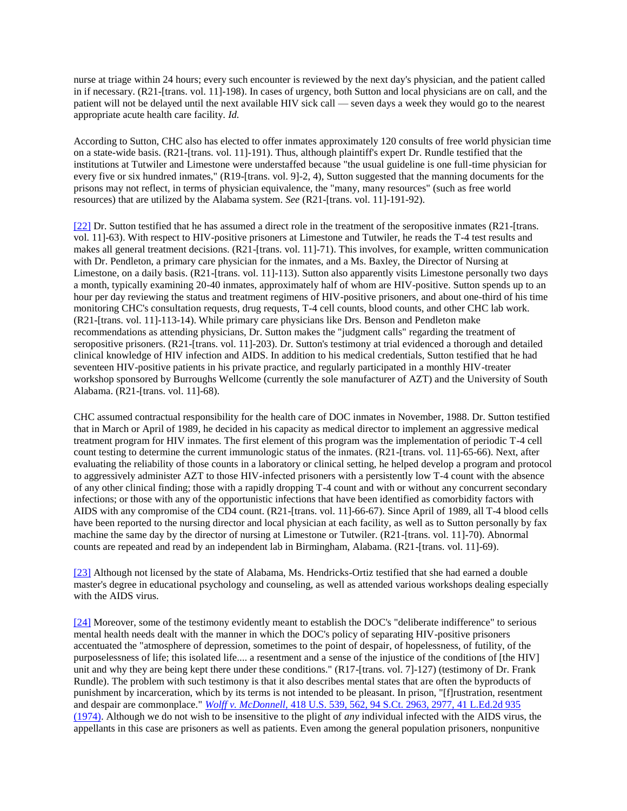nurse at triage within 24 hours; every such encounter is reviewed by the next day's physician, and the patient called in if necessary. (R21-[trans. vol. 11]-198). In cases of urgency, both Sutton and local physicians are on call, and the patient will not be delayed until the next available HIV sick call — seven days a week they would go to the nearest appropriate acute health care facility. *Id.*

According to Sutton, CHC also has elected to offer inmates approximately 120 consults of free world physician time on a state-wide basis. (R21-[trans. vol. 11]-191). Thus, although plaintiff's expert Dr. Rundle testified that the institutions at Tutwiler and Limestone were understaffed because "the usual guideline is one full-time physician for every five or six hundred inmates," (R19-[trans. vol. 9]-2, 4), Sutton suggested that the manning documents for the prisons may not reflect, in terms of physician equivalence, the "many, many resources" (such as free world resources) that are utilized by the Alabama system. *See* (R21-[trans. vol. 11]-191-92).

[\[22\]](http://scholar.google.co.in/scholar_case?q=harris+v.+thigpen&hl=en&as_sdt=2,5&case=6662398692491934365&scilh=0#r[23]) Dr. Sutton testified that he has assumed a direct role in the treatment of the seropositive inmates (R21-[trans. vol. 11]-63). With respect to HIV-positive prisoners at Limestone and Tutwiler, he reads the T-4 test results and makes all general treatment decisions. (R21-[trans. vol. 11]-71). This involves, for example, written communication with Dr. Pendleton, a primary care physician for the inmates, and a Ms. Baxley, the Director of Nursing at Limestone, on a daily basis. (R21-[trans. vol. 11]-113). Sutton also apparently visits Limestone personally two days a month, typically examining 20-40 inmates, approximately half of whom are HIV-positive. Sutton spends up to an hour per day reviewing the status and treatment regimens of HIV-positive prisoners, and about one-third of his time monitoring CHC's consultation requests, drug requests, T-4 cell counts, blood counts, and other CHC lab work. (R21-[trans. vol. 11]-113-14). While primary care physicians like Drs. Benson and Pendleton make recommendations as attending physicians, Dr. Sutton makes the "judgment calls" regarding the treatment of seropositive prisoners. (R21-[trans. vol. 11]-203). Dr. Sutton's testimony at trial evidenced a thorough and detailed clinical knowledge of HIV infection and AIDS. In addition to his medical credentials, Sutton testified that he had seventeen HIV-positive patients in his private practice, and regularly participated in a monthly HIV-treater workshop sponsored by Burroughs Wellcome (currently the sole manufacturer of AZT) and the University of South Alabama. (R21-[trans. vol. 11]-68).

CHC assumed contractual responsibility for the health care of DOC inmates in November, 1988. Dr. Sutton testified that in March or April of 1989, he decided in his capacity as medical director to implement an aggressive medical treatment program for HIV inmates. The first element of this program was the implementation of periodic T-4 cell count testing to determine the current immunologic status of the inmates. (R21-[trans. vol. 11]-65-66). Next, after evaluating the reliability of those counts in a laboratory or clinical setting, he helped develop a program and protocol to aggressively administer AZT to those HIV-infected prisoners with a persistently low T-4 count with the absence of any other clinical finding; those with a rapidly dropping T-4 count and with or without any concurrent secondary infections; or those with any of the opportunistic infections that have been identified as comorbidity factors with AIDS with any compromise of the CD4 count. (R21-[trans. vol. 11]-66-67). Since April of 1989, all T-4 blood cells have been reported to the nursing director and local physician at each facility, as well as to Sutton personally by fax machine the same day by the director of nursing at Limestone or Tutwiler. (R21-[trans. vol. 11]-70). Abnormal counts are repeated and read by an independent lab in Birmingham, Alabama. (R21-[trans. vol. 11]-69).

[\[23\]](http://scholar.google.co.in/scholar_case?q=harris+v.+thigpen&hl=en&as_sdt=2,5&case=6662398692491934365&scilh=0#r[24]) Although not licensed by the state of Alabama, Ms. Hendricks-Ortiz testified that she had earned a double master's degree in educational psychology and counseling, as well as attended various workshops dealing especially with the AIDS virus.

[\[24\]](http://scholar.google.co.in/scholar_case?q=harris+v.+thigpen&hl=en&as_sdt=2,5&case=6662398692491934365&scilh=0#r[25]) Moreover, some of the testimony evidently meant to establish the DOC's "deliberate indifference" to serious mental health needs dealt with the manner in which the DOC's policy of separating HIV-positive prisoners accentuated the "atmosphere of depression, sometimes to the point of despair, of hopelessness, of futility, of the purposelessness of life; this isolated life.... a resentment and a sense of the injustice of the conditions of [the HIV] unit and why they are being kept there under these conditions." (R17-[trans. vol. 7]-127) (testimony of Dr. Frank Rundle). The problem with such testimony is that it also describes mental states that are often the byproducts of punishment by incarceration, which by its terms is not intended to be pleasant. In prison, "[f]rustration, resentment and despair are commonplace." *Wolff v. McDonnell,* [418 U.S. 539, 562, 94 S.Ct. 2963, 2977, 41 L.Ed.2d 935](http://scholar.google.co.in/scholar_case?case=2470089403742079115&q=harris+v.+thigpen&hl=en&as_sdt=2,5&scilh=0)  [\(1974\).](http://scholar.google.co.in/scholar_case?case=2470089403742079115&q=harris+v.+thigpen&hl=en&as_sdt=2,5&scilh=0) Although we do not wish to be insensitive to the plight of *any* individual infected with the AIDS virus, the appellants in this case are prisoners as well as patients. Even among the general population prisoners, nonpunitive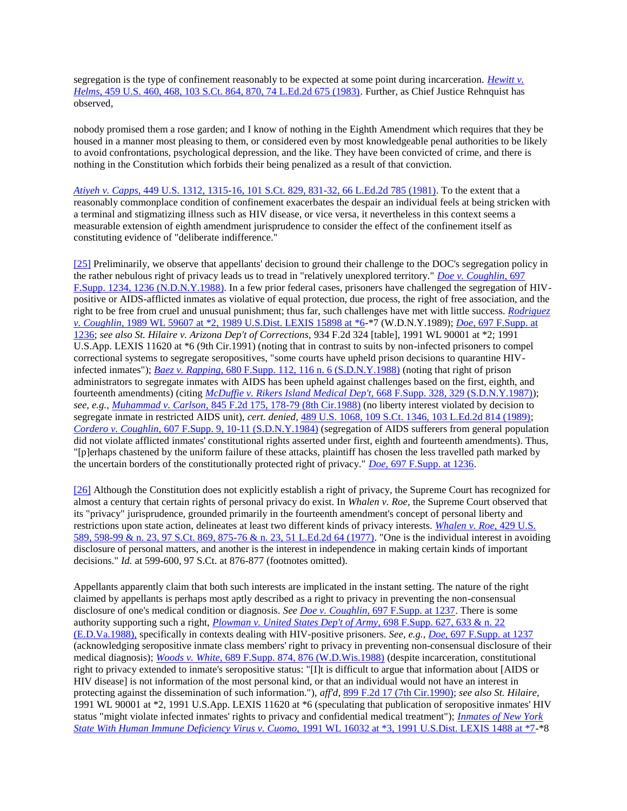segregation is the type of confinement reasonably to be expected at some point during incarceration. *[Hewitt v.](http://scholar.google.co.in/scholar_case?case=15087164344148843133&q=harris+v.+thigpen&hl=en&as_sdt=2,5&scilh=0)  Helms,* [459 U.S. 460, 468, 103 S.Ct. 864, 870, 74 L.Ed.2d 675 \(1983\).](http://scholar.google.co.in/scholar_case?case=15087164344148843133&q=harris+v.+thigpen&hl=en&as_sdt=2,5&scilh=0) Further, as Chief Justice Rehnquist has observed,

nobody promised them a rose garden; and I know of nothing in the Eighth Amendment which requires that they be housed in a manner most pleasing to them, or considered even by most knowledgeable penal authorities to be likely to avoid confrontations, psychological depression, and the like. They have been convicted of crime, and there is nothing in the Constitution which forbids their being penalized as a result of that conviction.

*Atiyeh v. Capps,* [449 U.S. 1312, 1315-16, 101 S.Ct. 829, 831-32, 66 L.Ed.2d 785 \(1981\).](http://scholar.google.co.in/scholar_case?about=7898759214900857344&q=harris+v.+thigpen&hl=en&as_sdt=2,5&scilh=0) To the extent that a reasonably commonplace condition of confinement exacerbates the despair an individual feels at being stricken with a terminal and stigmatizing illness such as HIV disease, or vice versa, it nevertheless in this context seems a measurable extension of eighth amendment jurisprudence to consider the effect of the confinement itself as constituting evidence of "deliberate indifference."

[\[25\]](http://scholar.google.co.in/scholar_case?q=harris+v.+thigpen&hl=en&as_sdt=2,5&case=6662398692491934365&scilh=0#r[26]) Preliminarily, we observe that appellants' decision to ground their challenge to the DOC's segregation policy in the rather nebulous right of privacy leads us to tread in "relatively unexplored territory." *[Doe v. Coughlin,](http://scholar.google.co.in/scholar_case?case=15779536607300896009&q=harris+v.+thigpen&hl=en&as_sdt=2,5&scilh=0)* 697 [F.Supp. 1234, 1236 \(N.D.N.Y.1988\).](http://scholar.google.co.in/scholar_case?case=15779536607300896009&q=harris+v.+thigpen&hl=en&as_sdt=2,5&scilh=0) In a few prior federal cases, prisoners have challenged the segregation of HIVpositive or AIDS-afflicted inmates as violative of equal protection, due process, the right of free association, and the right to be free from cruel and unusual punishment; thus far, such challenges have met with little success. *[Rodriguez](http://scholar.google.co.in/scholar_case?about=2503150097498427937&q=harris+v.+thigpen&hl=en&as_sdt=2,5&scilh=0)  v. Coughlin,* [1989 WL 59607 at \\*2, 1989 U.S.Dist. LEXIS 15898 at](http://scholar.google.co.in/scholar_case?about=2503150097498427937&q=harris+v.+thigpen&hl=en&as_sdt=2,5&scilh=0) \*6-\*7 (W.D.N.Y.1989); *Doe,* [697 F.Supp. at](http://scholar.google.co.in/scholar_case?case=15779536607300896009&q=harris+v.+thigpen&hl=en&as_sdt=2,5&scilh=0)  [1236;](http://scholar.google.co.in/scholar_case?case=15779536607300896009&q=harris+v.+thigpen&hl=en&as_sdt=2,5&scilh=0) *see also St. Hilaire v. Arizona Dep't of Corrections,* 934 F.2d 324 [table], 1991 WL 90001 at \*2; 1991 U.S.App. LEXIS 11620 at \*6 (9th Cir.1991) (noting that in contrast to suits by non-infected prisoners to compel correctional systems to segregate seropositives, "some courts have upheld prison decisions to quarantine HIVinfected inmates"); *Baez v. Rapping,* [680 F.Supp. 112, 116 n. 6 \(S.D.N.Y.1988\)](http://scholar.google.co.in/scholar_case?case=1524734666261063501&q=harris+v.+thigpen&hl=en&as_sdt=2,5&scilh=0) (noting that right of prison administrators to segregate inmates with AIDS has been upheld against challenges based on the first, eighth, and fourteenth amendments) (citing *[McDuffie v. Rikers Island Medical Dep't,](http://scholar.google.co.in/scholar_case?case=6971754509779496940&q=harris+v.+thigpen&hl=en&as_sdt=2,5&scilh=0)* 668 F.Supp. 328, 329 (S.D.N.Y.1987)); *see, e.g., Muhammad v. Carlson,* [845 F.2d 175, 178-79 \(8th Cir.1988\)](http://scholar.google.co.in/scholar_case?case=16508539356654650985&q=harris+v.+thigpen&hl=en&as_sdt=2,5&scilh=0) (no liberty interest violated by decision to segregate inmate in restricted AIDS unit), *cert. denied,* [489 U.S. 1068, 109 S.Ct. 1346, 103 L.Ed.2d 814 \(1989\);](http://scholar.google.co.in/scholar_case?about=1432144625080881607&q=harris+v.+thigpen&hl=en&as_sdt=2,5&scilh=0) *Cordero v. Coughlin,* [607 F.Supp. 9, 10-11 \(S.D.N.Y.1984\)](http://scholar.google.co.in/scholar_case?case=8223952167641314699&q=harris+v.+thigpen&hl=en&as_sdt=2,5&scilh=0) (segregation of AIDS sufferers from general population did not violate afflicted inmates' constitutional rights asserted under first, eighth and fourteenth amendments). Thus, "[p]erhaps chastened by the uniform failure of these attacks, plaintiff has chosen the less travelled path marked by the uncertain borders of the constitutionally protected right of privacy." *Doe,* [697 F.Supp. at 1236.](http://scholar.google.co.in/scholar_case?case=15779536607300896009&q=harris+v.+thigpen&hl=en&as_sdt=2,5&scilh=0)

[\[26\]](http://scholar.google.co.in/scholar_case?q=harris+v.+thigpen&hl=en&as_sdt=2,5&case=6662398692491934365&scilh=0#r[27]) Although the Constitution does not explicitly establish a right of privacy, the Supreme Court has recognized for almost a century that certain rights of personal privacy do exist. In *Whalen v. Roe,* the Supreme Court observed that its "privacy" jurisprudence, grounded primarily in the fourteenth amendment's concept of personal liberty and restrictions upon state action, delineates at least two different kinds of privacy interests. *[Whalen v. Roe,](http://scholar.google.co.in/scholar_case?case=8555735987895894452&q=harris+v.+thigpen&hl=en&as_sdt=2,5&scilh=0)* 429 U.S. [589, 598-99 & n. 23, 97 S.Ct. 869, 875-76 & n. 23, 51 L.Ed.2d 64 \(1977\).](http://scholar.google.co.in/scholar_case?case=8555735987895894452&q=harris+v.+thigpen&hl=en&as_sdt=2,5&scilh=0) "One is the individual interest in avoiding disclosure of personal matters, and another is the interest in independence in making certain kinds of important decisions." *Id.* at 599-600, 97 S.Ct. at 876-877 (footnotes omitted).

Appellants apparently claim that both such interests are implicated in the instant setting. The nature of the right claimed by appellants is perhaps most aptly described as a right to privacy in preventing the non-consensual disclosure of one's medical condition or diagnosis. *See Doe v. Coughlin,* [697 F.Supp. at 1237.](http://scholar.google.co.in/scholar_case?case=15779536607300896009&q=harris+v.+thigpen&hl=en&as_sdt=2,5&scilh=0) There is some authority supporting such a right, *[Plowman v. United States Dep't of Army,](http://scholar.google.co.in/scholar_case?case=14983075507274831303&q=harris+v.+thigpen&hl=en&as_sdt=2,5&scilh=0)* 698 F.Supp. 627, 633 & n. 22 [\(E.D.Va.1988\),](http://scholar.google.co.in/scholar_case?case=14983075507274831303&q=harris+v.+thigpen&hl=en&as_sdt=2,5&scilh=0) specifically in contexts dealing with HIV-positive prisoners. *See, e.g., Doe,* [697 F.Supp. at 1237](http://scholar.google.co.in/scholar_case?case=15779536607300896009&q=harris+v.+thigpen&hl=en&as_sdt=2,5&scilh=0) (acknowledging seropositive inmate class members' right to privacy in preventing non-consensual disclosure of their medical diagnosis); *Woods v. White,* [689 F.Supp. 874, 876 \(W.D.Wis.1988\)](http://scholar.google.co.in/scholar_case?case=8038232282848115101&q=harris+v.+thigpen&hl=en&as_sdt=2,5&scilh=0) (despite incarceration, constitutional right to privacy extended to inmate's seropositive status: "[I]t is difficult to argue that information about [AIDS or HIV disease] is not information of the most personal kind, or that an individual would not have an interest in protecting against the dissemination of such information."), *aff'd,* [899 F.2d 17 \(7th Cir.1990\);](http://scholar.google.co.in/scholar_case?about=8479740894376130318&q=harris+v.+thigpen&hl=en&as_sdt=2,5&scilh=0) *see also St. Hilaire,* 1991 WL 90001 at \*2, 1991 U.S.App. LEXIS 11620 at \*6 (speculating that publication of seropositive inmates' HIV status "might violate infected inmates' rights to privacy and confidential medical treatment"); *[Inmates of New York](http://scholar.google.co.in/scholar_case?about=10569819739918431765&q=harris+v.+thigpen&hl=en&as_sdt=2,5&scilh=0)  State With Human Immune Deficiency Virus v. Cuomo,* [1991 WL 16032 at \\*3, 1991 U.S.Dist. LEXIS 1488 at \\*7-](http://scholar.google.co.in/scholar_case?about=10569819739918431765&q=harris+v.+thigpen&hl=en&as_sdt=2,5&scilh=0)\*8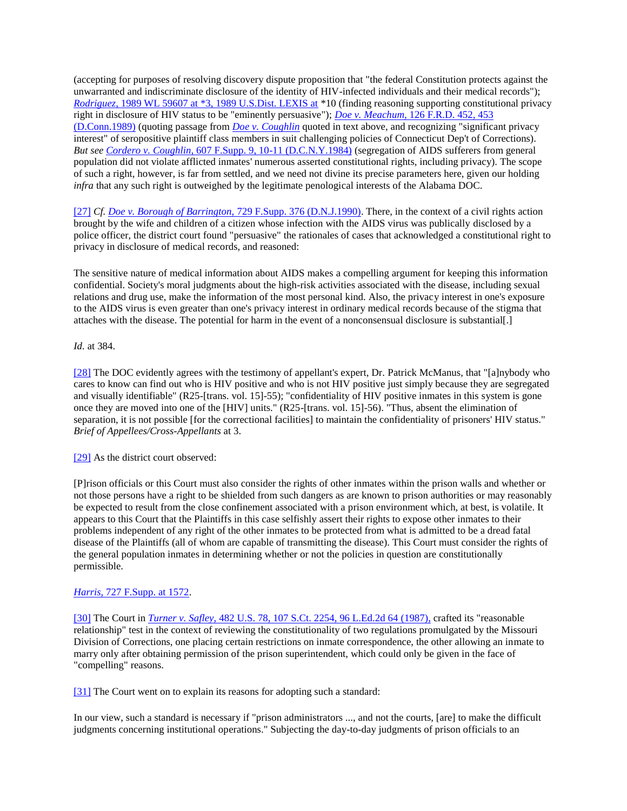(accepting for purposes of resolving discovery dispute proposition that "the federal Constitution protects against the unwarranted and indiscriminate disclosure of the identity of HIV-infected individuals and their medical records"); *Rodriguez,* [1989 WL 59607 at \\*3, 1989 U.S.Dist. LEXIS at](http://scholar.google.co.in/scholar_case?about=2503150097498427937&q=harris+v.+thigpen&hl=en&as_sdt=2,5&scilh=0) \*10 (finding reasoning supporting constitutional privacy right in disclosure of HIV status to be "eminently persuasive"); *Doe v. Meachum,* [126 F.R.D. 452, 453](http://scholar.google.co.in/scholar_case?about=3081475511728289357&q=harris+v.+thigpen&hl=en&as_sdt=2,5&scilh=0)  [\(D.Conn.1989\)](http://scholar.google.co.in/scholar_case?about=3081475511728289357&q=harris+v.+thigpen&hl=en&as_sdt=2,5&scilh=0) (quoting passage from *[Doe v. Coughlin](http://scholar.google.co.in/scholar_case?case=15779536607300896009&q=harris+v.+thigpen&hl=en&as_sdt=2,5&scilh=0)* quoted in text above, and recognizing "significant privacy interest" of seropositive plaintiff class members in suit challenging policies of Connecticut Dep't of Corrections). *But see Cordero v. Coughlin,* [607 F.Supp. 9, 10-11 \(D.C.N.Y.1984\)](http://scholar.google.co.in/scholar_case?case=8223952167641314699&q=harris+v.+thigpen&hl=en&as_sdt=2,5&scilh=0) (segregation of AIDS sufferers from general population did not violate afflicted inmates' numerous asserted constitutional rights, including privacy). The scope of such a right, however, is far from settled, and we need not divine its precise parameters here, given our holding *infra* that any such right is outweighed by the legitimate penological interests of the Alabama DOC.

[\[27\]](http://scholar.google.co.in/scholar_case?q=harris+v.+thigpen&hl=en&as_sdt=2,5&case=6662398692491934365&scilh=0#r[28]) *Cf[. Doe v. Borough of Barrington,](http://scholar.google.co.in/scholar_case?case=13274421745578532613&q=harris+v.+thigpen&hl=en&as_sdt=2,5&scilh=0)* 729 F.Supp. 376 (D.N.J.1990). There, in the context of a civil rights action brought by the wife and children of a citizen whose infection with the AIDS virus was publically disclosed by a police officer, the district court found "persuasive" the rationales of cases that acknowledged a constitutional right to privacy in disclosure of medical records, and reasoned:

The sensitive nature of medical information about AIDS makes a compelling argument for keeping this information confidential. Society's moral judgments about the high-risk activities associated with the disease, including sexual relations and drug use, make the information of the most personal kind. Also, the privacy interest in one's exposure to the AIDS virus is even greater than one's privacy interest in ordinary medical records because of the stigma that attaches with the disease. The potential for harm in the event of a nonconsensual disclosure is substantial[.]

#### *Id.* at 384.

[\[28\]](http://scholar.google.co.in/scholar_case?q=harris+v.+thigpen&hl=en&as_sdt=2,5&case=6662398692491934365&scilh=0#r[29]) The DOC evidently agrees with the testimony of appellant's expert, Dr. Patrick McManus, that "[a]nybody who cares to know can find out who is HIV positive and who is not HIV positive just simply because they are segregated and visually identifiable" (R25-[trans. vol. 15]-55); "confidentiality of HIV positive inmates in this system is gone once they are moved into one of the [HIV] units." (R25-[trans. vol. 15]-56). "Thus, absent the elimination of separation, it is not possible [for the correctional facilities] to maintain the confidentiality of prisoners' HIV status." *Brief of Appellees/Cross-Appellants* at 3.

[\[29\]](http://scholar.google.co.in/scholar_case?q=harris+v.+thigpen&hl=en&as_sdt=2,5&case=6662398692491934365&scilh=0#r[30]) As the district court observed:

[P]rison officials or this Court must also consider the rights of other inmates within the prison walls and whether or not those persons have a right to be shielded from such dangers as are known to prison authorities or may reasonably be expected to result from the close confinement associated with a prison environment which, at best, is volatile. It appears to this Court that the Plaintiffs in this case selfishly assert their rights to expose other inmates to their problems independent of any right of the other inmates to be protected from what is admitted to be a dread fatal disease of the Plaintiffs (all of whom are capable of transmitting the disease). This Court must consider the rights of the general population inmates in determining whether or not the policies in question are constitutionally permissible.

#### *Harris,* [727 F.Supp. at 1572.](http://scholar.google.co.in/scholar_case?case=2551066781948846197&q=harris+v.+thigpen&hl=en&as_sdt=2,5&scilh=0)

[\[30\]](http://scholar.google.co.in/scholar_case?q=harris+v.+thigpen&hl=en&as_sdt=2,5&case=6662398692491934365&scilh=0#r[31]) The Court in *Turner v. Safley,* [482 U.S. 78, 107 S.Ct. 2254, 96 L.Ed.2d 64 \(1987\),](http://scholar.google.co.in/scholar_case?case=15686747716085264205&q=harris+v.+thigpen&hl=en&as_sdt=2,5&scilh=0) crafted its "reasonable relationship" test in the context of reviewing the constitutionality of two regulations promulgated by the Missouri Division of Corrections, one placing certain restrictions on inmate correspondence, the other allowing an inmate to marry only after obtaining permission of the prison superintendent, which could only be given in the face of "compelling" reasons.

[\[31\]](http://scholar.google.co.in/scholar_case?q=harris+v.+thigpen&hl=en&as_sdt=2,5&case=6662398692491934365&scilh=0#r[32]) The Court went on to explain its reasons for adopting such a standard:

In our view, such a standard is necessary if "prison administrators ..., and not the courts, [are] to make the difficult judgments concerning institutional operations." Subjecting the day-to-day judgments of prison officials to an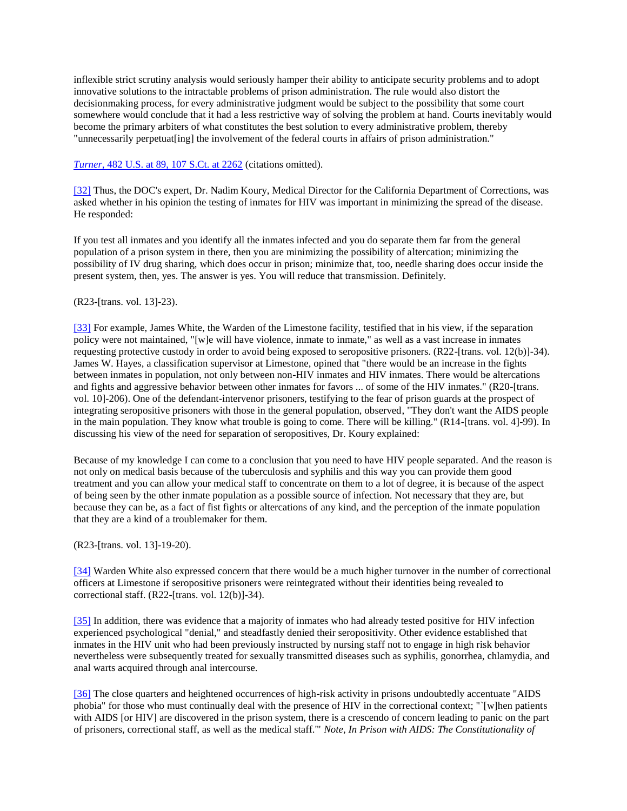inflexible strict scrutiny analysis would seriously hamper their ability to anticipate security problems and to adopt innovative solutions to the intractable problems of prison administration. The rule would also distort the decisionmaking process, for every administrative judgment would be subject to the possibility that some court somewhere would conclude that it had a less restrictive way of solving the problem at hand. Courts inevitably would become the primary arbiters of what constitutes the best solution to every administrative problem, thereby "unnecessarily perpetuat[ing] the involvement of the federal courts in affairs of prison administration."

#### *Turner,* [482 U.S. at 89, 107 S.Ct. at 2262](http://scholar.google.co.in/scholar_case?case=15686747716085264205&q=harris+v.+thigpen&hl=en&as_sdt=2,5&scilh=0) (citations omitted).

[\[32\]](http://scholar.google.co.in/scholar_case?q=harris+v.+thigpen&hl=en&as_sdt=2,5&case=6662398692491934365&scilh=0#r[33]) Thus, the DOC's expert, Dr. Nadim Koury, Medical Director for the California Department of Corrections, was asked whether in his opinion the testing of inmates for HIV was important in minimizing the spread of the disease. He responded:

If you test all inmates and you identify all the inmates infected and you do separate them far from the general population of a prison system in there, then you are minimizing the possibility of altercation; minimizing the possibility of IV drug sharing, which does occur in prison; minimize that, too, needle sharing does occur inside the present system, then, yes. The answer is yes. You will reduce that transmission. Definitely.

#### (R23-[trans. vol. 13]-23).

[\[33\]](http://scholar.google.co.in/scholar_case?q=harris+v.+thigpen&hl=en&as_sdt=2,5&case=6662398692491934365&scilh=0#r[34]) For example, James White, the Warden of the Limestone facility, testified that in his view, if the separation policy were not maintained, "[w]e will have violence, inmate to inmate," as well as a vast increase in inmates requesting protective custody in order to avoid being exposed to seropositive prisoners. (R22-[trans. vol. 12(b)]-34). James W. Hayes, a classification supervisor at Limestone, opined that "there would be an increase in the fights between inmates in population, not only between non-HIV inmates and HIV inmates. There would be altercations and fights and aggressive behavior between other inmates for favors ... of some of the HIV inmates." (R20-[trans. vol. 10]-206). One of the defendant-intervenor prisoners, testifying to the fear of prison guards at the prospect of integrating seropositive prisoners with those in the general population, observed, "They don't want the AIDS people in the main population. They know what trouble is going to come. There will be killing." (R14-[trans. vol. 4]-99). In discussing his view of the need for separation of seropositives, Dr. Koury explained:

Because of my knowledge I can come to a conclusion that you need to have HIV people separated. And the reason is not only on medical basis because of the tuberculosis and syphilis and this way you can provide them good treatment and you can allow your medical staff to concentrate on them to a lot of degree, it is because of the aspect of being seen by the other inmate population as a possible source of infection. Not necessary that they are, but because they can be, as a fact of fist fights or altercations of any kind, and the perception of the inmate population that they are a kind of a troublemaker for them.

#### (R23-[trans. vol. 13]-19-20).

[\[34\]](http://scholar.google.co.in/scholar_case?q=harris+v.+thigpen&hl=en&as_sdt=2,5&case=6662398692491934365&scilh=0#r[35]) Warden White also expressed concern that there would be a much higher turnover in the number of correctional officers at Limestone if seropositive prisoners were reintegrated without their identities being revealed to correctional staff. (R22-[trans. vol. 12(b)]-34).

[\[35\]](http://scholar.google.co.in/scholar_case?q=harris+v.+thigpen&hl=en&as_sdt=2,5&case=6662398692491934365&scilh=0#r[36]) In addition, there was evidence that a majority of inmates who had already tested positive for HIV infection experienced psychological "denial," and steadfastly denied their seropositivity. Other evidence established that inmates in the HIV unit who had been previously instructed by nursing staff not to engage in high risk behavior nevertheless were subsequently treated for sexually transmitted diseases such as syphilis, gonorrhea, chlamydia, and anal warts acquired through anal intercourse.

[\[36\]](http://scholar.google.co.in/scholar_case?q=harris+v.+thigpen&hl=en&as_sdt=2,5&case=6662398692491934365&scilh=0#r[37]) The close quarters and heightened occurrences of high-risk activity in prisons undoubtedly accentuate "AIDS phobia" for those who must continually deal with the presence of HIV in the correctional context; "`[w]hen patients with AIDS [or HIV] are discovered in the prison system, there is a crescendo of concern leading to panic on the part of prisoners, correctional staff, as well as the medical staff.'" *Note, In Prison with AIDS: The Constitutionality of*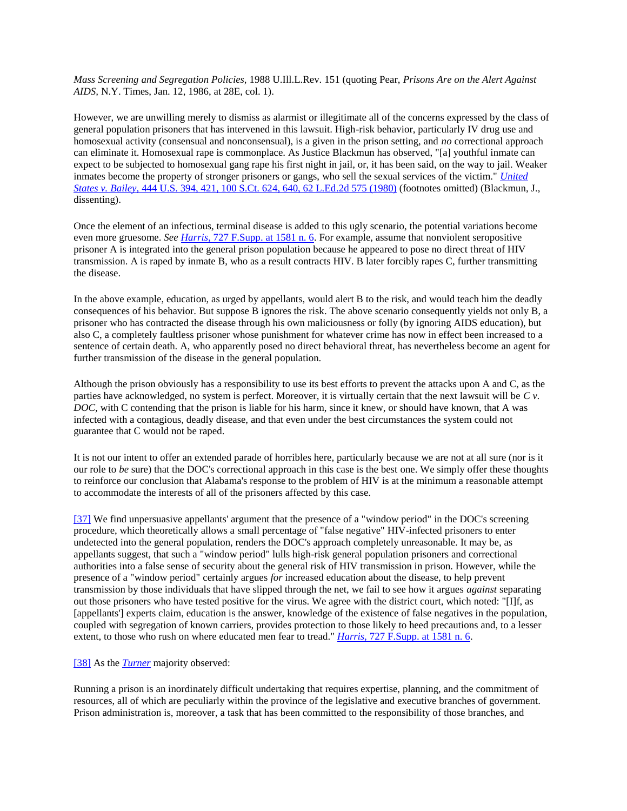*Mass Screening and Segregation Policies,* 1988 U.Ill.L.Rev. 151 (quoting Pear, *Prisons Are on the Alert Against AIDS,* N.Y. Times, Jan. 12, 1986, at 28E, col. 1).

However, we are unwilling merely to dismiss as alarmist or illegitimate all of the concerns expressed by the class of general population prisoners that has intervened in this lawsuit. High-risk behavior, particularly IV drug use and homosexual activity (consensual and nonconsensual), is a given in the prison setting, and *no* correctional approach can eliminate it. Homosexual rape is commonplace. As Justice Blackmun has observed, "[a] youthful inmate can expect to be subjected to homosexual gang rape his first night in jail, or, it has been said, on the way to jail. Weaker inmates become the property of stronger prisoners or gangs, who sell the sexual services of the victim." *[United](http://scholar.google.co.in/scholar_case?case=1379329779334955251&q=harris+v.+thigpen&hl=en&as_sdt=2,5&scilh=0)  States v. Bailey,* [444 U.S. 394, 421, 100 S.Ct. 624, 640, 62 L.Ed.2d 575 \(1980\)](http://scholar.google.co.in/scholar_case?case=1379329779334955251&q=harris+v.+thigpen&hl=en&as_sdt=2,5&scilh=0) (footnotes omitted) (Blackmun, J., dissenting).

Once the element of an infectious, terminal disease is added to this ugly scenario, the potential variations become even more gruesome. *See Harris,* [727 F.Supp. at 1581 n. 6.](http://scholar.google.co.in/scholar_case?case=2551066781948846197&q=harris+v.+thigpen&hl=en&as_sdt=2,5&scilh=0) For example, assume that nonviolent seropositive prisoner A is integrated into the general prison population because he appeared to pose no direct threat of HIV transmission. A is raped by inmate B, who as a result contracts HIV. B later forcibly rapes C, further transmitting the disease.

In the above example, education, as urged by appellants, would alert B to the risk, and would teach him the deadly consequences of his behavior. But suppose B ignores the risk. The above scenario consequently yields not only B, a prisoner who has contracted the disease through his own maliciousness or folly (by ignoring AIDS education), but also C, a completely faultless prisoner whose punishment for whatever crime has now in effect been increased to a sentence of certain death. A, who apparently posed no direct behavioral threat, has nevertheless become an agent for further transmission of the disease in the general population.

Although the prison obviously has a responsibility to use its best efforts to prevent the attacks upon A and C, as the parties have acknowledged, no system is perfect. Moreover, it is virtually certain that the next lawsuit will be *C v. DOC,* with C contending that the prison is liable for his harm, since it knew, or should have known, that A was infected with a contagious, deadly disease, and that even under the best circumstances the system could not guarantee that C would not be raped.

It is not our intent to offer an extended parade of horribles here, particularly because we are not at all sure (nor is it our role to *be* sure) that the DOC's correctional approach in this case is the best one. We simply offer these thoughts to reinforce our conclusion that Alabama's response to the problem of HIV is at the minimum a reasonable attempt to accommodate the interests of all of the prisoners affected by this case.

[\[37\]](http://scholar.google.co.in/scholar_case?q=harris+v.+thigpen&hl=en&as_sdt=2,5&case=6662398692491934365&scilh=0#r[38]) We find unpersuasive appellants' argument that the presence of a "window period" in the DOC's screening procedure, which theoretically allows a small percentage of "false negative" HIV-infected prisoners to enter undetected into the general population, renders the DOC's approach completely unreasonable. It may be, as appellants suggest, that such a "window period" lulls high-risk general population prisoners and correctional authorities into a false sense of security about the general risk of HIV transmission in prison. However, while the presence of a "window period" certainly argues *for* increased education about the disease, to help prevent transmission by those individuals that have slipped through the net, we fail to see how it argues *against* separating out those prisoners who have tested positive for the virus. We agree with the district court, which noted: "[I]f, as [appellants'] experts claim, education is the answer, knowledge of the existence of false negatives in the population, coupled with segregation of known carriers, provides protection to those likely to heed precautions and, to a lesser extent, to those who rush on where educated men fear to tread." *Harris,* [727 F.Supp. at 1581 n. 6.](http://scholar.google.co.in/scholar_case?case=2551066781948846197&q=harris+v.+thigpen&hl=en&as_sdt=2,5&scilh=0)

#### [\[38\]](http://scholar.google.co.in/scholar_case?q=harris+v.+thigpen&hl=en&as_sdt=2,5&case=6662398692491934365&scilh=0#r[39]) As the *[Turner](http://scholar.google.co.in/scholar_case?case=15686747716085264205&q=harris+v.+thigpen&hl=en&as_sdt=2,5&scilh=0)* majority observed:

Running a prison is an inordinately difficult undertaking that requires expertise, planning, and the commitment of resources, all of which are peculiarly within the province of the legislative and executive branches of government. Prison administration is, moreover, a task that has been committed to the responsibility of those branches, and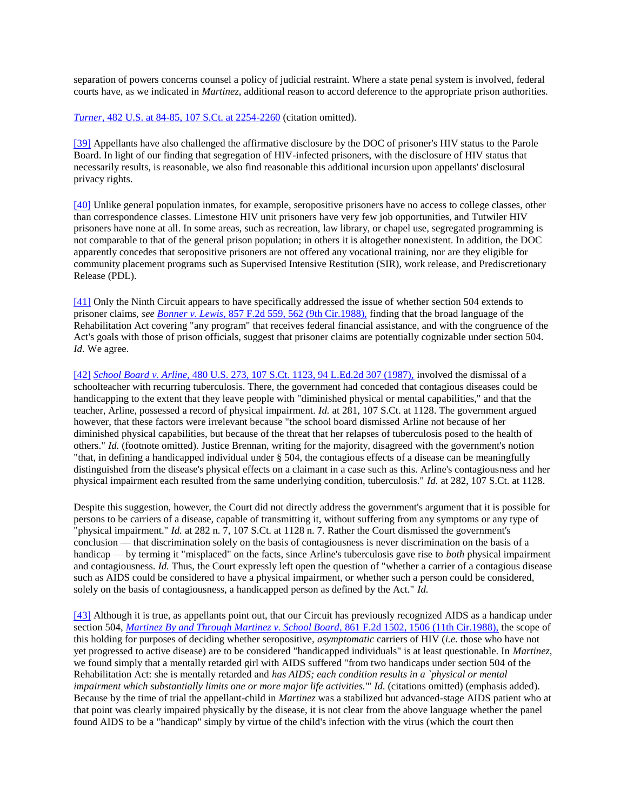separation of powers concerns counsel a policy of judicial restraint. Where a state penal system is involved, federal courts have, as we indicated in *Martinez,* additional reason to accord deference to the appropriate prison authorities.

*Turner,* [482 U.S. at 84-85, 107 S.Ct. at 2254-2260](http://scholar.google.co.in/scholar_case?case=15686747716085264205&q=harris+v.+thigpen&hl=en&as_sdt=2,5&scilh=0) (citation omitted).

[\[39\]](http://scholar.google.co.in/scholar_case?q=harris+v.+thigpen&hl=en&as_sdt=2,5&case=6662398692491934365&scilh=0#r[40]) Appellants have also challenged the affirmative disclosure by the DOC of prisoner's HIV status to the Parole Board. In light of our finding that segregation of HIV-infected prisoners, with the disclosure of HIV status that necessarily results, is reasonable, we also find reasonable this additional incursion upon appellants' disclosural privacy rights.

[\[40\]](http://scholar.google.co.in/scholar_case?q=harris+v.+thigpen&hl=en&as_sdt=2,5&case=6662398692491934365&scilh=0#r[41]) Unlike general population inmates, for example, seropositive prisoners have no access to college classes, other than correspondence classes. Limestone HIV unit prisoners have very few job opportunities, and Tutwiler HIV prisoners have none at all. In some areas, such as recreation, law library, or chapel use, segregated programming is not comparable to that of the general prison population; in others it is altogether nonexistent. In addition, the DOC apparently concedes that seropositive prisoners are not offered any vocational training, nor are they eligible for community placement programs such as Supervised Intensive Restitution (SIR), work release, and Prediscretionary Release (PDL).

[\[41\]](http://scholar.google.co.in/scholar_case?q=harris+v.+thigpen&hl=en&as_sdt=2,5&case=6662398692491934365&scilh=0#r[42]) Only the Ninth Circuit appears to have specifically addressed the issue of whether section 504 extends to prisoner claims, *see Bonner v. Lewis,* [857 F.2d 559, 562 \(9th Cir.1988\),](http://scholar.google.co.in/scholar_case?case=7536393726649364178&q=harris+v.+thigpen&hl=en&as_sdt=2,5&scilh=0) finding that the broad language of the Rehabilitation Act covering "any program" that receives federal financial assistance, and with the congruence of the Act's goals with those of prison officials, suggest that prisoner claims are potentially cognizable under section 504. *Id.* We agree.

[\[42\]](http://scholar.google.co.in/scholar_case?q=harris+v.+thigpen&hl=en&as_sdt=2,5&case=6662398692491934365&scilh=0#r[43]) *School Board v. Arline,* [480 U.S. 273, 107 S.Ct. 1123, 94 L.Ed.2d 307 \(1987\),](http://scholar.google.co.in/scholar_case?case=18375668216164208702&q=harris+v.+thigpen&hl=en&as_sdt=2,5&scilh=0) involved the dismissal of a schoolteacher with recurring tuberculosis. There, the government had conceded that contagious diseases could be handicapping to the extent that they leave people with "diminished physical or mental capabilities," and that the teacher, Arline, possessed a record of physical impairment. *Id.* at 281, 107 S.Ct. at 1128. The government argued however, that these factors were irrelevant because "the school board dismissed Arline not because of her diminished physical capabilities, but because of the threat that her relapses of tuberculosis posed to the health of others." *Id.* (footnote omitted). Justice Brennan, writing for the majority, disagreed with the government's notion "that, in defining a handicapped individual under § 504, the contagious effects of a disease can be meaningfully distinguished from the disease's physical effects on a claimant in a case such as this. Arline's contagiousness and her physical impairment each resulted from the same underlying condition, tuberculosis." *Id.* at 282, 107 S.Ct. at 1128.

Despite this suggestion, however, the Court did not directly address the government's argument that it is possible for persons to be carriers of a disease, capable of transmitting it, without suffering from any symptoms or any type of "physical impairment." *Id.* at 282 n. 7, 107 S.Ct. at 1128 n. 7. Rather the Court dismissed the government's conclusion — that discrimination solely on the basis of contagiousness is never discrimination on the basis of a handicap — by terming it "misplaced" on the facts, since Arline's tuberculosis gave rise to *both* physical impairment and contagiousness. *Id.* Thus, the Court expressly left open the question of "whether a carrier of a contagious disease such as AIDS could be considered to have a physical impairment, or whether such a person could be considered, solely on the basis of contagiousness, a handicapped person as defined by the Act." *Id.*

[\[43\]](http://scholar.google.co.in/scholar_case?q=harris+v.+thigpen&hl=en&as_sdt=2,5&case=6662398692491934365&scilh=0#r[44]) Although it is true, as appellants point out, that our Circuit has previously recognized AIDS as a handicap under section 504, *[Martinez By and Through Martinez v. School Board,](http://scholar.google.co.in/scholar_case?case=10494485128514776894&q=harris+v.+thigpen&hl=en&as_sdt=2,5&scilh=0)* 861 F.2d 1502, 1506 (11th Cir.1988), the scope of this holding for purposes of deciding whether seropositive, *asymptomatic* carriers of HIV (*i.e.* those who have not yet progressed to active disease) are to be considered "handicapped individuals" is at least questionable. In *Martinez,* we found simply that a mentally retarded girl with AIDS suffered "from two handicaps under section 504 of the Rehabilitation Act: she is mentally retarded and *has AIDS; each condition results in a `physical or mental impairment which substantially limits one or more major life activities.*'" *Id.* (citations omitted) (emphasis added). Because by the time of trial the appellant-child in *Martinez* was a stabilized but advanced-stage AIDS patient who at that point was clearly impaired physically by the disease, it is not clear from the above language whether the panel found AIDS to be a "handicap" simply by virtue of the child's infection with the virus (which the court then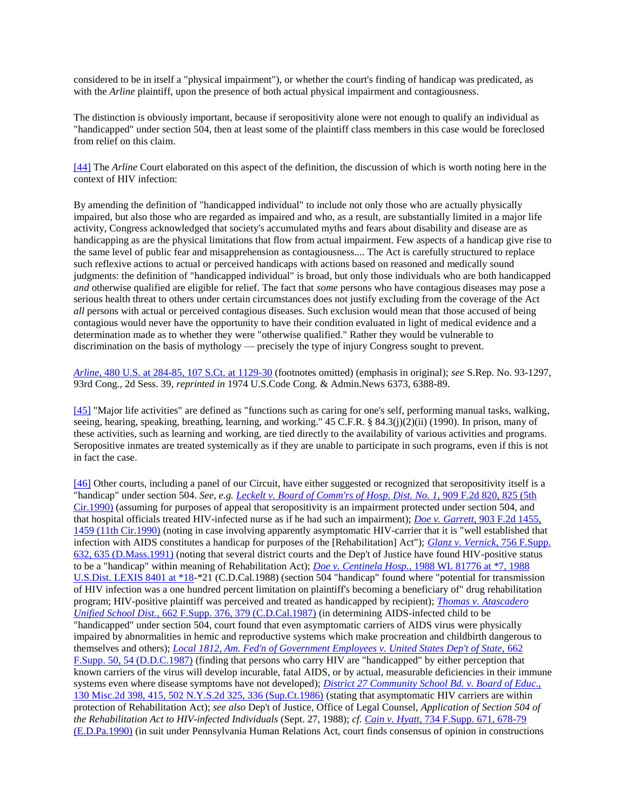considered to be in itself a "physical impairment"), or whether the court's finding of handicap was predicated, as with the *Arline* plaintiff, upon the presence of both actual physical impairment and contagiousness.

The distinction is obviously important, because if seropositivity alone were not enough to qualify an individual as "handicapped" under section 504, then at least some of the plaintiff class members in this case would be foreclosed from relief on this claim.

[\[44\]](http://scholar.google.co.in/scholar_case?q=harris+v.+thigpen&hl=en&as_sdt=2,5&case=6662398692491934365&scilh=0#r[45]) The *Arline* Court elaborated on this aspect of the definition, the discussion of which is worth noting here in the context of HIV infection:

By amending the definition of "handicapped individual" to include not only those who are actually physically impaired, but also those who are regarded as impaired and who, as a result, are substantially limited in a major life activity, Congress acknowledged that society's accumulated myths and fears about disability and disease are as handicapping as are the physical limitations that flow from actual impairment. Few aspects of a handicap give rise to the same level of public fear and misapprehension as contagiousness.... The Act is carefully structured to replace such reflexive actions to actual or perceived handicaps with actions based on reasoned and medically sound judgments: the definition of "handicapped individual" is broad, but only those individuals who are both handicapped *and* otherwise qualified are eligible for relief. The fact that *some* persons who have contagious diseases may pose a serious health threat to others under certain circumstances does not justify excluding from the coverage of the Act *all* persons with actual or perceived contagious diseases. Such exclusion would mean that those accused of being contagious would never have the opportunity to have their condition evaluated in light of medical evidence and a determination made as to whether they were "otherwise qualified." Rather they would be vulnerable to discrimination on the basis of mythology — precisely the type of injury Congress sought to prevent.

*Arline,* [480 U.S. at 284-85, 107 S.Ct. at 1129-30](http://scholar.google.co.in/scholar_case?case=18375668216164208702&q=harris+v.+thigpen&hl=en&as_sdt=2,5&scilh=0) (footnotes omitted) (emphasis in original); *see* S.Rep. No. 93-1297, 93rd Cong., 2d Sess. 39, *reprinted in* 1974 U.S.Code Cong. & Admin.News 6373, 6388-89.

[\[45\]](http://scholar.google.co.in/scholar_case?q=harris+v.+thigpen&hl=en&as_sdt=2,5&case=6662398692491934365&scilh=0#r[46]) "Major life activities" are defined as "functions such as caring for one's self, performing manual tasks, walking, seeing, hearing, speaking, breathing, learning, and working." 45 C.F.R. § 84.3(j)(2)(ii) (1990). In prison, many of these activities, such as learning and working, are tied directly to the availability of various activities and programs. Seropositive inmates are treated systemically as if they are unable to participate in such programs, even if this is not in fact the case.

[\[46\]](http://scholar.google.co.in/scholar_case?q=harris+v.+thigpen&hl=en&as_sdt=2,5&case=6662398692491934365&scilh=0#r[47]) Other courts, including a panel of our Circuit, have either suggested or recognized that seropositivity itself is a "handicap" under section 504. *See, e.g[. Leckelt v. Board of Comm'rs of Hosp. Dist. No. 1,](http://scholar.google.co.in/scholar_case?case=6151101401729533521&q=harris+v.+thigpen&hl=en&as_sdt=2,5&scilh=0)* 909 F.2d 820, 825 (5th [Cir.1990\)](http://scholar.google.co.in/scholar_case?case=6151101401729533521&q=harris+v.+thigpen&hl=en&as_sdt=2,5&scilh=0) (assuming for purposes of appeal that seropositivity is an impairment protected under section 504, and that hospital officials treated HIV-infected nurse as if he had such an impairment); *Doe v. Garrett,* [903 F.2d 1455,](http://scholar.google.co.in/scholar_case?case=14035866120062745247&q=harris+v.+thigpen&hl=en&as_sdt=2,5&scilh=0)  [1459 \(11th Cir.1990\)](http://scholar.google.co.in/scholar_case?case=14035866120062745247&q=harris+v.+thigpen&hl=en&as_sdt=2,5&scilh=0) (noting in case involving apparently asymptomatic HIV-carrier that it is "well established that infection with AIDS constitutes a handicap for purposes of the [Rehabilitation] Act"); *[Glanz v. Vernick,](http://scholar.google.co.in/scholar_case?case=2303672859083462110&q=harris+v.+thigpen&hl=en&as_sdt=2,5&scilh=0)* 756 F.Supp. [632, 635 \(D.Mass.1991\)](http://scholar.google.co.in/scholar_case?case=2303672859083462110&q=harris+v.+thigpen&hl=en&as_sdt=2,5&scilh=0) (noting that several district courts and the Dep't of Justice have found HIV-positive status to be a "handicap" within meaning of Rehabilitation Act); *Doe v. Centinela Hosp.,* [1988 WL 81776 at \\*7, 1988](http://scholar.google.co.in/scholar_case?about=900693097129227977&q=harris+v.+thigpen&hl=en&as_sdt=2,5&scilh=0)  [U.S.Dist. LEXIS 8401 at \\*18-](http://scholar.google.co.in/scholar_case?about=900693097129227977&q=harris+v.+thigpen&hl=en&as_sdt=2,5&scilh=0)\*21 (C.D.Cal.1988) (section 504 "handicap" found where "potential for transmission of HIV infection was a one hundred percent limitation on plaintiff's becoming a beneficiary of" drug rehabilitation program; HIV-positive plaintiff was perceived and treated as handicapped by recipient); *[Thomas v. Atascadero](http://scholar.google.co.in/scholar_case?case=14598962722890897259&q=harris+v.+thigpen&hl=en&as_sdt=2,5&scilh=0)  Unified School Dist.,* [662 F.Supp. 376, 379 \(C.D.Cal.1987\)](http://scholar.google.co.in/scholar_case?case=14598962722890897259&q=harris+v.+thigpen&hl=en&as_sdt=2,5&scilh=0) (in determining AIDS-infected child to be "handicapped" under section 504, court found that even asymptomatic carriers of AIDS virus were physically impaired by abnormalities in hemic and reproductive systems which make procreation and childbirth dangerous to themselves and others); *[Local 1812, Am. Fed'n of Government Employees v. United States Dep't of State,](http://scholar.google.co.in/scholar_case?case=4342052643940289385&q=harris+v.+thigpen&hl=en&as_sdt=2,5&scilh=0)* 662 [F.Supp. 50, 54 \(D.D.C.1987\)](http://scholar.google.co.in/scholar_case?case=4342052643940289385&q=harris+v.+thigpen&hl=en&as_sdt=2,5&scilh=0) (finding that persons who carry HIV are "handicapped" by either perception that known carriers of the virus will develop incurable, fatal AIDS, or by actual, measurable deficiencies in their immune systems even where disease symptoms have not developed); *[District 27 Community School Bd. v. Board of Educ.,](http://scholar.google.co.in/scholar_case?case=16182945541746711025&q=harris+v.+thigpen&hl=en&as_sdt=2,5&scilh=0)* [130 Misc.2d 398, 415, 502 N.Y.S.2d 325, 336 \(Sup.Ct.1986\)](http://scholar.google.co.in/scholar_case?case=16182945541746711025&q=harris+v.+thigpen&hl=en&as_sdt=2,5&scilh=0) (stating that asymptomatic HIV carriers are within protection of Rehabilitation Act); *see also* Dep't of Justice, Office of Legal Counsel, *Application of Section 504 of the Rehabilitation Act to HIV-infected Individuals* (Sept. 27, 1988); *cf. Cain v. Hyatt,* [734 F.Supp. 671, 678-79](http://scholar.google.co.in/scholar_case?case=16157428867300253339&q=harris+v.+thigpen&hl=en&as_sdt=2,5&scilh=0)  [\(E.D.Pa.1990\)](http://scholar.google.co.in/scholar_case?case=16157428867300253339&q=harris+v.+thigpen&hl=en&as_sdt=2,5&scilh=0) (in suit under Pennsylvania Human Relations Act, court finds consensus of opinion in constructions